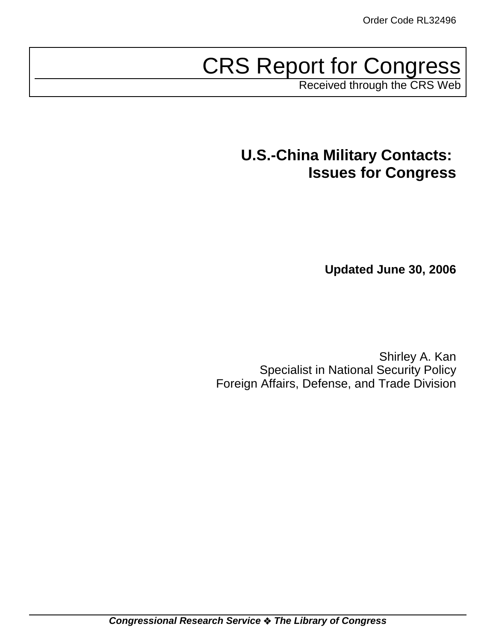# CRS Report for Congress

Received through the CRS Web

## **U.S.-China Military Contacts: Issues for Congress**

**Updated June 30, 2006**

Shirley A. Kan Specialist in National Security Policy Foreign Affairs, Defense, and Trade Division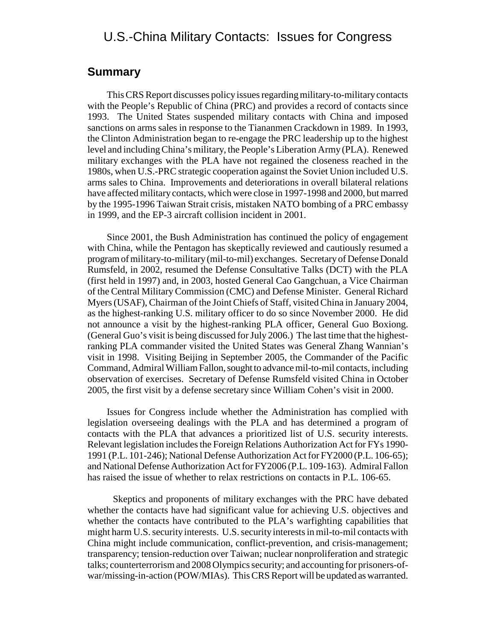## U.S.-China Military Contacts: Issues for Congress

#### **Summary**

This CRS Report discusses policy issues regarding military-to-military contacts with the People's Republic of China (PRC) and provides a record of contacts since 1993. The United States suspended military contacts with China and imposed sanctions on arms sales in response to the Tiananmen Crackdown in 1989. In 1993, the Clinton Administration began to re-engage the PRC leadership up to the highest level and including China's military, the People's Liberation Army (PLA). Renewed military exchanges with the PLA have not regained the closeness reached in the 1980s, when U.S.-PRC strategic cooperation against the Soviet Union included U.S. arms sales to China. Improvements and deteriorations in overall bilateral relations have affected military contacts, which were close in 1997-1998 and 2000, but marred by the 1995-1996 Taiwan Strait crisis, mistaken NATO bombing of a PRC embassy in 1999, and the EP-3 aircraft collision incident in 2001.

Since 2001, the Bush Administration has continued the policy of engagement with China, while the Pentagon has skeptically reviewed and cautiously resumed a program of military-to-military (mil-to-mil) exchanges. Secretary of Defense Donald Rumsfeld, in 2002, resumed the Defense Consultative Talks (DCT) with the PLA (first held in 1997) and, in 2003, hosted General Cao Gangchuan, a Vice Chairman of the Central Military Commission (CMC) and Defense Minister. General Richard Myers (USAF), Chairman of the Joint Chiefs of Staff, visited China in January 2004, as the highest-ranking U.S. military officer to do so since November 2000. He did not announce a visit by the highest-ranking PLA officer, General Guo Boxiong. (General Guo's visit is being discussed for July 2006.) The last time that the highestranking PLA commander visited the United States was General Zhang Wannian's visit in 1998. Visiting Beijing in September 2005, the Commander of the Pacific Command, Admiral William Fallon, sought to advance mil-to-mil contacts, including observation of exercises. Secretary of Defense Rumsfeld visited China in October 2005, the first visit by a defense secretary since William Cohen's visit in 2000.

Issues for Congress include whether the Administration has complied with legislation overseeing dealings with the PLA and has determined a program of contacts with the PLA that advances a prioritized list of U.S. security interests. Relevant legislation includes the Foreign Relations Authorization Act for FYs 1990- 1991 (P.L. 101-246); National Defense Authorization Act for FY2000 (P.L. 106-65); and National Defense Authorization Act for FY2006 (P.L. 109-163). Admiral Fallon has raised the issue of whether to relax restrictions on contacts in P.L. 106-65.

 Skeptics and proponents of military exchanges with the PRC have debated whether the contacts have had significant value for achieving U.S. objectives and whether the contacts have contributed to the PLA's warfighting capabilities that might harm U.S. security interests. U.S. security interests in mil-to-mil contacts with China might include communication, conflict-prevention, and crisis-management; transparency; tension-reduction over Taiwan; nuclear nonproliferation and strategic talks; counterterrorism and 2008 Olympics security; and accounting for prisoners-ofwar/missing-in-action (POW/MIAs). This CRS Report will be updated as warranted.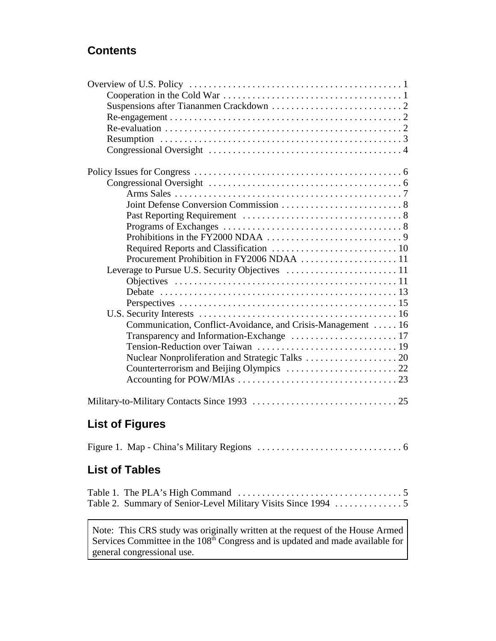## **Contents**

| Communication, Conflict-Avoidance, and Crisis-Management  16 |
|--------------------------------------------------------------|
| Transparency and Information-Exchange  17                    |
|                                                              |
|                                                              |
|                                                              |
|                                                              |
|                                                              |

## **List of Figures**

## **List of Tables**

Note: This CRS study was originally written at the request of the House Armed Services Committee in the 108<sup>th</sup> Congress and is updated and made available for general congressional use.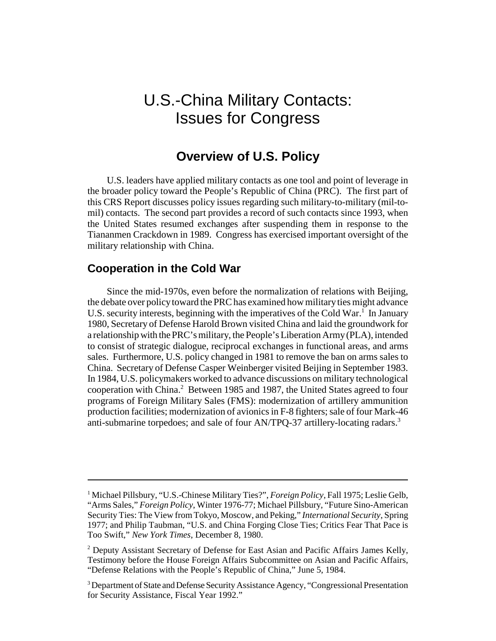## U.S.-China Military Contacts: Issues for Congress

## **Overview of U.S. Policy**

U.S. leaders have applied military contacts as one tool and point of leverage in the broader policy toward the People's Republic of China (PRC). The first part of this CRS Report discusses policy issues regarding such military-to-military (mil-tomil) contacts. The second part provides a record of such contacts since 1993, when the United States resumed exchanges after suspending them in response to the Tiananmen Crackdown in 1989. Congress has exercised important oversight of the military relationship with China.

### **Cooperation in the Cold War**

Since the mid-1970s, even before the normalization of relations with Beijing, the debate over policy toward the PRC has examined how military ties might advance U.S. security interests, beginning with the imperatives of the Cold War.<sup>1</sup> In January 1980, Secretary of Defense Harold Brown visited China and laid the groundwork for a relationship with the PRC's military, the People's Liberation Army (PLA), intended to consist of strategic dialogue, reciprocal exchanges in functional areas, and arms sales. Furthermore, U.S. policy changed in 1981 to remove the ban on arms sales to China. Secretary of Defense Casper Weinberger visited Beijing in September 1983. In 1984, U.S. policymakers worked to advance discussions on military technological cooperation with China.<sup>2</sup> Between 1985 and 1987, the United States agreed to four programs of Foreign Military Sales (FMS): modernization of artillery ammunition production facilities; modernization of avionics in F-8 fighters; sale of four Mark-46 anti-submarine torpedoes; and sale of four AN/TPQ-37 artillery-locating radars.<sup>3</sup>

<sup>&</sup>lt;sup>1</sup> Michael Pillsbury, "U.S.-Chinese Military Ties?", *Foreign Policy*, Fall 1975; Leslie Gelb, "Arms Sales," *Foreign Policy*, Winter 1976-77; Michael Pillsbury, "Future Sino-American Security Ties: The View from Tokyo, Moscow, and Peking," *International Security*, Spring 1977; and Philip Taubman, "U.S. and China Forging Close Ties; Critics Fear That Pace is Too Swift," *New York Times*, December 8, 1980.

<sup>&</sup>lt;sup>2</sup> Deputy Assistant Secretary of Defense for East Asian and Pacific Affairs James Kelly, Testimony before the House Foreign Affairs Subcommittee on Asian and Pacific Affairs, "Defense Relations with the People's Republic of China," June 5, 1984.

<sup>&</sup>lt;sup>3</sup> Department of State and Defense Security Assistance Agency, "Congressional Presentation for Security Assistance, Fiscal Year 1992."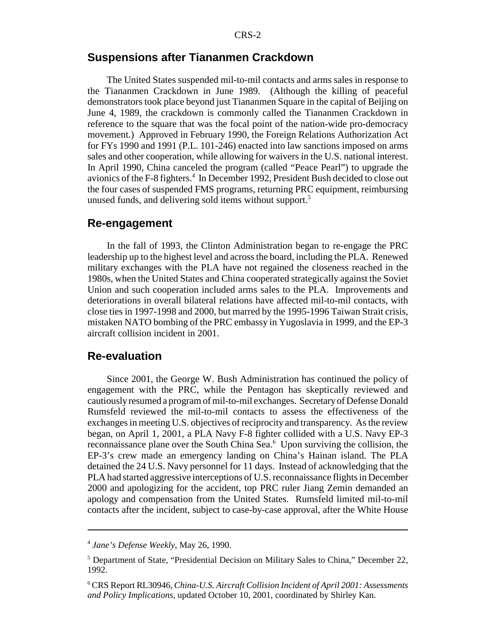#### **Suspensions after Tiananmen Crackdown**

The United States suspended mil-to-mil contacts and arms sales in response to the Tiananmen Crackdown in June 1989. (Although the killing of peaceful demonstrators took place beyond just Tiananmen Square in the capital of Beijing on June 4, 1989, the crackdown is commonly called the Tiananmen Crackdown in reference to the square that was the focal point of the nation-wide pro-democracy movement.) Approved in February 1990, the Foreign Relations Authorization Act for FYs 1990 and 1991 (P.L. 101-246) enacted into law sanctions imposed on arms sales and other cooperation, while allowing for waivers in the U.S. national interest. In April 1990, China canceled the program (called "Peace Pearl") to upgrade the avionics of the F-8 fighters.<sup>4</sup> In December 1992, President Bush decided to close out the four cases of suspended FMS programs, returning PRC equipment, reimbursing unused funds, and delivering sold items without support.<sup>5</sup>

#### **Re-engagement**

In the fall of 1993, the Clinton Administration began to re-engage the PRC leadership up to the highest level and across the board, including the PLA. Renewed military exchanges with the PLA have not regained the closeness reached in the 1980s, when the United States and China cooperated strategically against the Soviet Union and such cooperation included arms sales to the PLA. Improvements and deteriorations in overall bilateral relations have affected mil-to-mil contacts, with close ties in 1997-1998 and 2000, but marred by the 1995-1996 Taiwan Strait crisis, mistaken NATO bombing of the PRC embassy in Yugoslavia in 1999, and the EP-3 aircraft collision incident in 2001.

#### **Re-evaluation**

Since 2001, the George W. Bush Administration has continued the policy of engagement with the PRC, while the Pentagon has skeptically reviewed and cautiously resumed a program of mil-to-mil exchanges. Secretary of Defense Donald Rumsfeld reviewed the mil-to-mil contacts to assess the effectiveness of the exchanges in meeting U.S. objectives of reciprocity and transparency. As the review began, on April 1, 2001, a PLA Navy F-8 fighter collided with a U.S. Navy EP-3 reconnaissance plane over the South China Sea.<sup>6</sup> Upon surviving the collision, the EP-3's crew made an emergency landing on China's Hainan island. The PLA detained the 24 U.S. Navy personnel for 11 days. Instead of acknowledging that the PLA had started aggressive interceptions of U.S. reconnaissance flights in December 2000 and apologizing for the accident, top PRC ruler Jiang Zemin demanded an apology and compensation from the United States. Rumsfeld limited mil-to-mil contacts after the incident, subject to case-by-case approval, after the White House

<sup>4</sup> *Jane's Defense Weekly*, May 26, 1990.

<sup>&</sup>lt;sup>5</sup> Department of State, "Presidential Decision on Military Sales to China," December 22, 1992.

<sup>6</sup> CRS Report RL30946, *China-U.S. Aircraft Collision Incident of April 2001: Assessments and Policy Implications*, updated October 10, 2001, coordinated by Shirley Kan.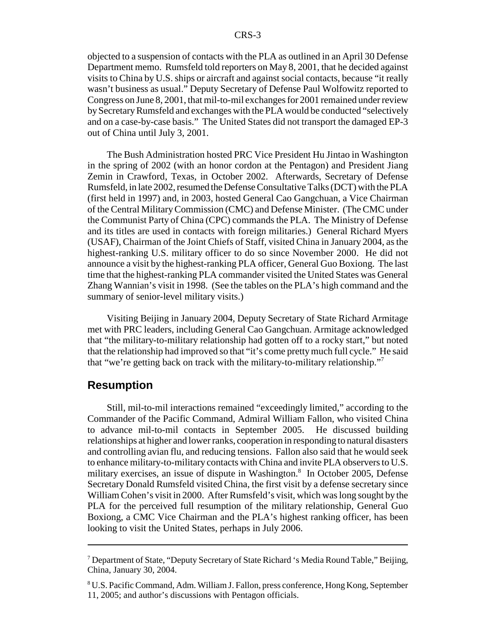objected to a suspension of contacts with the PLA as outlined in an April 30 Defense Department memo. Rumsfeld told reporters on May 8, 2001, that he decided against visits to China by U.S. ships or aircraft and against social contacts, because "it really wasn't business as usual." Deputy Secretary of Defense Paul Wolfowitz reported to Congress on June 8, 2001, that mil-to-mil exchanges for 2001 remained under review by Secretary Rumsfeld and exchanges with the PLA would be conducted "selectively and on a case-by-case basis." The United States did not transport the damaged EP-3 out of China until July 3, 2001.

The Bush Administration hosted PRC Vice President Hu Jintao in Washington in the spring of 2002 (with an honor cordon at the Pentagon) and President Jiang Zemin in Crawford, Texas, in October 2002. Afterwards, Secretary of Defense Rumsfeld, in late 2002, resumed the Defense Consultative Talks (DCT) with the PLA (first held in 1997) and, in 2003, hosted General Cao Gangchuan, a Vice Chairman of the Central Military Commission (CMC) and Defense Minister. (The CMC under the Communist Party of China (CPC) commands the PLA. The Ministry of Defense and its titles are used in contacts with foreign militaries.) General Richard Myers (USAF), Chairman of the Joint Chiefs of Staff, visited China in January 2004, as the highest-ranking U.S. military officer to do so since November 2000. He did not announce a visit by the highest-ranking PLA officer, General Guo Boxiong. The last time that the highest-ranking PLA commander visited the United States was General Zhang Wannian's visit in 1998. (See the tables on the PLA's high command and the summary of senior-level military visits.)

Visiting Beijing in January 2004, Deputy Secretary of State Richard Armitage met with PRC leaders, including General Cao Gangchuan. Armitage acknowledged that "the military-to-military relationship had gotten off to a rocky start," but noted that the relationship had improved so that "it's come pretty much full cycle." He said that "we're getting back on track with the military-to-military relationship."7

#### **Resumption**

Still, mil-to-mil interactions remained "exceedingly limited," according to the Commander of the Pacific Command, Admiral William Fallon, who visited China to advance mil-to-mil contacts in September 2005. He discussed building relationships at higher and lower ranks, cooperation in responding to natural disasters and controlling avian flu, and reducing tensions. Fallon also said that he would seek to enhance military-to-military contacts with China and invite PLA observers to U.S. military exercises, an issue of dispute in Washington.<sup>8</sup> In October 2005, Defense Secretary Donald Rumsfeld visited China, the first visit by a defense secretary since William Cohen's visit in 2000. After Rumsfeld's visit, which was long sought by the PLA for the perceived full resumption of the military relationship, General Guo Boxiong, a CMC Vice Chairman and the PLA's highest ranking officer, has been looking to visit the United States, perhaps in July 2006.

<sup>&</sup>lt;sup>7</sup> Department of State, "Deputy Secretary of State Richard 's Media Round Table," Beijing, China, January 30, 2004.

<sup>&</sup>lt;sup>8</sup> U.S. Pacific Command, Adm. William J. Fallon, press conference, Hong Kong, September 11, 2005; and author's discussions with Pentagon officials.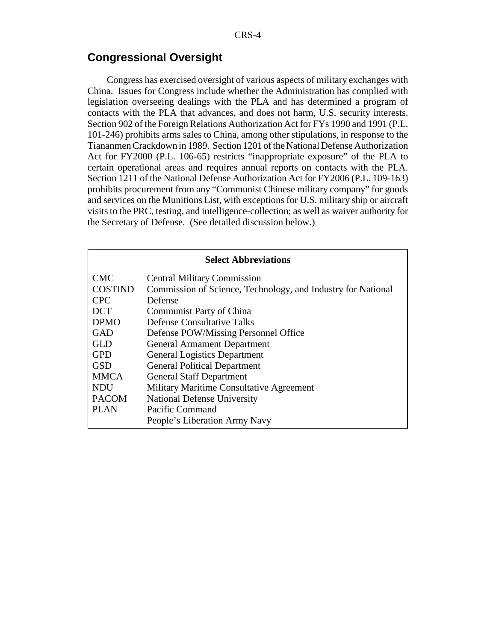### **Congressional Oversight**

Congress has exercised oversight of various aspects of military exchanges with China. Issues for Congress include whether the Administration has complied with legislation overseeing dealings with the PLA and has determined a program of contacts with the PLA that advances, and does not harm, U.S. security interests. Section 902 of the Foreign Relations Authorization Act for FYs 1990 and 1991 (P.L. 101-246) prohibits arms sales to China, among other stipulations, in response to the Tiananmen Crackdown in 1989. Section 1201 of the National Defense Authorization Act for FY2000 (P.L. 106-65) restricts "inappropriate exposure" of the PLA to certain operational areas and requires annual reports on contacts with the PLA. Section 1211 of the National Defense Authorization Act for FY2006 (P.L. 109-163) prohibits procurement from any "Communist Chinese military company" for goods and services on the Munitions List, with exceptions for U.S. military ship or aircraft visits to the PRC, testing, and intelligence-collection; as well as waiver authority for the Secretary of Defense. (See detailed discussion below.)

|                | <b>Select Abbreviations</b>                                  |
|----------------|--------------------------------------------------------------|
| <b>CMC</b>     | <b>Central Military Commission</b>                           |
| <b>COSTIND</b> | Commission of Science, Technology, and Industry for National |
| <b>CPC</b>     | Defense                                                      |
| <b>DCT</b>     | Communist Party of China                                     |
| <b>DPMO</b>    | <b>Defense Consultative Talks</b>                            |
| <b>GAD</b>     | Defense POW/Missing Personnel Office                         |
| <b>GLD</b>     | <b>General Armament Department</b>                           |
| <b>GPD</b>     | <b>General Logistics Department</b>                          |
| <b>GSD</b>     | <b>General Political Department</b>                          |
| <b>MMCA</b>    | <b>General Staff Department</b>                              |
| <b>NDU</b>     | Military Maritime Consultative Agreement                     |
| <b>PACOM</b>   | <b>National Defense University</b>                           |
| <b>PLAN</b>    | Pacific Command                                              |
|                | People's Liberation Army Navy                                |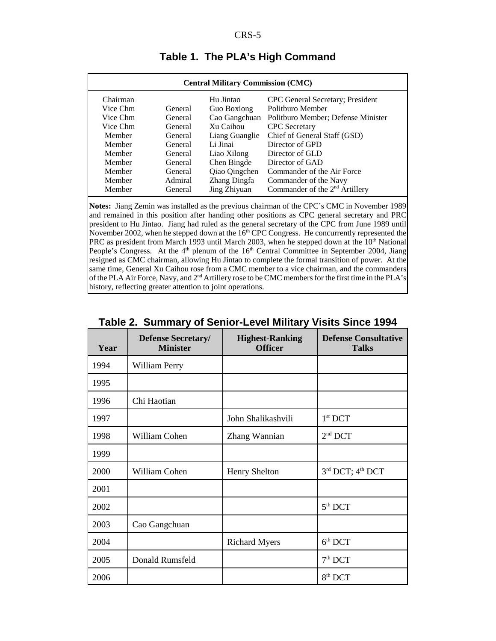| <b>Central Military Commission (CMC)</b> |                |                |                                    |
|------------------------------------------|----------------|----------------|------------------------------------|
| Chairman                                 |                | Hu Jintao      | CPC General Secretary; President   |
| Vice Chm                                 | General        | Guo Boxiong    | Politburo Member                   |
| Vice Chm                                 | General        | Cao Gangchuan  | Politburo Member; Defense Minister |
| Vice Chm                                 | <b>General</b> | Xu Caihou      | <b>CPC</b> Secretary               |
| Member                                   | General        | Liang Guanglie | Chief of General Staff (GSD)       |
| Member                                   | General        | Li Jinai       | Director of GPD                    |
| Member                                   | General        | Liao Xilong    | Director of GLD                    |
| Member                                   | General        | Chen Bingde    | Director of GAD                    |
| Member                                   | General        | Qiao Qingchen  | Commander of the Air Force         |
| Member                                   | Admiral        | Zhang Dingfa   | Commander of the Navy              |
| Member                                   | General        | Jing Zhiyuan   | Commander of the $2nd$ Artillery   |

#### **Table 1. The PLA's High Command**

**Notes:** Jiang Zemin was installed as the previous chairman of the CPC's CMC in November 1989 and remained in this position after handing other positions as CPC general secretary and PRC president to Hu Jintao. Jiang had ruled as the general secretary of the CPC from June 1989 until November 2002, when he stepped down at the  $16<sup>th</sup>$  CPC Congress. He concurrently represented the PRC as president from March 1993 until March 2003, when he stepped down at the  $10<sup>th</sup>$  National People's Congress. At the  $4<sup>th</sup>$  plenum of the  $16<sup>th</sup>$  Central Committee in September 2004, Jiang resigned as CMC chairman, allowing Hu Jintao to complete the formal transition of power. At the same time, General Xu Caihou rose from a CMC member to a vice chairman, and the commanders of the PLA Air Force, Navy, and 2<sup>nd</sup> Artillery rose to be CMC members for the first time in the PLA's history, reflecting greater attention to joint operations.

| Year | <b>Defense Secretary/</b><br><b>Minister</b> | <b>Highest-Ranking</b><br><b>Officer</b> | <b>Defense Consultative</b><br><b>Talks</b> |
|------|----------------------------------------------|------------------------------------------|---------------------------------------------|
| 1994 | William Perry                                |                                          |                                             |
| 1995 |                                              |                                          |                                             |
| 1996 | Chi Haotian                                  |                                          |                                             |
| 1997 |                                              | John Shalikashvili                       | $1st$ DCT                                   |
| 1998 | William Cohen                                | Zhang Wannian                            | $2nd$ DCT                                   |
| 1999 |                                              |                                          |                                             |
| 2000 | William Cohen                                | Henry Shelton                            | $3rd$ DCT; $4th$ DCT                        |
| 2001 |                                              |                                          |                                             |
| 2002 |                                              |                                          | 5 <sup>th</sup> DCT                         |
| 2003 | Cao Gangchuan                                |                                          |                                             |
| 2004 |                                              | <b>Richard Myers</b>                     | $6th$ DCT                                   |
| 2005 | Donald Rumsfeld                              |                                          | $7th$ DCT                                   |
| 2006 |                                              |                                          | $8th$ DCT                                   |

#### **Table 2. Summary of Senior-Level Military Visits Since 1994**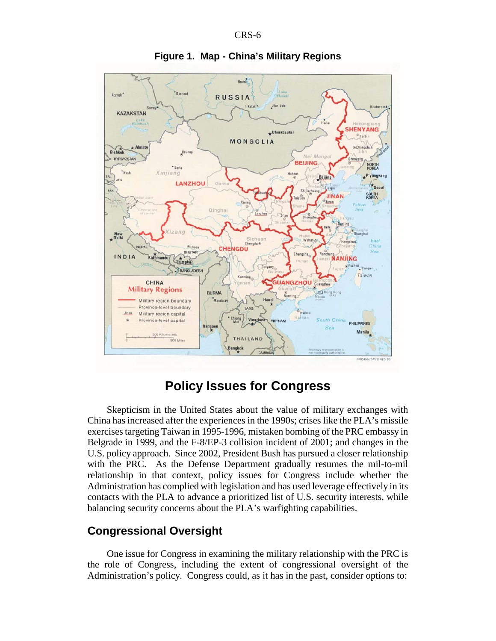



## **Policy Issues for Congress**

Skepticism in the United States about the value of military exchanges with China has increased after the experiences in the 1990s; crises like the PLA's missile exercises targeting Taiwan in 1995-1996, mistaken bombing of the PRC embassy in Belgrade in 1999, and the F-8/EP-3 collision incident of 2001; and changes in the U.S. policy approach. Since 2002, President Bush has pursued a closer relationship with the PRC. As the Defense Department gradually resumes the mil-to-mil relationship in that context, policy issues for Congress include whether the Administration has complied with legislation and has used leverage effectively in its contacts with the PLA to advance a prioritized list of U.S. security interests, while balancing security concerns about the PLA's warfighting capabilities.

### **Congressional Oversight**

One issue for Congress in examining the military relationship with the PRC is the role of Congress, including the extent of congressional oversight of the Administration's policy. Congress could, as it has in the past, consider options to: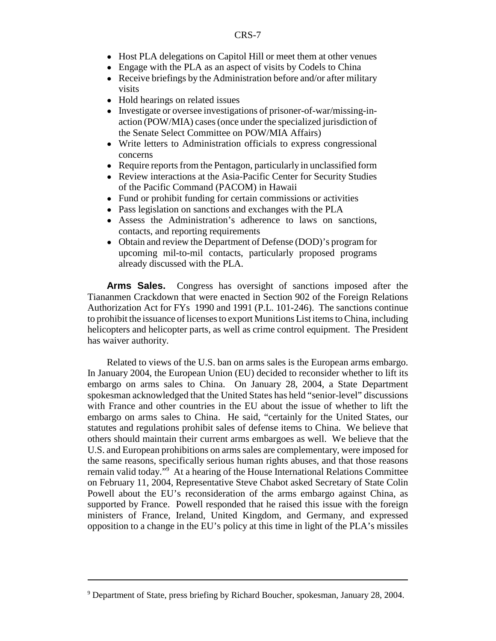- Host PLA delegations on Capitol Hill or meet them at other venues
- Engage with the PLA as an aspect of visits by Codels to China
- Receive briefings by the Administration before and/or after military visits
- Hold hearings on related issues
- ! Investigate or oversee investigations of prisoner-of-war/missing-inaction (POW/MIA) cases (once under the specialized jurisdiction of the Senate Select Committee on POW/MIA Affairs)
- Write letters to Administration officials to express congressional concerns
- Require reports from the Pentagon, particularly in unclassified form
- Review interactions at the Asia-Pacific Center for Security Studies of the Pacific Command (PACOM) in Hawaii
- Fund or prohibit funding for certain commissions or activities
- ! Pass legislation on sanctions and exchanges with the PLA
- ! Assess the Administration's adherence to laws on sanctions, contacts, and reporting requirements
- Obtain and review the Department of Defense (DOD)'s program for upcoming mil-to-mil contacts, particularly proposed programs already discussed with the PLA.

**Arms Sales.** Congress has oversight of sanctions imposed after the Tiananmen Crackdown that were enacted in Section 902 of the Foreign Relations Authorization Act for FYs 1990 and 1991 (P.L. 101-246). The sanctions continue to prohibit the issuance of licenses to export Munitions List items to China, including helicopters and helicopter parts, as well as crime control equipment. The President has waiver authority.

Related to views of the U.S. ban on arms sales is the European arms embargo. In January 2004, the European Union (EU) decided to reconsider whether to lift its embargo on arms sales to China. On January 28, 2004, a State Department spokesman acknowledged that the United States has held "senior-level" discussions with France and other countries in the EU about the issue of whether to lift the embargo on arms sales to China. He said, "certainly for the United States, our statutes and regulations prohibit sales of defense items to China. We believe that others should maintain their current arms embargoes as well. We believe that the U.S. and European prohibitions on arms sales are complementary, were imposed for the same reasons, specifically serious human rights abuses, and that those reasons remain valid today."<sup>9</sup> At a hearing of the House International Relations Committee on February 11, 2004, Representative Steve Chabot asked Secretary of State Colin Powell about the EU's reconsideration of the arms embargo against China, as supported by France. Powell responded that he raised this issue with the foreign ministers of France, Ireland, United Kingdom, and Germany, and expressed opposition to a change in the EU's policy at this time in light of the PLA's missiles

<sup>&</sup>lt;sup>9</sup> Department of State, press briefing by Richard Boucher, spokesman, January 28, 2004.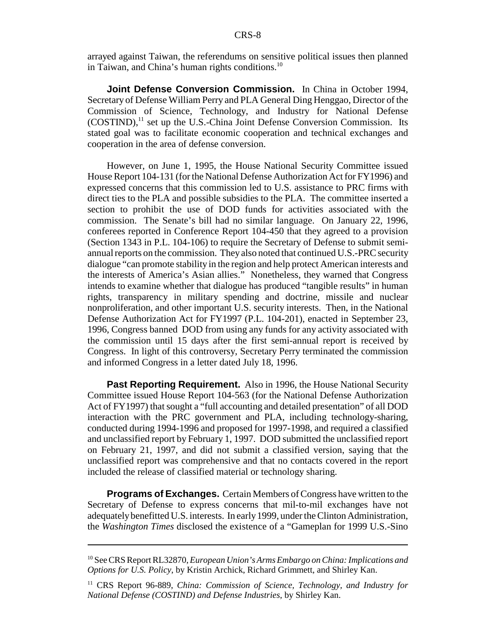arrayed against Taiwan, the referendums on sensitive political issues then planned in Taiwan, and China's human rights conditions.<sup>10</sup>

**Joint Defense Conversion Commission.** In China in October 1994, Secretary of Defense William Perry and PLA General Ding Henggao, Director of the Commission of Science, Technology, and Industry for National Defense  $(COSTIND)$ ,<sup>11</sup> set up the U.S.-China Joint Defense Conversion Commission. Its stated goal was to facilitate economic cooperation and technical exchanges and cooperation in the area of defense conversion.

However, on June 1, 1995, the House National Security Committee issued House Report 104-131 (for the National Defense Authorization Act for FY1996) and expressed concerns that this commission led to U.S. assistance to PRC firms with direct ties to the PLA and possible subsidies to the PLA. The committee inserted a section to prohibit the use of DOD funds for activities associated with the commission. The Senate's bill had no similar language. On January 22, 1996, conferees reported in Conference Report 104-450 that they agreed to a provision (Section 1343 in P.L. 104-106) to require the Secretary of Defense to submit semiannual reports on the commission. They also noted that continued U.S.-PRC security dialogue "can promote stability in the region and help protect American interests and the interests of America's Asian allies." Nonetheless, they warned that Congress intends to examine whether that dialogue has produced "tangible results" in human rights, transparency in military spending and doctrine, missile and nuclear nonproliferation, and other important U.S. security interests. Then, in the National Defense Authorization Act for FY1997 (P.L. 104-201), enacted in September 23, 1996, Congress banned DOD from using any funds for any activity associated with the commission until 15 days after the first semi-annual report is received by Congress. In light of this controversy, Secretary Perry terminated the commission and informed Congress in a letter dated July 18, 1996.

**Past Reporting Requirement.** Also in 1996, the House National Security Committee issued House Report 104-563 (for the National Defense Authorization Act of FY1997) that sought a "full accounting and detailed presentation" of all DOD interaction with the PRC government and PLA, including technology-sharing, conducted during 1994-1996 and proposed for 1997-1998, and required a classified and unclassified report by February 1, 1997. DOD submitted the unclassified report on February 21, 1997, and did not submit a classified version, saying that the unclassified report was comprehensive and that no contacts covered in the report included the release of classified material or technology sharing.

**Programs of Exchanges.** Certain Members of Congress have written to the Secretary of Defense to express concerns that mil-to-mil exchanges have not adequately benefitted U.S. interests. In early 1999, under the Clinton Administration, the *Washington Times* disclosed the existence of a "Gameplan for 1999 U.S.-Sino

<sup>10</sup> See CRS Report RL32870, *European Union's Arms Embargo on China: Implications and Options for U.S. Policy*, by Kristin Archick, Richard Grimmett, and Shirley Kan.

<sup>11</sup> CRS Report 96-889, *China: Commission of Science, Technology, and Industry for National Defense (COSTIND) and Defense Industries*, by Shirley Kan.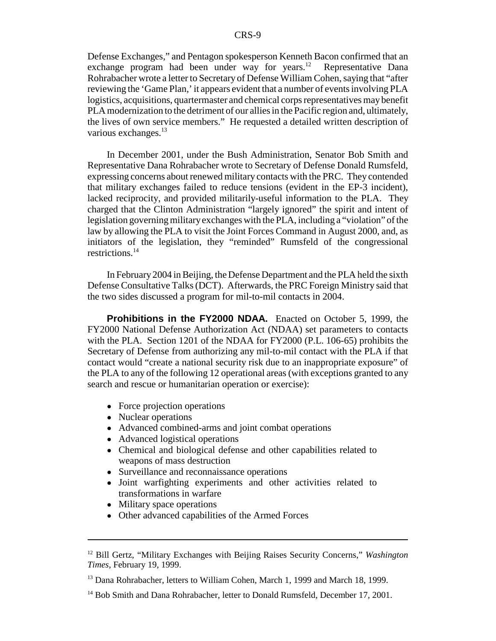Defense Exchanges," and Pentagon spokesperson Kenneth Bacon confirmed that an exchange program had been under way for years.<sup>12</sup> Representative Dana Rohrabacher wrote a letter to Secretary of Defense William Cohen, saying that "after reviewing the 'Game Plan,' it appears evident that a number of events involving PLA logistics, acquisitions, quartermaster and chemical corps representatives may benefit PLA modernization to the detriment of our allies in the Pacific region and, ultimately, the lives of own service members." He requested a detailed written description of various exchanges.<sup>13</sup>

In December 2001, under the Bush Administration, Senator Bob Smith and Representative Dana Rohrabacher wrote to Secretary of Defense Donald Rumsfeld, expressing concerns about renewed military contacts with the PRC. They contended that military exchanges failed to reduce tensions (evident in the EP-3 incident), lacked reciprocity, and provided militarily-useful information to the PLA. They charged that the Clinton Administration "largely ignored" the spirit and intent of legislation governing military exchanges with the PLA, including a "violation" of the law by allowing the PLA to visit the Joint Forces Command in August 2000, and, as initiators of the legislation, they "reminded" Rumsfeld of the congressional restrictions.14

In February 2004 in Beijing, the Defense Department and the PLA held the sixth Defense Consultative Talks (DCT). Afterwards, the PRC Foreign Ministry said that the two sides discussed a program for mil-to-mil contacts in 2004.

**Prohibitions in the FY2000 NDAA.** Enacted on October 5, 1999, the FY2000 National Defense Authorization Act (NDAA) set parameters to contacts with the PLA. Section 1201 of the NDAA for FY2000 (P.L. 106-65) prohibits the Secretary of Defense from authorizing any mil-to-mil contact with the PLA if that contact would "create a national security risk due to an inappropriate exposure" of the PLA to any of the following 12 operational areas (with exceptions granted to any search and rescue or humanitarian operation or exercise):

- Force projection operations
- Nuclear operations
- ! Advanced combined-arms and joint combat operations
- Advanced logistical operations
- ! Chemical and biological defense and other capabilities related to weapons of mass destruction
- Surveillance and reconnaissance operations
- ! Joint warfighting experiments and other activities related to transformations in warfare
- Military space operations
- ! Other advanced capabilities of the Armed Forces

<sup>12</sup> Bill Gertz, "Military Exchanges with Beijing Raises Security Concerns," *Washington Times*, February 19, 1999.

<sup>&</sup>lt;sup>13</sup> Dana Rohrabacher, letters to William Cohen, March 1, 1999 and March 18, 1999.

<sup>&</sup>lt;sup>14</sup> Bob Smith and Dana Rohrabacher, letter to Donald Rumsfeld, December 17, 2001.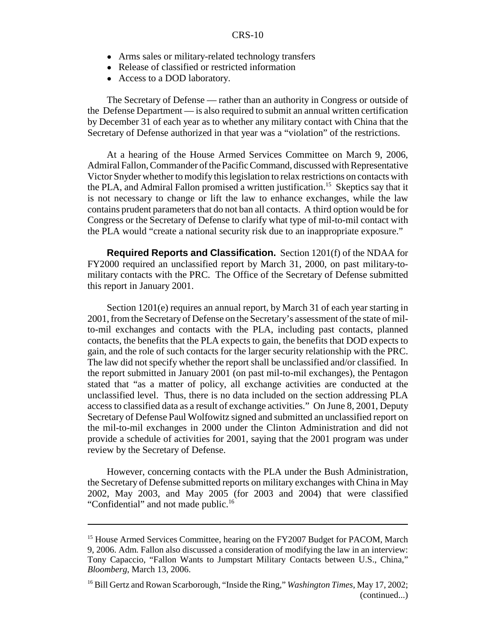- Arms sales or military-related technology transfers
- Release of classified or restricted information
- Access to a DOD laboratory.

The Secretary of Defense — rather than an authority in Congress or outside of the Defense Department — is also required to submit an annual written certification by December 31 of each year as to whether any military contact with China that the Secretary of Defense authorized in that year was a "violation" of the restrictions.

At a hearing of the House Armed Services Committee on March 9, 2006, Admiral Fallon, Commander of the Pacific Command, discussed with Representative Victor Snyder whether to modify this legislation to relax restrictions on contacts with the PLA, and Admiral Fallon promised a written justification.15 Skeptics say that it is not necessary to change or lift the law to enhance exchanges, while the law contains prudent parameters that do not ban all contacts. A third option would be for Congress or the Secretary of Defense to clarify what type of mil-to-mil contact with the PLA would "create a national security risk due to an inappropriate exposure."

**Required Reports and Classification.** Section 1201(f) of the NDAA for FY2000 required an unclassified report by March 31, 2000, on past military-tomilitary contacts with the PRC. The Office of the Secretary of Defense submitted this report in January 2001.

Section 1201(e) requires an annual report, by March 31 of each year starting in 2001, from the Secretary of Defense on the Secretary's assessment of the state of milto-mil exchanges and contacts with the PLA, including past contacts, planned contacts, the benefits that the PLA expects to gain, the benefits that DOD expects to gain, and the role of such contacts for the larger security relationship with the PRC. The law did not specify whether the report shall be unclassified and/or classified. In the report submitted in January 2001 (on past mil-to-mil exchanges), the Pentagon stated that "as a matter of policy, all exchange activities are conducted at the unclassified level. Thus, there is no data included on the section addressing PLA access to classified data as a result of exchange activities." On June 8, 2001, Deputy Secretary of Defense Paul Wolfowitz signed and submitted an unclassified report on the mil-to-mil exchanges in 2000 under the Clinton Administration and did not provide a schedule of activities for 2001, saying that the 2001 program was under review by the Secretary of Defense.

However, concerning contacts with the PLA under the Bush Administration, the Secretary of Defense submitted reports on military exchanges with China in May 2002, May 2003, and May 2005 (for 2003 and 2004) that were classified "Confidential" and not made public.<sup>16</sup>

<sup>&</sup>lt;sup>15</sup> House Armed Services Committee, hearing on the FY2007 Budget for PACOM, March 9, 2006. Adm. Fallon also discussed a consideration of modifying the law in an interview: Tony Capaccio, "Fallon Wants to Jumpstart Military Contacts between U.S., China," *Bloomberg*, March 13, 2006.

<sup>16</sup> Bill Gertz and Rowan Scarborough, "Inside the Ring," *Washington Times*, May 17, 2002; (continued...)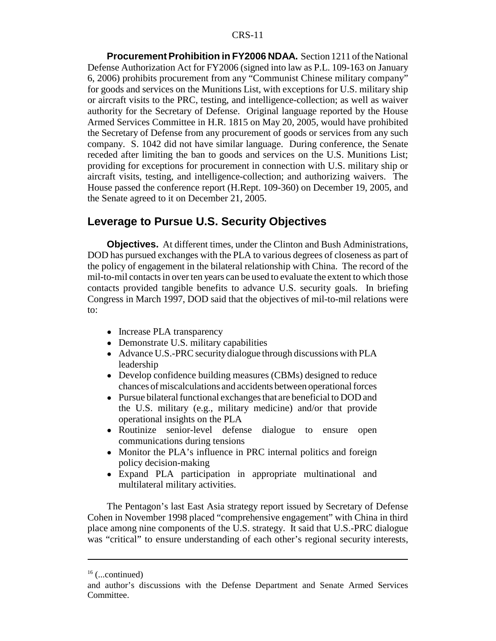**Procurement Prohibition in FY2006 NDAA.** Section 1211 of the National Defense Authorization Act for FY2006 (signed into law as P.L. 109-163 on January 6, 2006) prohibits procurement from any "Communist Chinese military company" for goods and services on the Munitions List, with exceptions for U.S. military ship or aircraft visits to the PRC, testing, and intelligence-collection; as well as waiver authority for the Secretary of Defense. Original language reported by the House Armed Services Committee in H.R. 1815 on May 20, 2005, would have prohibited the Secretary of Defense from any procurement of goods or services from any such company. S. 1042 did not have similar language. During conference, the Senate receded after limiting the ban to goods and services on the U.S. Munitions List; providing for exceptions for procurement in connection with U.S. military ship or aircraft visits, testing, and intelligence-collection; and authorizing waivers. The House passed the conference report (H.Rept. 109-360) on December 19, 2005, and the Senate agreed to it on December 21, 2005.

#### **Leverage to Pursue U.S. Security Objectives**

**Objectives.** At different times, under the Clinton and Bush Administrations, DOD has pursued exchanges with the PLA to various degrees of closeness as part of the policy of engagement in the bilateral relationship with China. The record of the mil-to-mil contacts in over ten years can be used to evaluate the extent to which those contacts provided tangible benefits to advance U.S. security goals. In briefing Congress in March 1997, DOD said that the objectives of mil-to-mil relations were to:

- Increase PLA transparency
- Demonstrate U.S. military capabilities
- ! Advance U.S.-PRC security dialogue through discussions with PLA leadership
- Develop confidence building measures (CBMs) designed to reduce chances of miscalculations and accidents between operational forces
- Pursue bilateral functional exchanges that are beneficial to DOD and the U.S. military (e.g., military medicine) and/or that provide operational insights on the PLA
- Routinize senior-level defense dialogue to ensure open communications during tensions
- Monitor the PLA's influence in PRC internal politics and foreign policy decision-making
- ! Expand PLA participation in appropriate multinational and multilateral military activities.

The Pentagon's last East Asia strategy report issued by Secretary of Defense Cohen in November 1998 placed "comprehensive engagement" with China in third place among nine components of the U.S. strategy. It said that U.S.-PRC dialogue was "critical" to ensure understanding of each other's regional security interests,

 $16$  (...continued)

and author's discussions with the Defense Department and Senate Armed Services **Committee**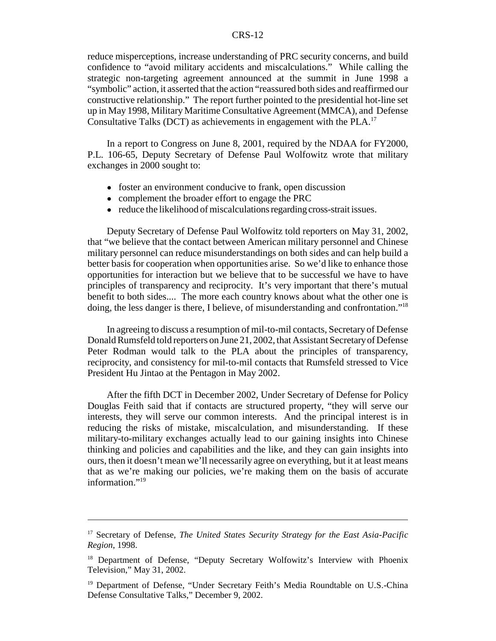reduce misperceptions, increase understanding of PRC security concerns, and build confidence to "avoid military accidents and miscalculations." While calling the strategic non-targeting agreement announced at the summit in June 1998 a "symbolic" action, it asserted that the action "reassured both sides and reaffirmed our constructive relationship." The report further pointed to the presidential hot-line set up in May 1998, Military Maritime Consultative Agreement (MMCA), and Defense Consultative Talks (DCT) as achievements in engagement with the PLA.<sup>17</sup>

In a report to Congress on June 8, 2001, required by the NDAA for FY2000, P.L. 106-65, Deputy Secretary of Defense Paul Wolfowitz wrote that military exchanges in 2000 sought to:

- foster an environment conducive to frank, open discussion
- complement the broader effort to engage the PRC
- ! reduce the likelihood of miscalculations regarding cross-strait issues.

Deputy Secretary of Defense Paul Wolfowitz told reporters on May 31, 2002, that "we believe that the contact between American military personnel and Chinese military personnel can reduce misunderstandings on both sides and can help build a better basis for cooperation when opportunities arise. So we'd like to enhance those opportunities for interaction but we believe that to be successful we have to have principles of transparency and reciprocity. It's very important that there's mutual benefit to both sides.... The more each country knows about what the other one is doing, the less danger is there, I believe, of misunderstanding and confrontation."18

In agreeing to discuss a resumption of mil-to-mil contacts, Secretary of Defense Donald Rumsfeld told reporters on June 21, 2002, that Assistant Secretary of Defense Peter Rodman would talk to the PLA about the principles of transparency, reciprocity, and consistency for mil-to-mil contacts that Rumsfeld stressed to Vice President Hu Jintao at the Pentagon in May 2002.

After the fifth DCT in December 2002, Under Secretary of Defense for Policy Douglas Feith said that if contacts are structured property, "they will serve our interests, they will serve our common interests. And the principal interest is in reducing the risks of mistake, miscalculation, and misunderstanding. If these military-to-military exchanges actually lead to our gaining insights into Chinese thinking and policies and capabilities and the like, and they can gain insights into ours, then it doesn't mean we'll necessarily agree on everything, but it at least means that as we're making our policies, we're making them on the basis of accurate information."<sup>19</sup>

<sup>17</sup> Secretary of Defense, *The United States Security Strategy for the East Asia-Pacific Region*, 1998.

<sup>&</sup>lt;sup>18</sup> Department of Defense, "Deputy Secretary Wolfowitz's Interview with Phoenix Television," May 31, 2002.

<sup>&</sup>lt;sup>19</sup> Department of Defense, "Under Secretary Feith's Media Roundtable on U.S.-China Defense Consultative Talks," December 9, 2002.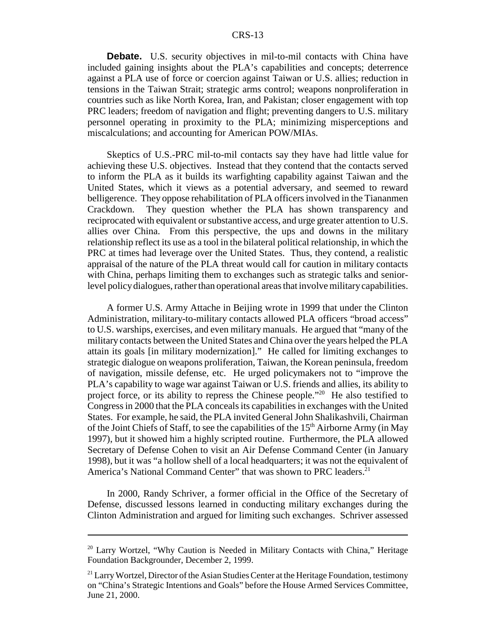**Debate.** U.S. security objectives in mil-to-mil contacts with China have included gaining insights about the PLA's capabilities and concepts; deterrence against a PLA use of force or coercion against Taiwan or U.S. allies; reduction in tensions in the Taiwan Strait; strategic arms control; weapons nonproliferation in countries such as like North Korea, Iran, and Pakistan; closer engagement with top PRC leaders; freedom of navigation and flight; preventing dangers to U.S. military personnel operating in proximity to the PLA; minimizing misperceptions and miscalculations; and accounting for American POW/MIAs.

Skeptics of U.S.-PRC mil-to-mil contacts say they have had little value for achieving these U.S. objectives. Instead that they contend that the contacts served to inform the PLA as it builds its warfighting capability against Taiwan and the United States, which it views as a potential adversary, and seemed to reward belligerence. They oppose rehabilitation of PLA officers involved in the Tiananmen Crackdown. They question whether the PLA has shown transparency and reciprocated with equivalent or substantive access, and urge greater attention to U.S. allies over China. From this perspective, the ups and downs in the military relationship reflect its use as a tool in the bilateral political relationship, in which the PRC at times had leverage over the United States. Thus, they contend, a realistic appraisal of the nature of the PLA threat would call for caution in military contacts with China, perhaps limiting them to exchanges such as strategic talks and seniorlevel policy dialogues, rather than operational areas that involve military capabilities.

A former U.S. Army Attache in Beijing wrote in 1999 that under the Clinton Administration, military-to-military contacts allowed PLA officers "broad access" to U.S. warships, exercises, and even military manuals. He argued that "many of the military contacts between the United States and China over the years helped the PLA attain its goals [in military modernization]." He called for limiting exchanges to strategic dialogue on weapons proliferation, Taiwan, the Korean peninsula, freedom of navigation, missile defense, etc. He urged policymakers not to "improve the PLA's capability to wage war against Taiwan or U.S. friends and allies, its ability to project force, or its ability to repress the Chinese people."20 He also testified to Congress in 2000 that the PLA conceals its capabilities in exchanges with the United States. For example, he said, the PLA invited General John Shalikashvili, Chairman of the Joint Chiefs of Staff, to see the capabilities of the  $15<sup>th</sup>$  Airborne Army (in May 1997), but it showed him a highly scripted routine. Furthermore, the PLA allowed Secretary of Defense Cohen to visit an Air Defense Command Center (in January 1998), but it was "a hollow shell of a local headquarters; it was not the equivalent of America's National Command Center" that was shown to PRC leaders.<sup>21</sup>

In 2000, Randy Schriver, a former official in the Office of the Secretary of Defense, discussed lessons learned in conducting military exchanges during the Clinton Administration and argued for limiting such exchanges. Schriver assessed

<sup>&</sup>lt;sup>20</sup> Larry Wortzel, "Why Caution is Needed in Military Contacts with China," Heritage Foundation Backgrounder, December 2, 1999.

 $^{21}$  Larry Wortzel, Director of the Asian Studies Center at the Heritage Foundation, testimony on "China's Strategic Intentions and Goals" before the House Armed Services Committee, June 21, 2000.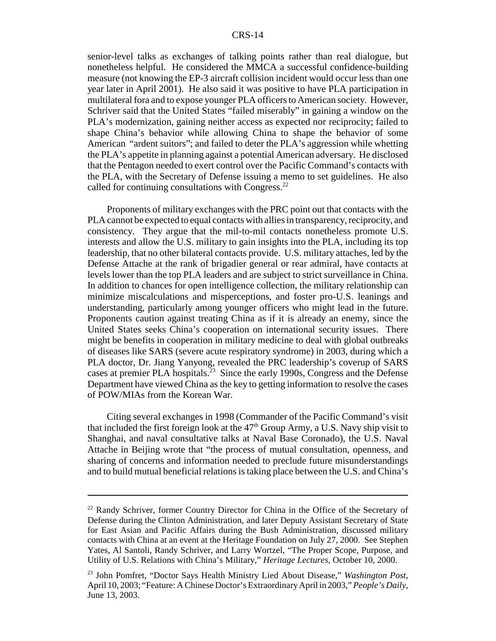senior-level talks as exchanges of talking points rather than real dialogue, but nonetheless helpful. He considered the MMCA a successful confidence-building measure (not knowing the EP-3 aircraft collision incident would occur less than one year later in April 2001). He also said it was positive to have PLA participation in multilateral fora and to expose younger PLA officers to American society. However, Schriver said that the United States "failed miserably" in gaining a window on the PLA's modernization, gaining neither access as expected nor reciprocity; failed to shape China's behavior while allowing China to shape the behavior of some American "ardent suitors"; and failed to deter the PLA's aggression while whetting the PLA's appetite in planning against a potential American adversary. He disclosed that the Pentagon needed to exert control over the Pacific Command's contacts with the PLA, with the Secretary of Defense issuing a memo to set guidelines. He also called for continuing consultations with Congress.<sup>22</sup>

Proponents of military exchanges with the PRC point out that contacts with the PLA cannot be expected to equal contacts with allies in transparency, reciprocity, and consistency. They argue that the mil-to-mil contacts nonetheless promote U.S. interests and allow the U.S. military to gain insights into the PLA, including its top leadership, that no other bilateral contacts provide. U.S. military attaches, led by the Defense Attache at the rank of brigadier general or rear admiral, have contacts at levels lower than the top PLA leaders and are subject to strict surveillance in China. In addition to chances for open intelligence collection, the military relationship can minimize miscalculations and misperceptions, and foster pro-U.S. leanings and understanding, particularly among younger officers who might lead in the future. Proponents caution against treating China as if it is already an enemy, since the United States seeks China's cooperation on international security issues. There might be benefits in cooperation in military medicine to deal with global outbreaks of diseases like SARS (severe acute respiratory syndrome) in 2003, during which a PLA doctor, Dr. Jiang Yanyong, revealed the PRC leadership's coverup of SARS cases at premier PLA hospitals.<sup>23</sup> Since the early 1990s, Congress and the Defense Department have viewed China as the key to getting information to resolve the cases of POW/MIAs from the Korean War.

Citing several exchanges in 1998 (Commander of the Pacific Command's visit that included the first foreign look at the  $47<sup>th</sup>$  Group Army, a U.S. Navy ship visit to Shanghai, and naval consultative talks at Naval Base Coronado), the U.S. Naval Attache in Beijing wrote that "the process of mutual consultation, openness, and sharing of concerns and information needed to preclude future misunderstandings and to build mutual beneficial relations is taking place between the U.S. and China's

 $22$  Randy Schriver, former Country Director for China in the Office of the Secretary of Defense during the Clinton Administration, and later Deputy Assistant Secretary of State for East Asian and Pacific Affairs during the Bush Administration, discussed military contacts with China at an event at the Heritage Foundation on July 27, 2000. See Stephen Yates, Al Santoli, Randy Schriver, and Larry Wortzel, "The Proper Scope, Purpose, and Utility of U.S. Relations with China's Military," *Heritage Lectures*, October 10, 2000.

<sup>23</sup> John Pomfret, "Doctor Says Health Ministry Lied About Disease," *Washington Post*, April 10, 2003; "Feature: A Chinese Doctor's Extraordinary April in 2003," *People's Daily*, June 13, 2003.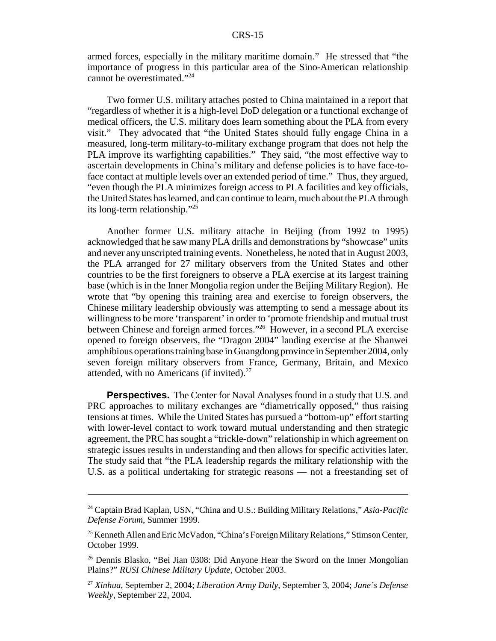armed forces, especially in the military maritime domain." He stressed that "the importance of progress in this particular area of the Sino-American relationship cannot be overestimated."24

Two former U.S. military attaches posted to China maintained in a report that "regardless of whether it is a high-level DoD delegation or a functional exchange of medical officers, the U.S. military does learn something about the PLA from every visit." They advocated that "the United States should fully engage China in a measured, long-term military-to-military exchange program that does not help the PLA improve its warfighting capabilities." They said, "the most effective way to ascertain developments in China's military and defense policies is to have face-toface contact at multiple levels over an extended period of time." Thus, they argued, "even though the PLA minimizes foreign access to PLA facilities and key officials, the United States has learned, and can continue to learn, much about the PLA through its long-term relationship."25

Another former U.S. military attache in Beijing (from 1992 to 1995) acknowledged that he saw many PLA drills and demonstrations by "showcase" units and never any unscripted training events. Nonetheless, he noted that in August 2003, the PLA arranged for 27 military observers from the United States and other countries to be the first foreigners to observe a PLA exercise at its largest training base (which is in the Inner Mongolia region under the Beijing Military Region). He wrote that "by opening this training area and exercise to foreign observers, the Chinese military leadership obviously was attempting to send a message about its willingness to be more 'transparent' in order to 'promote friendship and mutual trust between Chinese and foreign armed forces."<sup>26</sup> However, in a second PLA exercise opened to foreign observers, the "Dragon 2004" landing exercise at the Shanwei amphibious operations training base in Guangdong province in September 2004, only seven foreign military observers from France, Germany, Britain, and Mexico attended, with no Americans (if invited). $27$ 

**Perspectives.** The Center for Naval Analyses found in a study that U.S. and PRC approaches to military exchanges are "diametrically opposed," thus raising tensions at times. While the United States has pursued a "bottom-up" effort starting with lower-level contact to work toward mutual understanding and then strategic agreement, the PRC has sought a "trickle-down" relationship in which agreement on strategic issues results in understanding and then allows for specific activities later. The study said that "the PLA leadership regards the military relationship with the U.S. as a political undertaking for strategic reasons — not a freestanding set of

<sup>24</sup> Captain Brad Kaplan, USN, "China and U.S.: Building Military Relations," *Asia-Pacific Defense Forum*, Summer 1999.

<sup>&</sup>lt;sup>25</sup> Kenneth Allen and Eric McVadon, "China's Foreign Military Relations," Stimson Center, October 1999.

<sup>&</sup>lt;sup>26</sup> Dennis Blasko, "Bei Jian 0308: Did Anyone Hear the Sword on the Inner Mongolian Plains?" *RUSI Chinese Military Update*, October 2003.

<sup>27</sup> *Xinhua*, September 2, 2004; *Liberation Army Daily*, September 3, 2004; *Jane's Defense Weekly*, September 22, 2004.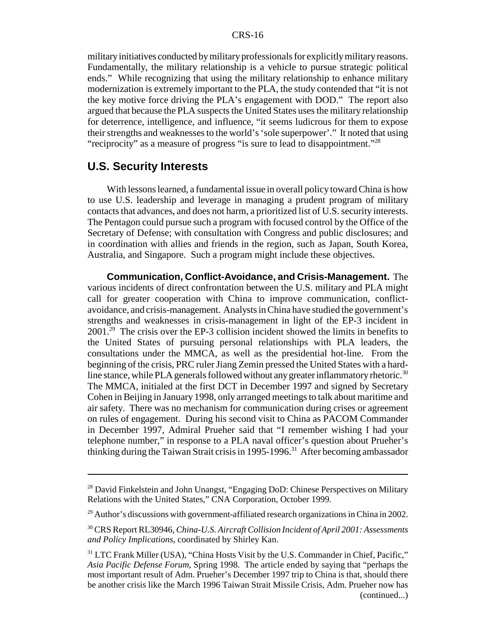military initiatives conducted by military professionals for explicitly military reasons. Fundamentally, the military relationship is a vehicle to pursue strategic political ends." While recognizing that using the military relationship to enhance military modernization is extremely important to the PLA, the study contended that "it is not the key motive force driving the PLA's engagement with DOD." The report also argued that because the PLA suspects the United States uses the military relationship for deterrence, intelligence, and influence, "it seems ludicrous for them to expose their strengths and weaknesses to the world's 'sole superpower'." It noted that using "reciprocity" as a measure of progress "is sure to lead to disappointment."28

#### **U.S. Security Interests**

With lessons learned, a fundamental issue in overall policy toward China is how to use U.S. leadership and leverage in managing a prudent program of military contacts that advances, and does not harm, a prioritized list of U.S. security interests. The Pentagon could pursue such a program with focused control by the Office of the Secretary of Defense; with consultation with Congress and public disclosures; and in coordination with allies and friends in the region, such as Japan, South Korea, Australia, and Singapore. Such a program might include these objectives.

**Communication, Conflict-Avoidance, and Crisis-Management.** The various incidents of direct confrontation between the U.S. military and PLA might call for greater cooperation with China to improve communication, conflictavoidance, and crisis-management. Analysts in China have studied the government's strengths and weaknesses in crisis-management in light of the EP-3 incident in  $2001<sup>29</sup>$  The crisis over the EP-3 collision incident showed the limits in benefits to the United States of pursuing personal relationships with PLA leaders, the consultations under the MMCA, as well as the presidential hot-line. From the beginning of the crisis, PRC ruler Jiang Zemin pressed the United States with a hardline stance, while PLA generals followed without any greater inflammatory rhetoric.<sup>30</sup> The MMCA, initialed at the first DCT in December 1997 and signed by Secretary Cohen in Beijing in January 1998, only arranged meetings to talk about maritime and air safety. There was no mechanism for communication during crises or agreement on rules of engagement. During his second visit to China as PACOM Commander in December 1997, Admiral Prueher said that "I remember wishing I had your telephone number," in response to a PLA naval officer's question about Prueher's thinking during the Taiwan Strait crisis in 1995-1996.<sup>31</sup> After becoming ambassador

<sup>&</sup>lt;sup>28</sup> David Finkelstein and John Unangst, "Engaging DoD: Chinese Perspectives on Military Relations with the United States," CNA Corporation, October 1999.

 $^{29}$  Author's discussions with government-affiliated research organizations in China in 2002.

<sup>30</sup> CRS Report RL30946, *China-U.S. Aircraft Collision Incident of April 2001: Assessments and Policy Implications*, coordinated by Shirley Kan.

<sup>&</sup>lt;sup>31</sup> LTC Frank Miller (USA), "China Hosts Visit by the U.S. Commander in Chief, Pacific," *Asia Pacific Defense Forum*, Spring 1998. The article ended by saying that "perhaps the most important result of Adm. Prueher's December 1997 trip to China is that, should there be another crisis like the March 1996 Taiwan Strait Missile Crisis, Adm. Prueher now has (continued...)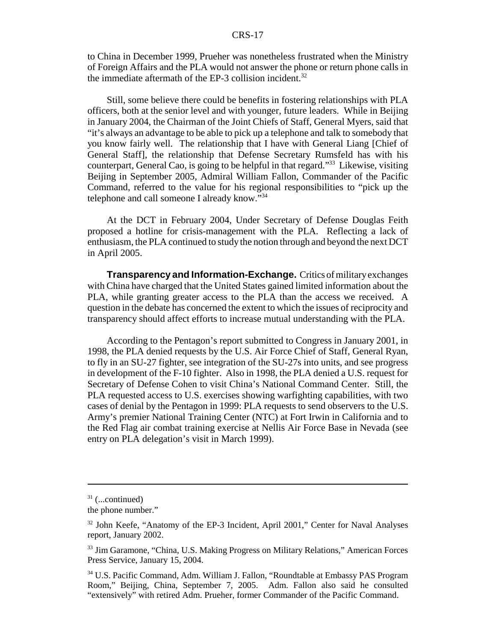to China in December 1999, Prueher was nonetheless frustrated when the Ministry of Foreign Affairs and the PLA would not answer the phone or return phone calls in the immediate aftermath of the EP-3 collision incident. $32$ 

Still, some believe there could be benefits in fostering relationships with PLA officers, both at the senior level and with younger, future leaders. While in Beijing in January 2004, the Chairman of the Joint Chiefs of Staff, General Myers, said that "it's always an advantage to be able to pick up a telephone and talk to somebody that you know fairly well. The relationship that I have with General Liang [Chief of General Staff], the relationship that Defense Secretary Rumsfeld has with his counterpart, General Cao, is going to be helpful in that regard."33 Likewise, visiting Beijing in September 2005, Admiral William Fallon, Commander of the Pacific Command, referred to the value for his regional responsibilities to "pick up the telephone and call someone I already know."34

At the DCT in February 2004, Under Secretary of Defense Douglas Feith proposed a hotline for crisis-management with the PLA. Reflecting a lack of enthusiasm, the PLA continued to study the notion through and beyond the next DCT in April 2005.

**Transparency and Information-Exchange.** Critics of military exchanges with China have charged that the United States gained limited information about the PLA, while granting greater access to the PLA than the access we received. A question in the debate has concerned the extent to which the issues of reciprocity and transparency should affect efforts to increase mutual understanding with the PLA.

According to the Pentagon's report submitted to Congress in January 2001, in 1998, the PLA denied requests by the U.S. Air Force Chief of Staff, General Ryan, to fly in an SU-27 fighter, see integration of the SU-27s into units, and see progress in development of the F-10 fighter. Also in 1998, the PLA denied a U.S. request for Secretary of Defense Cohen to visit China's National Command Center. Still, the PLA requested access to U.S. exercises showing warfighting capabilities, with two cases of denial by the Pentagon in 1999: PLA requests to send observers to the U.S. Army's premier National Training Center (NTC) at Fort Irwin in California and to the Red Flag air combat training exercise at Nellis Air Force Base in Nevada (see entry on PLA delegation's visit in March 1999).

 $31$  (...continued)

the phone number."

<sup>&</sup>lt;sup>32</sup> John Keefe, "Anatomy of the EP-3 Incident, April 2001," Center for Naval Analyses report, January 2002.

<sup>33</sup> Jim Garamone, "China, U.S. Making Progress on Military Relations," American Forces Press Service, January 15, 2004.

<sup>34</sup> U.S. Pacific Command, Adm. William J. Fallon, "Roundtable at Embassy PAS Program Room," Beijing, China, September 7, 2005. Adm. Fallon also said he consulted "extensively" with retired Adm. Prueher, former Commander of the Pacific Command.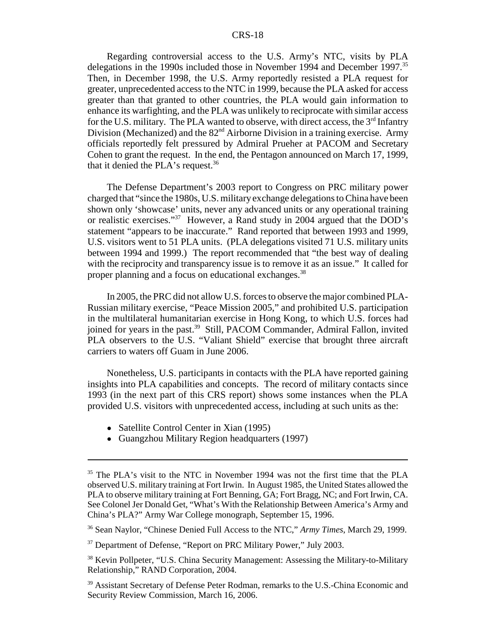Regarding controversial access to the U.S. Army's NTC, visits by PLA delegations in the 1990s included those in November 1994 and December 1997.<sup>35</sup> Then, in December 1998, the U.S. Army reportedly resisted a PLA request for greater, unprecedented access to the NTC in 1999, because the PLA asked for access greater than that granted to other countries, the PLA would gain information to enhance its warfighting, and the PLA was unlikely to reciprocate with similar access for the U.S. military. The PLA wanted to observe, with direct access, the  $3<sup>rd</sup>$  Infantry Division (Mechanized) and the  $82<sup>nd</sup>$  Airborne Division in a training exercise. Army officials reportedly felt pressured by Admiral Prueher at PACOM and Secretary Cohen to grant the request. In the end, the Pentagon announced on March 17, 1999, that it denied the PLA's request.<sup>36</sup>

The Defense Department's 2003 report to Congress on PRC military power charged that "since the 1980s, U.S. military exchange delegations to China have been shown only 'showcase' units, never any advanced units or any operational training or realistic exercises."37 However, a Rand study in 2004 argued that the DOD's statement "appears to be inaccurate." Rand reported that between 1993 and 1999, U.S. visitors went to 51 PLA units. (PLA delegations visited 71 U.S. military units between 1994 and 1999.) The report recommended that "the best way of dealing with the reciprocity and transparency issue is to remove it as an issue." It called for proper planning and a focus on educational exchanges.<sup>38</sup>

In 2005, the PRC did not allow U.S. forces to observe the major combined PLA-Russian military exercise, "Peace Mission 2005," and prohibited U.S. participation in the multilateral humanitarian exercise in Hong Kong, to which U.S. forces had joined for years in the past.<sup>39</sup> Still, PACOM Commander, Admiral Fallon, invited PLA observers to the U.S. "Valiant Shield" exercise that brought three aircraft carriers to waters off Guam in June 2006.

Nonetheless, U.S. participants in contacts with the PLA have reported gaining insights into PLA capabilities and concepts. The record of military contacts since 1993 (in the next part of this CRS report) shows some instances when the PLA provided U.S. visitors with unprecedented access, including at such units as the:

- Satellite Control Center in Xian (1995)
- Guangzhou Military Region headquarters (1997)

<sup>&</sup>lt;sup>35</sup> The PLA's visit to the NTC in November 1994 was not the first time that the PLA observed U.S. military training at Fort Irwin. In August 1985, the United States allowed the PLA to observe military training at Fort Benning, GA; Fort Bragg, NC; and Fort Irwin, CA. See Colonel Jer Donald Get, "What's With the Relationship Between America's Army and China's PLA?" Army War College monograph, September 15, 1996.

<sup>36</sup> Sean Naylor, "Chinese Denied Full Access to the NTC," *Army Times*, March 29, 1999.

<sup>&</sup>lt;sup>37</sup> Department of Defense, "Report on PRC Military Power," July 2003.

<sup>&</sup>lt;sup>38</sup> Kevin Pollpeter, "U.S. China Security Management: Assessing the Military-to-Military Relationship," RAND Corporation, 2004.

<sup>&</sup>lt;sup>39</sup> Assistant Secretary of Defense Peter Rodman, remarks to the U.S.-China Economic and Security Review Commission, March 16, 2006.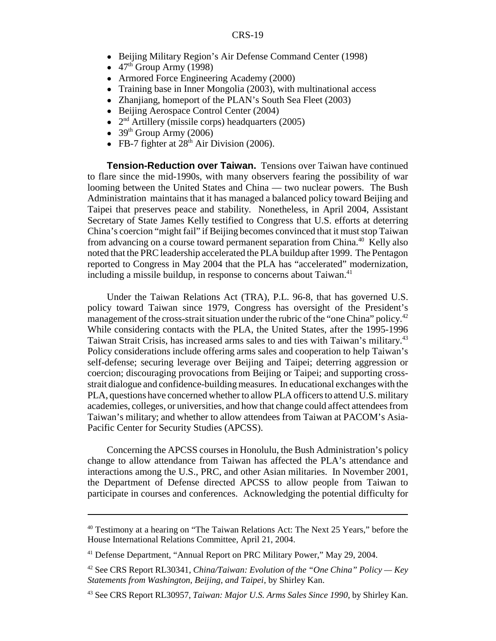- ! Beijing Military Region's Air Defense Command Center (1998)
- $\bullet$  47<sup>th</sup> Group Army (1998)
- Armored Force Engineering Academy (2000)
- Training base in Inner Mongolia (2003), with multinational access
- Zhanjiang, homeport of the PLAN's South Sea Fleet (2003)
- Beijing Aerospace Control Center (2004)
- $\bullet$  2<sup>nd</sup> Artillery (missile corps) headquarters (2005)
- $\bullet$  39<sup>th</sup> Group Army (2006)
- FB-7 fighter at  $28<sup>th</sup>$  Air Division (2006).

**Tension-Reduction over Taiwan.** Tensions over Taiwan have continued to flare since the mid-1990s, with many observers fearing the possibility of war looming between the United States and China — two nuclear powers. The Bush Administration maintains that it has managed a balanced policy toward Beijing and Taipei that preserves peace and stability. Nonetheless, in April 2004, Assistant Secretary of State James Kelly testified to Congress that U.S. efforts at deterring China's coercion "might fail" if Beijing becomes convinced that it must stop Taiwan from advancing on a course toward permanent separation from China.<sup>40</sup> Kelly also noted that the PRC leadership accelerated the PLA buildup after 1999. The Pentagon reported to Congress in May 2004 that the PLA has "accelerated" modernization, including a missile buildup, in response to concerns about Taiwan. $41$ 

Under the Taiwan Relations Act (TRA), P.L. 96-8, that has governed U.S. policy toward Taiwan since 1979, Congress has oversight of the President's management of the cross-strait situation under the rubric of the "one China" policy.<sup>42</sup> While considering contacts with the PLA, the United States, after the 1995-1996 Taiwan Strait Crisis, has increased arms sales to and ties with Taiwan's military.43 Policy considerations include offering arms sales and cooperation to help Taiwan's self-defense; securing leverage over Beijing and Taipei; deterring aggression or coercion; discouraging provocations from Beijing or Taipei; and supporting crossstrait dialogue and confidence-building measures. In educational exchanges with the PLA, questions have concerned whether to allow PLA officers to attend U.S. military academies, colleges, or universities, and how that change could affect attendees from Taiwan's military; and whether to allow attendees from Taiwan at PACOM's Asia-Pacific Center for Security Studies (APCSS).

Concerning the APCSS courses in Honolulu, the Bush Administration's policy change to allow attendance from Taiwan has affected the PLA's attendance and interactions among the U.S., PRC, and other Asian militaries. In November 2001, the Department of Defense directed APCSS to allow people from Taiwan to participate in courses and conferences. Acknowledging the potential difficulty for

<sup>&</sup>lt;sup>40</sup> Testimony at a hearing on "The Taiwan Relations Act: The Next 25 Years," before the House International Relations Committee, April 21, 2004.

<sup>41</sup> Defense Department, "Annual Report on PRC Military Power," May 29, 2004.

<sup>42</sup> See CRS Report RL30341, *China/Taiwan: Evolution of the "One China" Policy — Key Statements from Washington, Beijing, and Taipei*, by Shirley Kan.

<sup>43</sup> See CRS Report RL30957, *Taiwan: Major U.S. Arms Sales Since 1990,* by Shirley Kan.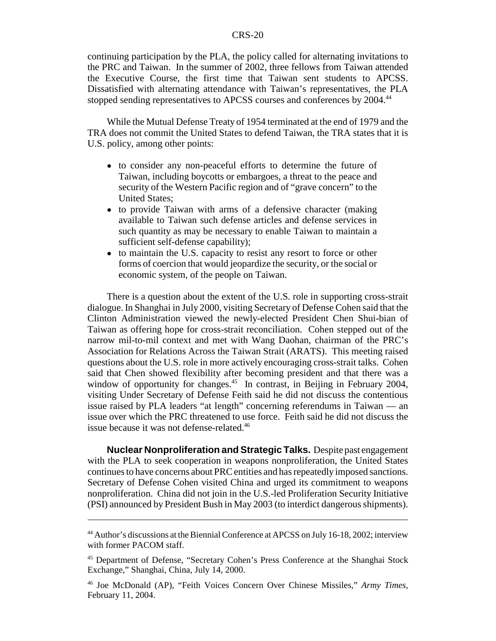continuing participation by the PLA, the policy called for alternating invitations to the PRC and Taiwan. In the summer of 2002, three fellows from Taiwan attended the Executive Course, the first time that Taiwan sent students to APCSS. Dissatisfied with alternating attendance with Taiwan's representatives, the PLA stopped sending representatives to APCSS courses and conferences by 2004.<sup>44</sup>

While the Mutual Defense Treaty of 1954 terminated at the end of 1979 and the TRA does not commit the United States to defend Taiwan, the TRA states that it is U.S. policy, among other points:

- ! to consider any non-peaceful efforts to determine the future of Taiwan, including boycotts or embargoes, a threat to the peace and security of the Western Pacific region and of "grave concern" to the United States;
- to provide Taiwan with arms of a defensive character (making available to Taiwan such defense articles and defense services in such quantity as may be necessary to enable Taiwan to maintain a sufficient self-defense capability);
- to maintain the U.S. capacity to resist any resort to force or other forms of coercion that would jeopardize the security, or the social or economic system, of the people on Taiwan.

There is a question about the extent of the U.S. role in supporting cross-strait dialogue. In Shanghai in July 2000, visiting Secretary of Defense Cohen said that the Clinton Administration viewed the newly-elected President Chen Shui-bian of Taiwan as offering hope for cross-strait reconciliation. Cohen stepped out of the narrow mil-to-mil context and met with Wang Daohan, chairman of the PRC's Association for Relations Across the Taiwan Strait (ARATS). This meeting raised questions about the U.S. role in more actively encouraging cross-strait talks. Cohen said that Chen showed flexibility after becoming president and that there was a window of opportunity for changes.<sup>45</sup> In contrast, in Beijing in February 2004, visiting Under Secretary of Defense Feith said he did not discuss the contentious issue raised by PLA leaders "at length" concerning referendums in Taiwan — an issue over which the PRC threatened to use force. Feith said he did not discuss the issue because it was not defense-related.<sup>46</sup>

**Nuclear Nonproliferation and Strategic Talks.** Despite past engagement with the PLA to seek cooperation in weapons nonproliferation, the United States continues to have concerns about PRC entities and has repeatedly imposed sanctions. Secretary of Defense Cohen visited China and urged its commitment to weapons nonproliferation. China did not join in the U.S.-led Proliferation Security Initiative (PSI) announced by President Bush in May 2003 (to interdict dangerous shipments).

<sup>44</sup> Author's discussions at the Biennial Conference at APCSS on July 16-18, 2002; interview with former PACOM staff.

<sup>45</sup> Department of Defense, "Secretary Cohen's Press Conference at the Shanghai Stock Exchange," Shanghai, China, July 14, 2000.

<sup>46</sup> Joe McDonald (AP), "Feith Voices Concern Over Chinese Missiles," *Army Times*, February 11, 2004.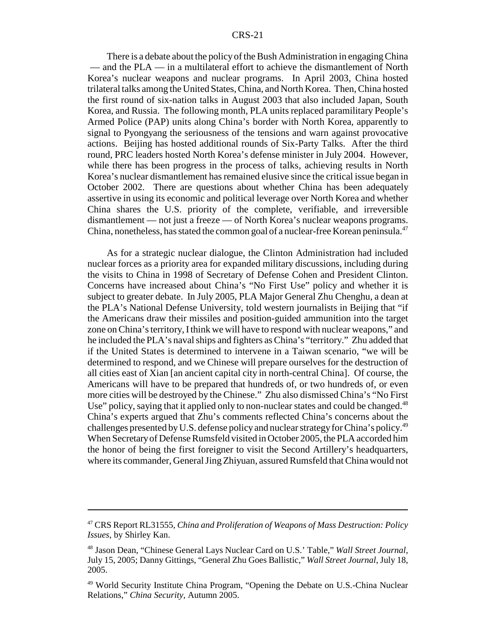There is a debate about the policy of the Bush Administration in engaging China — and the PLA — in a multilateral effort to achieve the dismantlement of North Korea's nuclear weapons and nuclear programs. In April 2003, China hosted trilateral talks among the United States, China, and North Korea. Then, China hosted the first round of six-nation talks in August 2003 that also included Japan, South Korea, and Russia. The following month, PLA units replaced paramilitary People's Armed Police (PAP) units along China's border with North Korea, apparently to signal to Pyongyang the seriousness of the tensions and warn against provocative actions. Beijing has hosted additional rounds of Six-Party Talks. After the third round, PRC leaders hosted North Korea's defense minister in July 2004. However, while there has been progress in the process of talks, achieving results in North Korea's nuclear dismantlement has remained elusive since the critical issue began in October 2002. There are questions about whether China has been adequately assertive in using its economic and political leverage over North Korea and whether China shares the U.S. priority of the complete, verifiable, and irreversible dismantlement — not just a freeze — of North Korea's nuclear weapons programs. China, nonetheless, has stated the common goal of a nuclear-free Korean peninsula.<sup>47</sup>

As for a strategic nuclear dialogue, the Clinton Administration had included nuclear forces as a priority area for expanded military discussions, including during the visits to China in 1998 of Secretary of Defense Cohen and President Clinton. Concerns have increased about China's "No First Use" policy and whether it is subject to greater debate. In July 2005, PLA Major General Zhu Chenghu, a dean at the PLA's National Defense University, told western journalists in Beijing that "if the Americans draw their missiles and position-guided ammunition into the target zone on China's territory, I think we will have to respond with nuclear weapons," and he included the PLA's naval ships and fighters as China's "territory." Zhu added that if the United States is determined to intervene in a Taiwan scenario, "we will be determined to respond, and we Chinese will prepare ourselves for the destruction of all cities east of Xian [an ancient capital city in north-central China]. Of course, the Americans will have to be prepared that hundreds of, or two hundreds of, or even more cities will be destroyed by the Chinese." Zhu also dismissed China's "No First Use" policy, saying that it applied only to non-nuclear states and could be changed.<sup>48</sup> China's experts argued that Zhu's comments reflected China's concerns about the challenges presented by U.S. defense policy and nuclear strategy for China's policy.<sup>49</sup> When Secretary of Defense Rumsfeld visited in October 2005, the PLA accorded him the honor of being the first foreigner to visit the Second Artillery's headquarters, where its commander, General Jing Zhiyuan, assured Rumsfeld that China would not

<sup>47</sup> CRS Report RL31555, *China and Proliferation of Weapons of Mass Destruction: Policy Issues*, by Shirley Kan.

<sup>48</sup> Jason Dean, "Chinese General Lays Nuclear Card on U.S.' Table," *Wall Street Journal*, July 15, 2005; Danny Gittings, "General Zhu Goes Ballistic," *Wall Street Journal*, July 18, 2005.

<sup>49</sup> World Security Institute China Program, "Opening the Debate on U.S.-China Nuclear Relations," *China Security*, Autumn 2005.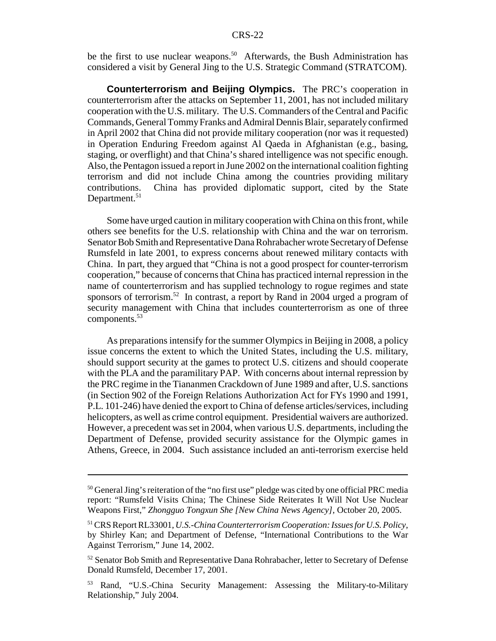be the first to use nuclear weapons.<sup>50</sup> Afterwards, the Bush Administration has considered a visit by General Jing to the U.S. Strategic Command (STRATCOM).

**Counterterrorism and Beijing Olympics.** The PRC's cooperation in counterterrorism after the attacks on September 11, 2001, has not included military cooperation with the U.S. military. The U.S. Commanders of the Central and Pacific Commands, General Tommy Franks and Admiral Dennis Blair, separately confirmed in April 2002 that China did not provide military cooperation (nor was it requested) in Operation Enduring Freedom against Al Qaeda in Afghanistan (e.g., basing, staging, or overflight) and that China's shared intelligence was not specific enough. Also, the Pentagon issued a report in June 2002 on the international coalition fighting terrorism and did not include China among the countries providing military contributions. China has provided diplomatic support, cited by the State Department.<sup>51</sup>

Some have urged caution in military cooperation with China on this front, while others see benefits for the U.S. relationship with China and the war on terrorism. Senator Bob Smith and Representative Dana Rohrabacher wrote Secretary of Defense Rumsfeld in late 2001, to express concerns about renewed military contacts with China. In part, they argued that "China is not a good prospect for counter-terrorism cooperation," because of concerns that China has practiced internal repression in the name of counterterrorism and has supplied technology to rogue regimes and state sponsors of terrorism.<sup>52</sup> In contrast, a report by Rand in 2004 urged a program of security management with China that includes counterterrorism as one of three components.<sup>53</sup>

As preparations intensify for the summer Olympics in Beijing in 2008, a policy issue concerns the extent to which the United States, including the U.S. military, should support security at the games to protect U.S. citizens and should cooperate with the PLA and the paramilitary PAP. With concerns about internal repression by the PRC regime in the Tiananmen Crackdown of June 1989 and after, U.S. sanctions (in Section 902 of the Foreign Relations Authorization Act for FYs 1990 and 1991, P.L. 101-246) have denied the export to China of defense articles/services, including helicopters, as well as crime control equipment. Presidential waivers are authorized. However, a precedent was set in 2004, when various U.S. departments, including the Department of Defense, provided security assistance for the Olympic games in Athens, Greece, in 2004. Such assistance included an anti-terrorism exercise held

<sup>&</sup>lt;sup>50</sup> General Jing's reiteration of the "no first use" pledge was cited by one official PRC media report: "Rumsfeld Visits China; The Chinese Side Reiterates It Will Not Use Nuclear Weapons First," *Zhongguo Tongxun She [New China News Agency]*, October 20, 2005.

<sup>51</sup> CRS Report RL33001, *U.S.-China Counterterrorism Cooperation: Issues for U.S. Policy*, by Shirley Kan; and Department of Defense, "International Contributions to the War Against Terrorism," June 14, 2002.

<sup>&</sup>lt;sup>52</sup> Senator Bob Smith and Representative Dana Rohrabacher, letter to Secretary of Defense Donald Rumsfeld, December 17, 2001.

<sup>53</sup> Rand, "U.S.-China Security Management: Assessing the Military-to-Military Relationship," July 2004.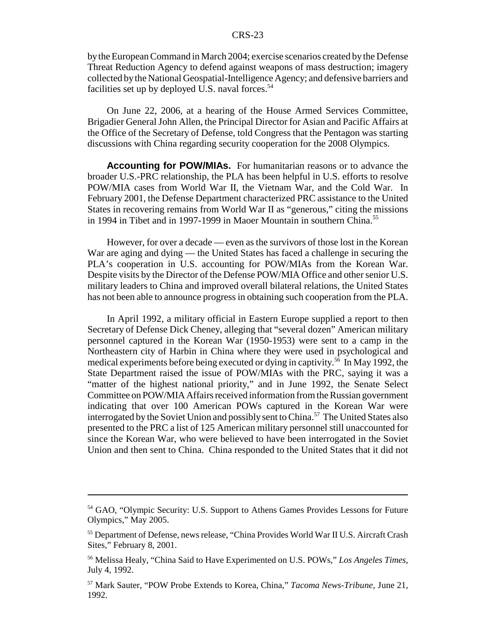by the European Command in March 2004; exercise scenarios created by the Defense Threat Reduction Agency to defend against weapons of mass destruction; imagery collected by the National Geospatial-Intelligence Agency; and defensive barriers and facilities set up by deployed U.S. naval forces.<sup>54</sup>

On June 22, 2006, at a hearing of the House Armed Services Committee, Brigadier General John Allen, the Principal Director for Asian and Pacific Affairs at the Office of the Secretary of Defense, told Congress that the Pentagon was starting discussions with China regarding security cooperation for the 2008 Olympics.

**Accounting for POW/MIAs.** For humanitarian reasons or to advance the broader U.S.-PRC relationship, the PLA has been helpful in U.S. efforts to resolve POW/MIA cases from World War II, the Vietnam War, and the Cold War. In February 2001, the Defense Department characterized PRC assistance to the United States in recovering remains from World War II as "generous," citing the missions in 1994 in Tibet and in 1997-1999 in Maoer Mountain in southern China.<sup>55</sup>

However, for over a decade — even as the survivors of those lost in the Korean War are aging and dying — the United States has faced a challenge in securing the PLA's cooperation in U.S. accounting for POW/MIAs from the Korean War. Despite visits by the Director of the Defense POW/MIA Office and other senior U.S. military leaders to China and improved overall bilateral relations, the United States has not been able to announce progress in obtaining such cooperation from the PLA.

In April 1992, a military official in Eastern Europe supplied a report to then Secretary of Defense Dick Cheney, alleging that "several dozen" American military personnel captured in the Korean War (1950-1953) were sent to a camp in the Northeastern city of Harbin in China where they were used in psychological and medical experiments before being executed or dying in captivity.<sup>56</sup> In May 1992, the State Department raised the issue of POW/MIAs with the PRC, saying it was a "matter of the highest national priority," and in June 1992, the Senate Select Committee on POW/MIA Affairs received information from the Russian government indicating that over 100 American POWs captured in the Korean War were interrogated by the Soviet Union and possibly sent to China.57 The United States also presented to the PRC a list of 125 American military personnel still unaccounted for since the Korean War, who were believed to have been interrogated in the Soviet Union and then sent to China. China responded to the United States that it did not

<sup>54</sup> GAO, "Olympic Security: U.S. Support to Athens Games Provides Lessons for Future Olympics," May 2005.

<sup>55</sup> Department of Defense, news release, "China Provides World War II U.S. Aircraft Crash Sites," February 8, 2001.

<sup>56</sup> Melissa Healy, "China Said to Have Experimented on U.S. POWs," *Los Angeles Times*, July 4, 1992.

<sup>57</sup> Mark Sauter, "POW Probe Extends to Korea, China," *Tacoma News-Tribune*, June 21, 1992.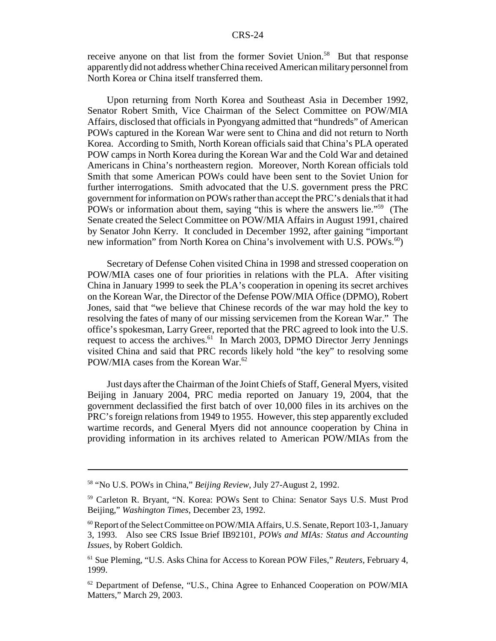receive anyone on that list from the former Soviet Union.<sup>58</sup> But that response apparently did not address whether China received American military personnel from North Korea or China itself transferred them.

Upon returning from North Korea and Southeast Asia in December 1992, Senator Robert Smith, Vice Chairman of the Select Committee on POW/MIA Affairs, disclosed that officials in Pyongyang admitted that "hundreds" of American POWs captured in the Korean War were sent to China and did not return to North Korea. According to Smith, North Korean officials said that China's PLA operated POW camps in North Korea during the Korean War and the Cold War and detained Americans in China's northeastern region. Moreover, North Korean officials told Smith that some American POWs could have been sent to the Soviet Union for further interrogations. Smith advocated that the U.S. government press the PRC government for information on POWs rather than accept the PRC's denials that it had POWs or information about them, saying "this is where the answers lie."59 (The Senate created the Select Committee on POW/MIA Affairs in August 1991, chaired by Senator John Kerry. It concluded in December 1992, after gaining "important new information" from North Korea on China's involvement with U.S. POWs.<sup>60</sup>)

Secretary of Defense Cohen visited China in 1998 and stressed cooperation on POW/MIA cases one of four priorities in relations with the PLA. After visiting China in January 1999 to seek the PLA's cooperation in opening its secret archives on the Korean War, the Director of the Defense POW/MIA Office (DPMO), Robert Jones, said that "we believe that Chinese records of the war may hold the key to resolving the fates of many of our missing servicemen from the Korean War." The office's spokesman, Larry Greer, reported that the PRC agreed to look into the U.S. request to access the archives. $61$  In March 2003, DPMO Director Jerry Jennings visited China and said that PRC records likely hold "the key" to resolving some POW/MIA cases from the Korean War.<sup>62</sup>

Just days after the Chairman of the Joint Chiefs of Staff, General Myers, visited Beijing in January 2004, PRC media reported on January 19, 2004, that the government declassified the first batch of over 10,000 files in its archives on the PRC's foreign relations from 1949 to 1955. However, this step apparently excluded wartime records, and General Myers did not announce cooperation by China in providing information in its archives related to American POW/MIAs from the

<sup>58 &</sup>quot;No U.S. POWs in China," *Beijing Review*, July 27-August 2, 1992.

<sup>59</sup> Carleton R. Bryant, "N. Korea: POWs Sent to China: Senator Says U.S. Must Prod Beijing," *Washington Times*, December 23, 1992.

 $60$  Report of the Select Committee on POW/MIA Affairs, U.S. Senate, Report 103-1, January 3, 1993. Also see CRS Issue Brief IB92101, *POWs and MIAs: Status and Accounting Issues*, by Robert Goldich.

<sup>61</sup> Sue Pleming, "U.S. Asks China for Access to Korean POW Files," *Reuters*, February 4, 1999.

<sup>62</sup> Department of Defense, "U.S., China Agree to Enhanced Cooperation on POW/MIA Matters," March 29, 2003.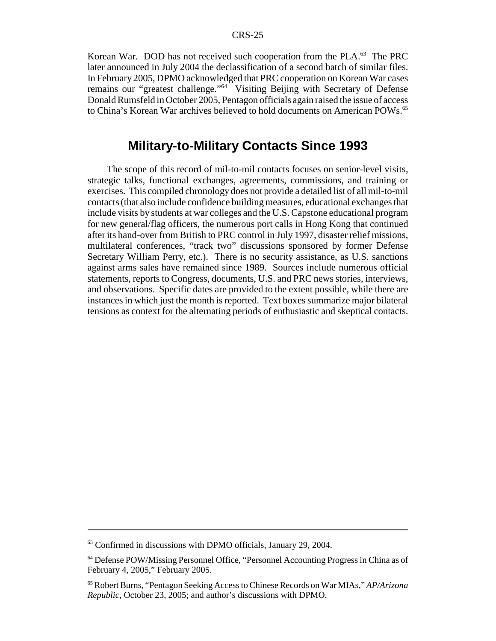Korean War. DOD has not received such cooperation from the PLA.<sup>63</sup> The PRC later announced in July 2004 the declassification of a second batch of similar files. In February 2005, DPMO acknowledged that PRC cooperation on Korean War cases remains our "greatest challenge."64 Visiting Beijing with Secretary of Defense Donald Rumsfeld in October 2005, Pentagon officials again raised the issue of access to China's Korean War archives believed to hold documents on American POWs.<sup>65</sup>

## **Military-to-Military Contacts Since 1993**

The scope of this record of mil-to-mil contacts focuses on senior-level visits, strategic talks, functional exchanges, agreements, commissions, and training or exercises. This compiled chronology does not provide a detailed list of all mil-to-mil contacts (that also include confidence building measures, educational exchanges that include visits by students at war colleges and the U.S. Capstone educational program for new general/flag officers, the numerous port calls in Hong Kong that continued after its hand-over from British to PRC control in July 1997, disaster relief missions, multilateral conferences, "track two" discussions sponsored by former Defense Secretary William Perry, etc.). There is no security assistance, as U.S. sanctions against arms sales have remained since 1989. Sources include numerous official statements, reports to Congress, documents, U.S. and PRC news stories, interviews, and observations. Specific dates are provided to the extent possible, while there are instances in which just the month is reported. Text boxes summarize major bilateral tensions as context for the alternating periods of enthusiastic and skeptical contacts.

<sup>63</sup> Confirmed in discussions with DPMO officials, January 29, 2004.

<sup>64</sup> Defense POW/Missing Personnel Office, "Personnel Accounting Progress in China as of February 4, 2005," February 2005.

<sup>65</sup> Robert Burns, "Pentagon Seeking Access to Chinese Records on War MIAs," *AP/Arizona Republic*, October 23, 2005; and author's discussions with DPMO.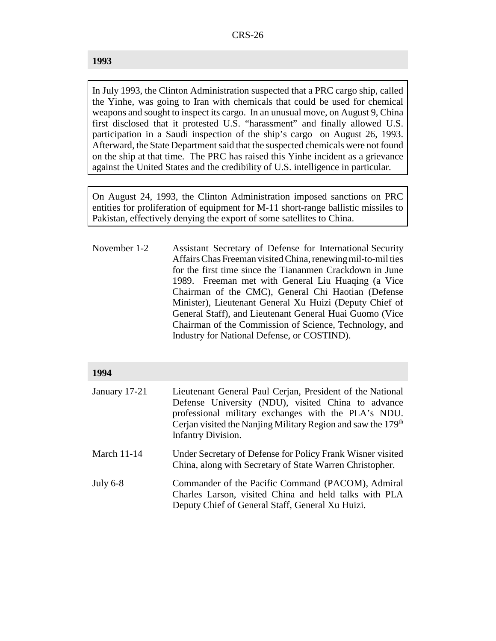#### **1993**

In July 1993, the Clinton Administration suspected that a PRC cargo ship, called the Yinhe, was going to Iran with chemicals that could be used for chemical weapons and sought to inspect its cargo. In an unusual move, on August 9, China first disclosed that it protested U.S. "harassment" and finally allowed U.S. participation in a Saudi inspection of the ship's cargo on August 26, 1993. Afterward, the State Department said that the suspected chemicals were not found on the ship at that time. The PRC has raised this Yinhe incident as a grievance against the United States and the credibility of U.S. intelligence in particular.

On August 24, 1993, the Clinton Administration imposed sanctions on PRC entities for proliferation of equipment for M-11 short-range ballistic missiles to Pakistan, effectively denying the export of some satellites to China.

November 1-2 Assistant Secretary of Defense for International Security Affairs Chas Freeman visited China, renewing mil-to-mil ties for the first time since the Tiananmen Crackdown in June 1989. Freeman met with General Liu Huaqing (a Vice Chairman of the CMC), General Chi Haotian (Defense Minister), Lieutenant General Xu Huizi (Deputy Chief of General Staff), and Lieutenant General Huai Guomo (Vice Chairman of the Commission of Science, Technology, and Industry for National Defense, or COSTIND).

#### **1994**

| January 17-21      | Lieutenant General Paul Cerjan, President of the National<br>Defense University (NDU), visited China to advance<br>professional military exchanges with the PLA's NDU.<br>Cerjan visited the Nanjing Military Region and saw the 179 <sup>th</sup><br><b>Infantry Division.</b> |
|--------------------|---------------------------------------------------------------------------------------------------------------------------------------------------------------------------------------------------------------------------------------------------------------------------------|
| <b>March 11-14</b> | Under Secretary of Defense for Policy Frank Wisner visited<br>China, along with Secretary of State Warren Christopher.                                                                                                                                                          |
| July $6-8$         | Commander of the Pacific Command (PACOM), Admiral<br>Charles Larson, visited China and held talks with PLA<br>Deputy Chief of General Staff, General Xu Huizi.                                                                                                                  |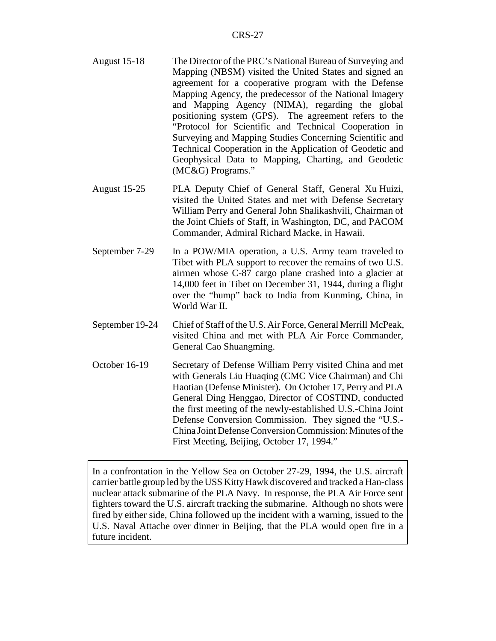- August 15-18 The Director of the PRC's National Bureau of Surveying and Mapping (NBSM) visited the United States and signed an agreement for a cooperative program with the Defense Mapping Agency, the predecessor of the National Imagery and Mapping Agency (NIMA), regarding the global positioning system (GPS). The agreement refers to the "Protocol for Scientific and Technical Cooperation in Surveying and Mapping Studies Concerning Scientific and Technical Cooperation in the Application of Geodetic and Geophysical Data to Mapping, Charting, and Geodetic (MC&G) Programs."
- August 15-25 PLA Deputy Chief of General Staff, General Xu Huizi, visited the United States and met with Defense Secretary William Perry and General John Shalikashvili, Chairman of the Joint Chiefs of Staff, in Washington, DC, and PACOM Commander, Admiral Richard Macke, in Hawaii.
- September 7-29 In a POW/MIA operation, a U.S. Army team traveled to Tibet with PLA support to recover the remains of two U.S. airmen whose C-87 cargo plane crashed into a glacier at 14,000 feet in Tibet on December 31, 1944, during a flight over the "hump" back to India from Kunming, China, in World War II.
- September 19-24 Chief of Staff of the U.S. Air Force, General Merrill McPeak, visited China and met with PLA Air Force Commander, General Cao Shuangming.
- October 16-19 Secretary of Defense William Perry visited China and met with Generals Liu Huaqing (CMC Vice Chairman) and Chi Haotian (Defense Minister). On October 17, Perry and PLA General Ding Henggao, Director of COSTIND, conducted the first meeting of the newly-established U.S.-China Joint Defense Conversion Commission. They signed the "U.S.- China Joint Defense Conversion Commission: Minutes of the First Meeting, Beijing, October 17, 1994."

In a confrontation in the Yellow Sea on October 27-29, 1994, the U.S. aircraft carrier battle group led by the USS Kitty Hawk discovered and tracked a Han-class nuclear attack submarine of the PLA Navy. In response, the PLA Air Force sent fighters toward the U.S. aircraft tracking the submarine. Although no shots were fired by either side, China followed up the incident with a warning, issued to the U.S. Naval Attache over dinner in Beijing, that the PLA would open fire in a future incident.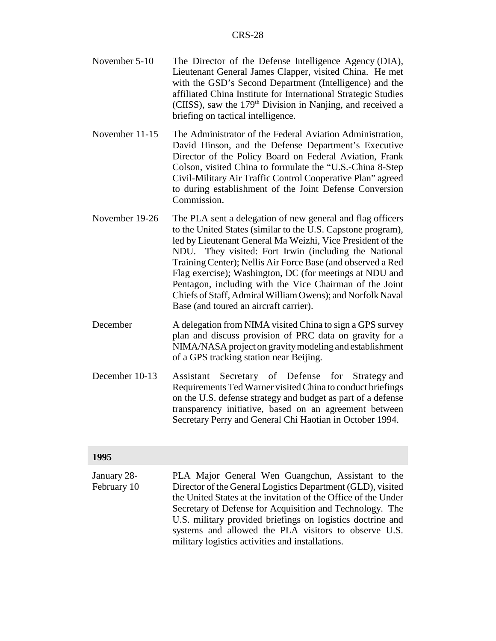- November 5-10 The Director of the Defense Intelligence Agency (DIA), Lieutenant General James Clapper, visited China. He met with the GSD's Second Department (Intelligence) and the affiliated China Institute for International Strategic Studies (CIISS), saw the  $179<sup>th</sup>$  Division in Nanjing, and received a briefing on tactical intelligence.
- November 11-15 The Administrator of the Federal Aviation Administration, David Hinson, and the Defense Department's Executive Director of the Policy Board on Federal Aviation, Frank Colson, visited China to formulate the "U.S.-China 8-Step Civil-Military Air Traffic Control Cooperative Plan" agreed to during establishment of the Joint Defense Conversion Commission.
- November 19-26 The PLA sent a delegation of new general and flag officers to the United States (similar to the U.S. Capstone program), led by Lieutenant General Ma Weizhi, Vice President of the NDU. They visited: Fort Irwin (including the National Training Center); Nellis Air Force Base (and observed a Red Flag exercise); Washington, DC (for meetings at NDU and Pentagon, including with the Vice Chairman of the Joint Chiefs of Staff, Admiral William Owens); and Norfolk Naval Base (and toured an aircraft carrier).
- December A delegation from NIMA visited China to sign a GPS survey plan and discuss provision of PRC data on gravity for a NIMA/NASA project on gravity modeling and establishment of a GPS tracking station near Beijing.
- December 10-13 Assistant Secretary of Defense for Strategy and Requirements Ted Warner visited China to conduct briefings on the U.S. defense strategy and budget as part of a defense transparency initiative, based on an agreement between Secretary Perry and General Chi Haotian in October 1994.

#### **1995**

January 28- February 10 PLA Major General Wen Guangchun, Assistant to the Director of the General Logistics Department (GLD), visited the United States at the invitation of the Office of the Under Secretary of Defense for Acquisition and Technology. The U.S. military provided briefings on logistics doctrine and systems and allowed the PLA visitors to observe U.S. military logistics activities and installations.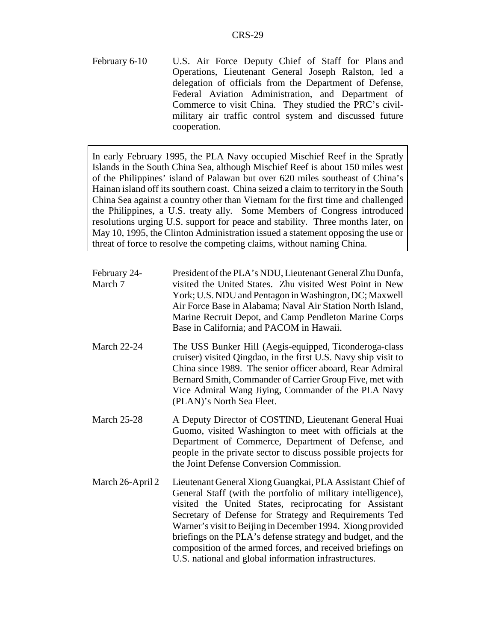February 6-10 U.S. Air Force Deputy Chief of Staff for Plans and Operations, Lieutenant General Joseph Ralston, led a delegation of officials from the Department of Defense, Federal Aviation Administration, and Department of Commerce to visit China. They studied the PRC's civilmilitary air traffic control system and discussed future cooperation.

In early February 1995, the PLA Navy occupied Mischief Reef in the Spratly Islands in the South China Sea, although Mischief Reef is about 150 miles west of the Philippines' island of Palawan but over 620 miles southeast of China's Hainan island off its southern coast. China seized a claim to territory in the South China Sea against a country other than Vietnam for the first time and challenged the Philippines, a U.S. treaty ally. Some Members of Congress introduced resolutions urging U.S. support for peace and stability. Three months later, on May 10, 1995, the Clinton Administration issued a statement opposing the use or threat of force to resolve the competing claims, without naming China.

| February 24-<br>March 7 | President of the PLA's NDU, Lieutenant General Zhu Dunfa,<br>visited the United States. Zhu visited West Point in New<br>York; U.S. NDU and Pentagon in Washington, DC; Maxwell<br>Air Force Base in Alabama; Naval Air Station North Island,<br>Marine Recruit Depot, and Camp Pendleton Marine Corps<br>Base in California; and PACOM in Hawaii.                                                                                                                                                                                                 |
|-------------------------|----------------------------------------------------------------------------------------------------------------------------------------------------------------------------------------------------------------------------------------------------------------------------------------------------------------------------------------------------------------------------------------------------------------------------------------------------------------------------------------------------------------------------------------------------|
| <b>March 22-24</b>      | The USS Bunker Hill (Aegis-equipped, Ticonderoga-class<br>cruiser) visited Qingdao, in the first U.S. Navy ship visit to<br>China since 1989. The senior officer aboard, Rear Admiral<br>Bernard Smith, Commander of Carrier Group Five, met with<br>Vice Admiral Wang Jiying, Commander of the PLA Navy<br>(PLAN)'s North Sea Fleet.                                                                                                                                                                                                              |
| <b>March 25-28</b>      | A Deputy Director of COSTIND, Lieutenant General Huai<br>Guomo, visited Washington to meet with officials at the<br>Department of Commerce, Department of Defense, and<br>people in the private sector to discuss possible projects for<br>the Joint Defense Conversion Commission.                                                                                                                                                                                                                                                                |
| March 26-April 2        | Lieutenant General Xiong Guangkai, PLA Assistant Chief of<br>General Staff (with the portfolio of military intelligence),<br>visited the United States, reciprocating for Assistant<br>$\mathcal{L}$ $\mathcal{L}$ $\mathcal{L}$ $\mathcal{L}$ $\mathcal{L}$ $\mathcal{L}$ $\mathcal{L}$ $\mathcal{L}$ $\mathcal{L}$ $\mathcal{L}$ $\mathcal{L}$ $\mathcal{L}$ $\mathcal{L}$ $\mathcal{L}$ $\mathcal{L}$ $\mathcal{L}$ $\mathcal{L}$ $\mathcal{L}$ $\mathcal{L}$ $\mathcal{L}$ $\mathcal{L}$ $\mathcal{L}$ $\mathcal{L}$ $\mathcal{L}$ $\mathcal{$ |

Secretary of Defense for Strategy and Requirements Ted Warner's visit to Beijing in December 1994. Xiong provided briefings on the PLA's defense strategy and budget, and the composition of the armed forces, and received briefings on U.S. national and global information infrastructures.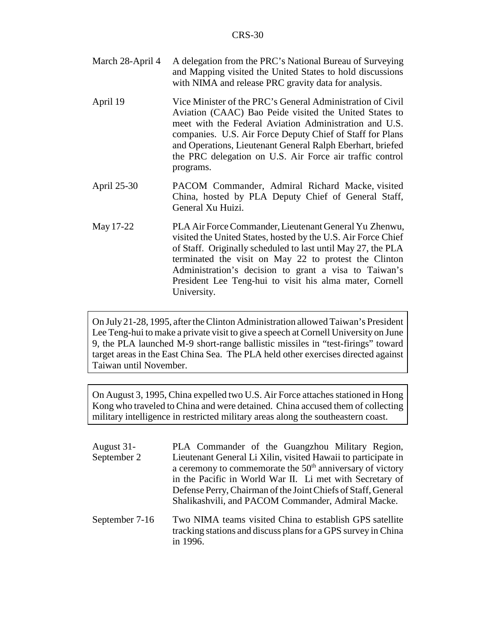- March 28-April 4 A delegation from the PRC's National Bureau of Surveying and Mapping visited the United States to hold discussions with NIMA and release PRC gravity data for analysis.
- April 19 Vice Minister of the PRC's General Administration of Civil Aviation (CAAC) Bao Peide visited the United States to meet with the Federal Aviation Administration and U.S. companies. U.S. Air Force Deputy Chief of Staff for Plans and Operations, Lieutenant General Ralph Eberhart, briefed the PRC delegation on U.S. Air Force air traffic control programs.
- April 25-30 PACOM Commander, Admiral Richard Macke, visited China, hosted by PLA Deputy Chief of General Staff, General Xu Huizi.
- May 17-22 PLA Air Force Commander, Lieutenant General Yu Zhenwu, visited the United States, hosted by the U.S. Air Force Chief of Staff. Originally scheduled to last until May 27, the PLA terminated the visit on May 22 to protest the Clinton Administration's decision to grant a visa to Taiwan's President Lee Teng-hui to visit his alma mater, Cornell University.

On July 21-28, 1995, after the Clinton Administration allowed Taiwan's President Lee Teng-hui to make a private visit to give a speech at Cornell University on June 9, the PLA launched M-9 short-range ballistic missiles in "test-firings" toward target areas in the East China Sea. The PLA held other exercises directed against Taiwan until November.

On August 3, 1995, China expelled two U.S. Air Force attaches stationed in Hong Kong who traveled to China and were detained. China accused them of collecting military intelligence in restricted military areas along the southeastern coast.

- August 31- September 2 PLA Commander of the Guangzhou Military Region, Lieutenant General Li Xilin, visited Hawaii to participate in a ceremony to commemorate the  $50<sup>th</sup>$  anniversary of victory in the Pacific in World War II. Li met with Secretary of Defense Perry, Chairman of the Joint Chiefs of Staff, General Shalikashvili, and PACOM Commander, Admiral Macke.
- September 7-16 Two NIMA teams visited China to establish GPS satellite tracking stations and discuss plans for a GPS survey in China in 1996.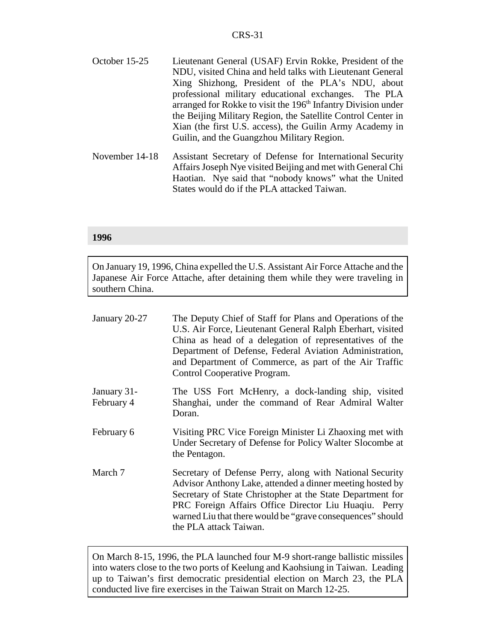- October 15-25 Lieutenant General (USAF) Ervin Rokke, President of the NDU, visited China and held talks with Lieutenant General Xing Shizhong, President of the PLA's NDU, about professional military educational exchanges. The PLA arranged for Rokke to visit the 196<sup>th</sup> Infantry Division under the Beijing Military Region, the Satellite Control Center in Xian (the first U.S. access), the Guilin Army Academy in Guilin, and the Guangzhou Military Region.
- November 14-18 Assistant Secretary of Defense for International Security Affairs Joseph Nye visited Beijing and met with General Chi Haotian. Nye said that "nobody knows" what the United States would do if the PLA attacked Taiwan.

#### **1996**

On January 19, 1996, China expelled the U.S. Assistant Air Force Attache and the Japanese Air Force Attache, after detaining them while they were traveling in southern China.

| January 20-27             | The Deputy Chief of Staff for Plans and Operations of the<br>U.S. Air Force, Lieutenant General Ralph Eberhart, visited<br>China as head of a delegation of representatives of the<br>Department of Defense, Federal Aviation Administration,<br>and Department of Commerce, as part of the Air Traffic<br>Control Cooperative Program. |
|---------------------------|-----------------------------------------------------------------------------------------------------------------------------------------------------------------------------------------------------------------------------------------------------------------------------------------------------------------------------------------|
| January 31-<br>February 4 | The USS Fort McHenry, a dock-landing ship, visited<br>Shanghai, under the command of Rear Admiral Walter<br>Doran.                                                                                                                                                                                                                      |
| February 6                | Visiting PRC Vice Foreign Minister Li Zhaoxing met with<br>Under Secretary of Defense for Policy Walter Slocombe at<br>the Pentagon.                                                                                                                                                                                                    |
| March 7                   | Secretary of Defense Perry, along with National Security<br>Advisor Anthony Lake, attended a dinner meeting hosted by<br>Secretary of State Christopher at the State Department for<br>PRC Foreign Affairs Office Director Liu Huaqiu. Perry<br>warned Liu that there would be "grave consequences" should<br>the PLA attack Taiwan.    |

On March 8-15, 1996, the PLA launched four M-9 short-range ballistic missiles into waters close to the two ports of Keelung and Kaohsiung in Taiwan. Leading up to Taiwan's first democratic presidential election on March 23, the PLA conducted live fire exercises in the Taiwan Strait on March 12-25.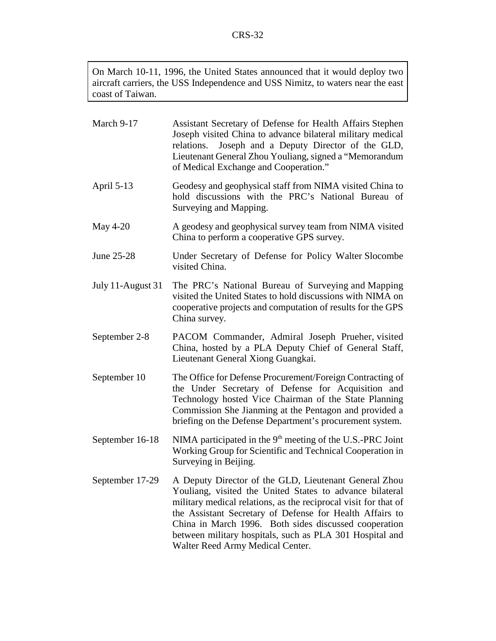On March 10-11, 1996, the United States announced that it would deploy two aircraft carriers, the USS Independence and USS Nimitz, to waters near the east coast of Taiwan.

| March 9-17        | Assistant Secretary of Defense for Health Affairs Stephen<br>Joseph visited China to advance bilateral military medical<br>Joseph and a Deputy Director of the GLD,<br>relations.<br>Lieutenant General Zhou Youliang, signed a "Memorandum<br>of Medical Exchange and Cooperation."                                                                                                                      |
|-------------------|-----------------------------------------------------------------------------------------------------------------------------------------------------------------------------------------------------------------------------------------------------------------------------------------------------------------------------------------------------------------------------------------------------------|
| April 5-13        | Geodesy and geophysical staff from NIMA visited China to<br>hold discussions with the PRC's National Bureau of<br>Surveying and Mapping.                                                                                                                                                                                                                                                                  |
| May 4-20          | A geodesy and geophysical survey team from NIMA visited<br>China to perform a cooperative GPS survey.                                                                                                                                                                                                                                                                                                     |
| June 25-28        | Under Secretary of Defense for Policy Walter Slocombe<br>visited China.                                                                                                                                                                                                                                                                                                                                   |
| July 11-August 31 | The PRC's National Bureau of Surveying and Mapping<br>visited the United States to hold discussions with NIMA on<br>cooperative projects and computation of results for the GPS<br>China survey.                                                                                                                                                                                                          |
| September 2-8     | PACOM Commander, Admiral Joseph Prueher, visited<br>China, hosted by a PLA Deputy Chief of General Staff,<br>Lieutenant General Xiong Guangkai.                                                                                                                                                                                                                                                           |
| September 10      | The Office for Defense Procurement/Foreign Contracting of<br>the Under Secretary of Defense for Acquisition and<br>Technology hosted Vice Chairman of the State Planning<br>Commission She Jianming at the Pentagon and provided a<br>briefing on the Defense Department's procurement system.                                                                                                            |
| September 16-18   | NIMA participated in the 9 <sup>th</sup> meeting of the U.S.-PRC Joint<br>Working Group for Scientific and Technical Cooperation in<br>Surveying in Beijing.                                                                                                                                                                                                                                              |
| September 17-29   | A Deputy Director of the GLD, Lieutenant General Zhou<br>Youliang, visited the United States to advance bilateral<br>military medical relations, as the reciprocal visit for that of<br>the Assistant Secretary of Defense for Health Affairs to<br>China in March 1996. Both sides discussed cooperation<br>between military hospitals, such as PLA 301 Hospital and<br>Walter Reed Army Medical Center. |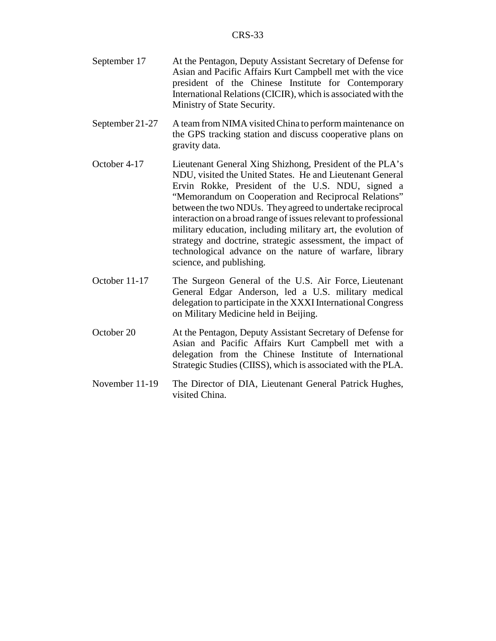- September 17 At the Pentagon, Deputy Assistant Secretary of Defense for Asian and Pacific Affairs Kurt Campbell met with the vice president of the Chinese Institute for Contemporary International Relations (CICIR), which is associated with the Ministry of State Security.
- September 21-27 A team from NIMA visited China to perform maintenance on the GPS tracking station and discuss cooperative plans on gravity data.
- October 4-17 Lieutenant General Xing Shizhong, President of the PLA's NDU, visited the United States. He and Lieutenant General Ervin Rokke, President of the U.S. NDU, signed a "Memorandum on Cooperation and Reciprocal Relations" between the two NDUs. They agreed to undertake reciprocal interaction on a broad range of issues relevant to professional military education, including military art, the evolution of strategy and doctrine, strategic assessment, the impact of technological advance on the nature of warfare, library science, and publishing.
- October 11-17 The Surgeon General of the U.S. Air Force, Lieutenant General Edgar Anderson, led a U.S. military medical delegation to participate in the XXXI International Congress on Military Medicine held in Beijing.
- October 20 At the Pentagon, Deputy Assistant Secretary of Defense for Asian and Pacific Affairs Kurt Campbell met with a delegation from the Chinese Institute of International Strategic Studies (CIISS), which is associated with the PLA.
- November 11-19 The Director of DIA, Lieutenant General Patrick Hughes, visited China.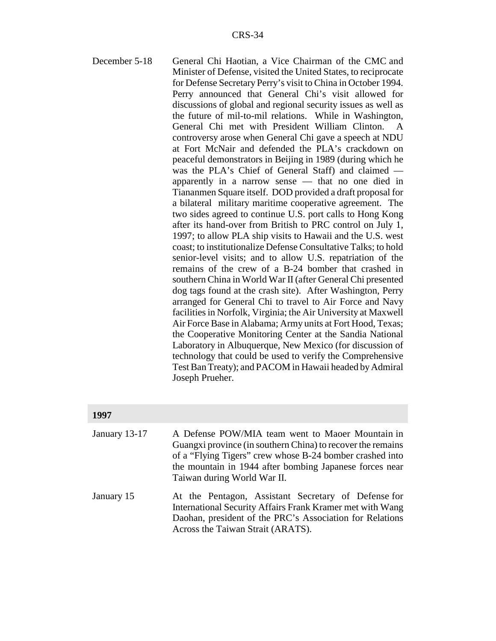December 5-18 General Chi Haotian, a Vice Chairman of the CMC and Minister of Defense, visited the United States, to reciprocate for Defense Secretary Perry's visit to China in October 1994. Perry announced that General Chi's visit allowed for discussions of global and regional security issues as well as the future of mil-to-mil relations. While in Washington, General Chi met with President William Clinton. A controversy arose when General Chi gave a speech at NDU at Fort McNair and defended the PLA's crackdown on peaceful demonstrators in Beijing in 1989 (during which he was the PLA's Chief of General Staff) and claimed apparently in a narrow sense — that no one died in Tiananmen Square itself. DOD provided a draft proposal for a bilateral military maritime cooperative agreement. The two sides agreed to continue U.S. port calls to Hong Kong after its hand-over from British to PRC control on July 1, 1997; to allow PLA ship visits to Hawaii and the U.S. west coast; to institutionalize Defense Consultative Talks; to hold senior-level visits; and to allow U.S. repatriation of the remains of the crew of a B-24 bomber that crashed in southern China in World War II (after General Chi presented dog tags found at the crash site). After Washington, Perry arranged for General Chi to travel to Air Force and Navy facilities in Norfolk, Virginia; the Air University at Maxwell Air Force Base in Alabama; Army units at Fort Hood, Texas; the Cooperative Monitoring Center at the Sandia National Laboratory in Albuquerque, New Mexico (for discussion of technology that could be used to verify the Comprehensive Test Ban Treaty); and PACOM in Hawaii headed by Admiral Joseph Prueher.

#### **1997**

| January 13-17 | A Defense POW/MIA team went to Maoer Mountain in<br>Guangxi province (in southern China) to recover the remains<br>of a "Flying Tigers" crew whose B-24 bomber crashed into  |
|---------------|------------------------------------------------------------------------------------------------------------------------------------------------------------------------------|
|               | the mountain in 1944 after bombing Japanese forces near<br>Taiwan during World War II.                                                                                       |
| January 15    | At the Pentagon, Assistant Secretary of Defense for<br>International Security Affairs Frank Kramer met with Wang<br>Daohan, president of the PRC's Association for Relations |

Across the Taiwan Strait (ARATS).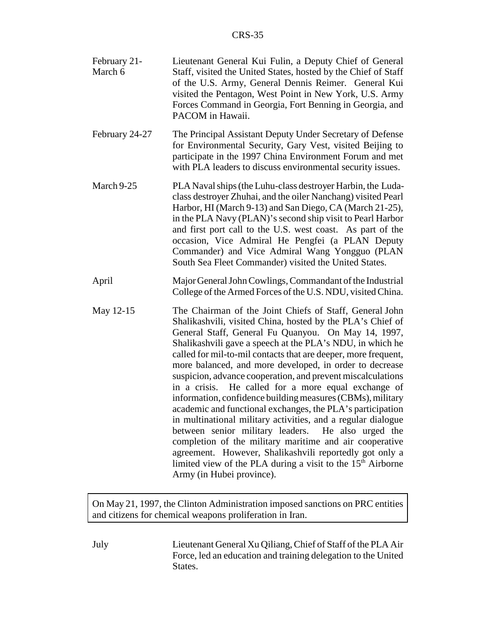| February 21-<br>March 6 | Lieutenant General Kui Fulin, a Deputy Chief of General<br>Staff, visited the United States, hosted by the Chief of Staff<br>of the U.S. Army, General Dennis Reimer. General Kui<br>visited the Pentagon, West Point in New York, U.S. Army<br>Forces Command in Georgia, Fort Benning in Georgia, and<br>PACOM in Hawaii.                                                                                                                                                                                                                                                                                                                                                                                                                                                                                                                                                                                                                                                  |
|-------------------------|------------------------------------------------------------------------------------------------------------------------------------------------------------------------------------------------------------------------------------------------------------------------------------------------------------------------------------------------------------------------------------------------------------------------------------------------------------------------------------------------------------------------------------------------------------------------------------------------------------------------------------------------------------------------------------------------------------------------------------------------------------------------------------------------------------------------------------------------------------------------------------------------------------------------------------------------------------------------------|
| February 24-27          | The Principal Assistant Deputy Under Secretary of Defense<br>for Environmental Security, Gary Vest, visited Beijing to<br>participate in the 1997 China Environment Forum and met<br>with PLA leaders to discuss environmental security issues.                                                                                                                                                                                                                                                                                                                                                                                                                                                                                                                                                                                                                                                                                                                              |
| March 9-25              | PLA Naval ships (the Luhu-class destroyer Harbin, the Luda-<br>class destroyer Zhuhai, and the oiler Nanchang) visited Pearl<br>Harbor, HI (March 9-13) and San Diego, CA (March 21-25),<br>in the PLA Navy (PLAN)'s second ship visit to Pearl Harbor<br>and first port call to the U.S. west coast. As part of the<br>occasion, Vice Admiral He Pengfei (a PLAN Deputy<br>Commander) and Vice Admiral Wang Yongguo (PLAN<br>South Sea Fleet Commander) visited the United States.                                                                                                                                                                                                                                                                                                                                                                                                                                                                                          |
| April                   | Major General John Cowlings, Commandant of the Industrial<br>College of the Armed Forces of the U.S. NDU, visited China.                                                                                                                                                                                                                                                                                                                                                                                                                                                                                                                                                                                                                                                                                                                                                                                                                                                     |
| May 12-15               | The Chairman of the Joint Chiefs of Staff, General John<br>Shalikashvili, visited China, hosted by the PLA's Chief of<br>General Staff, General Fu Quanyou. On May 14, 1997,<br>Shalikashvili gave a speech at the PLA's NDU, in which he<br>called for mil-to-mil contacts that are deeper, more frequent,<br>more balanced, and more developed, in order to decrease<br>suspicion, advance cooperation, and prevent miscalculations<br>in a crisis. He called for a more equal exchange of<br>information, confidence building measures (CBMs), military<br>academic and functional exchanges, the PLA's participation<br>in multinational military activities, and a regular dialogue<br>between senior military leaders. He also urged the<br>completion of the military maritime and air cooperative<br>agreement. However, Shalikashvili reportedly got only a<br>limited view of the PLA during a visit to the 15 <sup>th</sup> Airborne<br>Army (in Hubei province). |

On May 21, 1997, the Clinton Administration imposed sanctions on PRC entities and citizens for chemical weapons proliferation in Iran.

July Lieutenant General Xu Qiliang, Chief of Staff of the PLA Air Force, led an education and training delegation to the United States.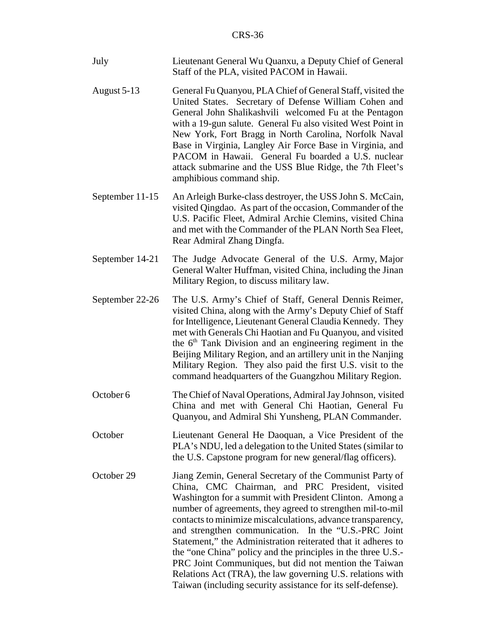- July Lieutenant General Wu Quanxu, a Deputy Chief of General Staff of the PLA, visited PACOM in Hawaii.
- August 5-13 General Fu Quanyou, PLA Chief of General Staff, visited the United States. Secretary of Defense William Cohen and General John Shalikashvili welcomed Fu at the Pentagon with a 19-gun salute. General Fu also visited West Point in New York, Fort Bragg in North Carolina, Norfolk Naval Base in Virginia, Langley Air Force Base in Virginia, and PACOM in Hawaii. General Fu boarded a U.S. nuclear attack submarine and the USS Blue Ridge, the 7th Fleet's amphibious command ship.
- September 11-15 An Arleigh Burke-class destroyer, the USS John S. McCain, visited Qingdao. As part of the occasion, Commander of the U.S. Pacific Fleet, Admiral Archie Clemins, visited China and met with the Commander of the PLAN North Sea Fleet, Rear Admiral Zhang Dingfa.
- September 14-21 The Judge Advocate General of the U.S. Army, Major General Walter Huffman, visited China, including the Jinan Military Region, to discuss military law.
- September 22-26 The U.S. Army's Chief of Staff, General Dennis Reimer, visited China, along with the Army's Deputy Chief of Staff for Intelligence, Lieutenant General Claudia Kennedy. They met with Generals Chi Haotian and Fu Quanyou, and visited the  $6<sup>th</sup>$  Tank Division and an engineering regiment in the Beijing Military Region, and an artillery unit in the Nanjing Military Region. They also paid the first U.S. visit to the command headquarters of the Guangzhou Military Region.
- October 6 The Chief of Naval Operations, Admiral Jay Johnson, visited China and met with General Chi Haotian, General Fu Quanyou, and Admiral Shi Yunsheng, PLAN Commander.
- October Lieutenant General He Daoquan, a Vice President of the PLA's NDU, led a delegation to the United States (similar to the U.S. Capstone program for new general/flag officers).
- October 29 Jiang Zemin, General Secretary of the Communist Party of China, CMC Chairman, and PRC President, visited Washington for a summit with President Clinton. Among a number of agreements, they agreed to strengthen mil-to-mil contacts to minimize miscalculations, advance transparency, and strengthen communication. In the "U.S.-PRC Joint Statement," the Administration reiterated that it adheres to the "one China" policy and the principles in the three U.S.- PRC Joint Communiques, but did not mention the Taiwan Relations Act (TRA), the law governing U.S. relations with Taiwan (including security assistance for its self-defense).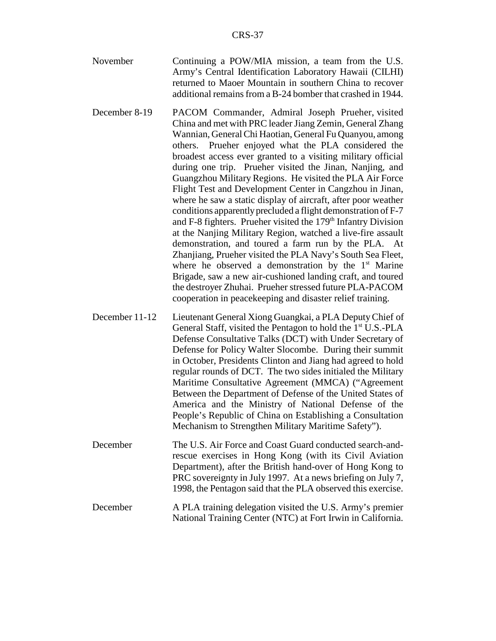- November Continuing a POW/MIA mission, a team from the U.S. Army's Central Identification Laboratory Hawaii (CILHI) returned to Maoer Mountain in southern China to recover additional remains from a B-24 bomber that crashed in 1944.
- December 8-19 PACOM Commander, Admiral Joseph Prueher, visited China and met with PRC leader Jiang Zemin, General Zhang Wannian, General Chi Haotian, General Fu Quanyou, among others. Prueher enjoyed what the PLA considered the broadest access ever granted to a visiting military official during one trip. Prueher visited the Jinan, Nanjing, and Guangzhou Military Regions. He visited the PLA Air Force Flight Test and Development Center in Cangzhou in Jinan, where he saw a static display of aircraft, after poor weather conditions apparently precluded a flight demonstration of F-7 and F-8 fighters. Prueher visited the 179<sup>th</sup> Infantry Division at the Nanjing Military Region, watched a live-fire assault demonstration, and toured a farm run by the PLA. At Zhanjiang, Prueher visited the PLA Navy's South Sea Fleet, where he observed a demonstration by the  $1<sup>st</sup>$  Marine Brigade, saw a new air-cushioned landing craft, and toured the destroyer Zhuhai. Prueher stressed future PLA-PACOM cooperation in peacekeeping and disaster relief training.
- December 11-12 Lieutenant General Xiong Guangkai, a PLA Deputy Chief of General Staff, visited the Pentagon to hold the 1<sup>st</sup> U.S.-PLA Defense Consultative Talks (DCT) with Under Secretary of Defense for Policy Walter Slocombe. During their summit in October, Presidents Clinton and Jiang had agreed to hold regular rounds of DCT. The two sides initialed the Military Maritime Consultative Agreement (MMCA) ("Agreement Between the Department of Defense of the United States of America and the Ministry of National Defense of the People's Republic of China on Establishing a Consultation Mechanism to Strengthen Military Maritime Safety").
- December The U.S. Air Force and Coast Guard conducted search-andrescue exercises in Hong Kong (with its Civil Aviation Department), after the British hand-over of Hong Kong to PRC sovereignty in July 1997. At a news briefing on July 7, 1998, the Pentagon said that the PLA observed this exercise.
- December A PLA training delegation visited the U.S. Army's premier National Training Center (NTC) at Fort Irwin in California.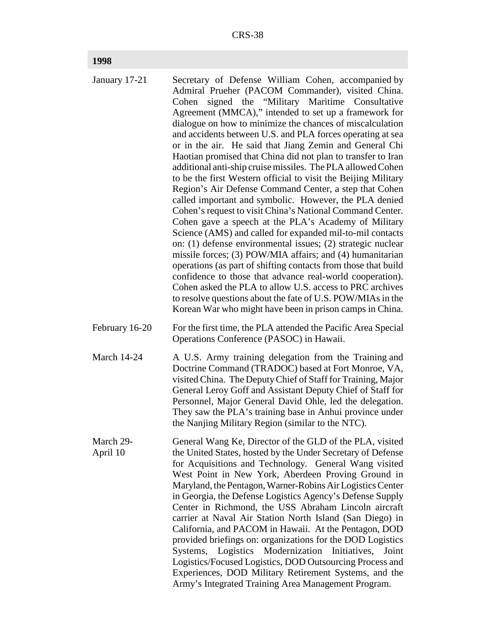## **1998**

| January 17-21         | Secretary of Defense William Cohen, accompanied by<br>Admiral Prueher (PACOM Commander), visited China.<br>signed the "Military Maritime Consultative<br>Cohen<br>Agreement (MMCA)," intended to set up a framework for<br>dialogue on how to minimize the chances of miscalculation<br>and accidents between U.S. and PLA forces operating at sea<br>or in the air. He said that Jiang Zemin and General Chi<br>Haotian promised that China did not plan to transfer to Iran<br>additional anti-ship cruise missiles. The PLA allowed Cohen<br>to be the first Western official to visit the Beijing Military<br>Region's Air Defense Command Center, a step that Cohen<br>called important and symbolic. However, the PLA denied<br>Cohen's request to visit China's National Command Center.<br>Cohen gave a speech at the PLA's Academy of Military<br>Science (AMS) and called for expanded mil-to-mil contacts<br>on: (1) defense environmental issues; (2) strategic nuclear<br>missile forces; (3) POW/MIA affairs; and (4) humanitarian<br>operations (as part of shifting contacts from those that build<br>confidence to those that advance real-world cooperation).<br>Cohen asked the PLA to allow U.S. access to PRC archives<br>to resolve questions about the fate of U.S. POW/MIAs in the<br>Korean War who might have been in prison camps in China. |
|-----------------------|------------------------------------------------------------------------------------------------------------------------------------------------------------------------------------------------------------------------------------------------------------------------------------------------------------------------------------------------------------------------------------------------------------------------------------------------------------------------------------------------------------------------------------------------------------------------------------------------------------------------------------------------------------------------------------------------------------------------------------------------------------------------------------------------------------------------------------------------------------------------------------------------------------------------------------------------------------------------------------------------------------------------------------------------------------------------------------------------------------------------------------------------------------------------------------------------------------------------------------------------------------------------------------------------------------------------------------------------------------------------|
| February 16-20        | For the first time, the PLA attended the Pacific Area Special<br>Operations Conference (PASOC) in Hawaii.                                                                                                                                                                                                                                                                                                                                                                                                                                                                                                                                                                                                                                                                                                                                                                                                                                                                                                                                                                                                                                                                                                                                                                                                                                                              |
| <b>March 14-24</b>    | A U.S. Army training delegation from the Training and<br>Doctrine Command (TRADOC) based at Fort Monroe, VA,<br>visited China. The Deputy Chief of Staff for Training, Major<br>General Leroy Goff and Assistant Deputy Chief of Staff for<br>Personnel, Major General David Ohle, led the delegation.<br>They saw the PLA's training base in Anhui province under<br>the Nanjing Military Region (similar to the NTC).                                                                                                                                                                                                                                                                                                                                                                                                                                                                                                                                                                                                                                                                                                                                                                                                                                                                                                                                                |
| March 29-<br>April 10 | General Wang Ke, Director of the GLD of the PLA, visited<br>the United States, hosted by the Under Secretary of Defense<br>for Acquisitions and Technology. General Wang visited<br>West Point in New York, Aberdeen Proving Ground in<br>Maryland, the Pentagon, Warner-Robins Air Logistics Center<br>in Georgia, the Defense Logistics Agency's Defense Supply<br>Center in Richmond, the USS Abraham Lincoln aircraft<br>carrier at Naval Air Station North Island (San Diego) in<br>California, and PACOM in Hawaii. At the Pentagon, DOD<br>provided briefings on: organizations for the DOD Logistics<br>Modernization Initiatives,<br>Systems, Logistics<br>Joint<br>Logistics/Focused Logistics, DOD Outsourcing Process and<br>Experiences, DOD Military Retirement Systems, and the<br>Army's Integrated Training Area Management Program.                                                                                                                                                                                                                                                                                                                                                                                                                                                                                                                  |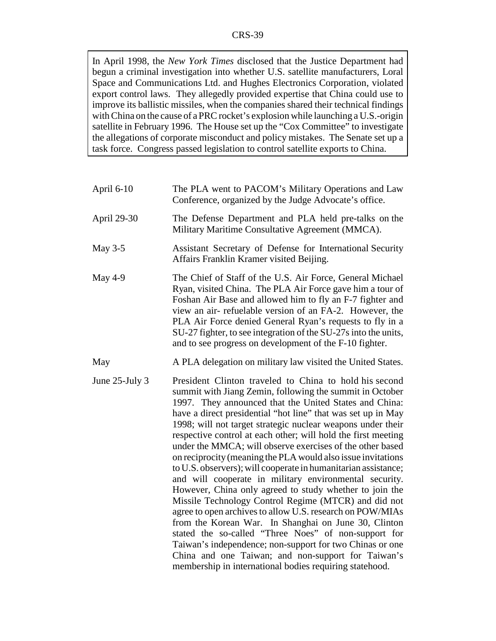In April 1998, the *New York Times* disclosed that the Justice Department had begun a criminal investigation into whether U.S. satellite manufacturers, Loral Space and Communications Ltd. and Hughes Electronics Corporation, violated export control laws. They allegedly provided expertise that China could use to improve its ballistic missiles, when the companies shared their technical findings with China on the cause of a PRC rocket's explosion while launching a U.S.-origin satellite in February 1996. The House set up the "Cox Committee" to investigate the allegations of corporate misconduct and policy mistakes. The Senate set up a task force. Congress passed legislation to control satellite exports to China.

- April 6-10 The PLA went to PACOM's Military Operations and Law Conference, organized by the Judge Advocate's office.
- April 29-30 The Defense Department and PLA held pre-talks on the Military Maritime Consultative Agreement (MMCA).
- May 3-5 Assistant Secretary of Defense for International Security Affairs Franklin Kramer visited Beijing.
- May 4-9 The Chief of Staff of the U.S. Air Force, General Michael Ryan, visited China. The PLA Air Force gave him a tour of Foshan Air Base and allowed him to fly an F-7 fighter and view an air- refuelable version of an FA-2. However, the PLA Air Force denied General Ryan's requests to fly in a SU-27 fighter, to see integration of the SU-27s into the units, and to see progress on development of the F-10 fighter.
- May A PLA delegation on military law visited the United States.
- June 25-July 3 President Clinton traveled to China to hold his second summit with Jiang Zemin, following the summit in October 1997. They announced that the United States and China: have a direct presidential "hot line" that was set up in May 1998; will not target strategic nuclear weapons under their respective control at each other; will hold the first meeting under the MMCA; will observe exercises of the other based on reciprocity (meaning the PLA would also issue invitations to U.S. observers); will cooperate in humanitarian assistance; and will cooperate in military environmental security. However, China only agreed to study whether to join the Missile Technology Control Regime (MTCR) and did not agree to open archives to allow U.S. research on POW/MIAs from the Korean War. In Shanghai on June 30, Clinton stated the so-called "Three Noes" of non-support for Taiwan's independence; non-support for two Chinas or one China and one Taiwan; and non-support for Taiwan's membership in international bodies requiring statehood.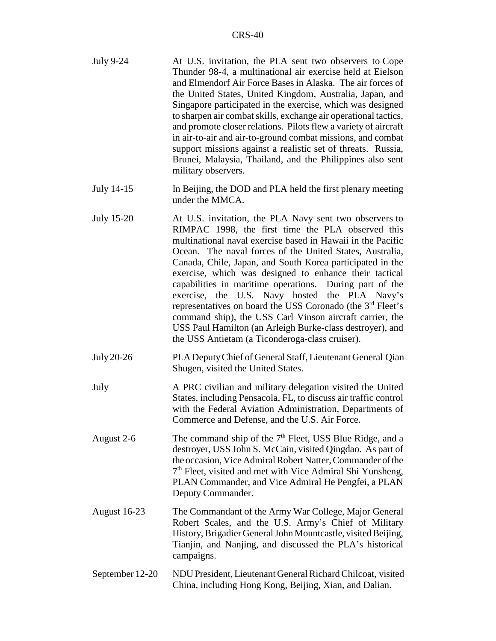| <b>July 9-24</b>    | At U.S. invitation, the PLA sent two observers to Cope<br>Thunder 98-4, a multinational air exercise held at Eielson<br>and Elmendorf Air Force Bases in Alaska. The air forces of<br>the United States, United Kingdom, Australia, Japan, and<br>Singapore participated in the exercise, which was designed<br>to sharpen air combat skills, exchange air operational tactics,<br>and promote closer relations. Pilots flew a variety of aircraft<br>in air-to-air and air-to-ground combat missions, and combat<br>support missions against a realistic set of threats. Russia,<br>Brunei, Malaysia, Thailand, and the Philippines also sent<br>military observers.                                                           |
|---------------------|---------------------------------------------------------------------------------------------------------------------------------------------------------------------------------------------------------------------------------------------------------------------------------------------------------------------------------------------------------------------------------------------------------------------------------------------------------------------------------------------------------------------------------------------------------------------------------------------------------------------------------------------------------------------------------------------------------------------------------|
| July 14-15          | In Beijing, the DOD and PLA held the first plenary meeting<br>under the MMCA.                                                                                                                                                                                                                                                                                                                                                                                                                                                                                                                                                                                                                                                   |
| <b>July 15-20</b>   | At U.S. invitation, the PLA Navy sent two observers to<br>RIMPAC 1998, the first time the PLA observed this<br>multinational naval exercise based in Hawaii in the Pacific<br>Ocean. The naval forces of the United States, Australia,<br>Canada, Chile, Japan, and South Korea participated in the<br>exercise, which was designed to enhance their tactical<br>capabilities in maritime operations. During part of the<br>exercise, the U.S. Navy hosted the PLA Navy's<br>representatives on board the USS Coronado (the 3 <sup>rd</sup> Fleet's<br>command ship), the USS Carl Vinson aircraft carrier, the<br>USS Paul Hamilton (an Arleigh Burke-class destroyer), and<br>the USS Antietam (a Ticonderoga-class cruiser). |
| July 20-26          | PLA Deputy Chief of General Staff, Lieutenant General Qian<br>Shugen, visited the United States.                                                                                                                                                                                                                                                                                                                                                                                                                                                                                                                                                                                                                                |
| July                | A PRC civilian and military delegation visited the United<br>States, including Pensacola, FL, to discuss air traffic control<br>with the Federal Aviation Administration, Departments of<br>Commerce and Defense, and the U.S. Air Force.                                                                                                                                                                                                                                                                                                                                                                                                                                                                                       |
| August 2-6          | The command ship of the $7th$ Fleet, USS Blue Ridge, and a<br>destroyer, USS John S. McCain, visited Qingdao. As part of<br>the occasion, Vice Admiral Robert Natter, Commander of the<br>$7th$ Fleet, visited and met with Vice Admiral Shi Yunsheng,<br>PLAN Commander, and Vice Admiral He Pengfei, a PLAN<br>Deputy Commander.                                                                                                                                                                                                                                                                                                                                                                                              |
| <b>August 16-23</b> | The Commandant of the Army War College, Major General<br>Robert Scales, and the U.S. Army's Chief of Military<br>History, Brigadier General John Mountcastle, visited Beijing,<br>Tianjin, and Nanjing, and discussed the PLA's historical<br>campaigns.                                                                                                                                                                                                                                                                                                                                                                                                                                                                        |
| September 12-20     | NDU President, Lieutenant General Richard Chilcoat, visited<br>China, including Hong Kong, Beijing, Xian, and Dalian.                                                                                                                                                                                                                                                                                                                                                                                                                                                                                                                                                                                                           |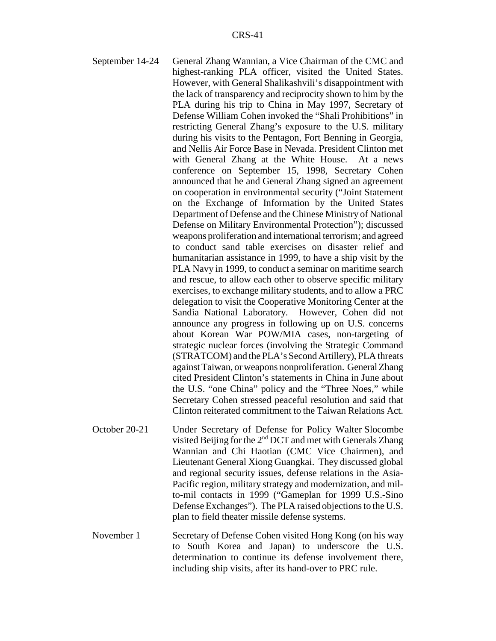- September 14-24 General Zhang Wannian, a Vice Chairman of the CMC and highest-ranking PLA officer, visited the United States. However, with General Shalikashvili's disappointment with the lack of transparency and reciprocity shown to him by the PLA during his trip to China in May 1997, Secretary of Defense William Cohen invoked the "Shali Prohibitions" in restricting General Zhang's exposure to the U.S. military during his visits to the Pentagon, Fort Benning in Georgia, and Nellis Air Force Base in Nevada. President Clinton met with General Zhang at the White House. At a news conference on September 15, 1998, Secretary Cohen announced that he and General Zhang signed an agreement on cooperation in environmental security ("Joint Statement on the Exchange of Information by the United States Department of Defense and the Chinese Ministry of National Defense on Military Environmental Protection"); discussed weapons proliferation and international terrorism; and agreed to conduct sand table exercises on disaster relief and humanitarian assistance in 1999, to have a ship visit by the PLA Navy in 1999, to conduct a seminar on maritime search and rescue, to allow each other to observe specific military exercises, to exchange military students, and to allow a PRC delegation to visit the Cooperative Monitoring Center at the Sandia National Laboratory. However, Cohen did not announce any progress in following up on U.S. concerns about Korean War POW/MIA cases, non-targeting of strategic nuclear forces (involving the Strategic Command (STRATCOM) and the PLA's Second Artillery), PLA threats against Taiwan, or weapons nonproliferation. General Zhang cited President Clinton's statements in China in June about the U.S. "one China" policy and the "Three Noes," while Secretary Cohen stressed peaceful resolution and said that Clinton reiterated commitment to the Taiwan Relations Act.
- October 20-21 Under Secretary of Defense for Policy Walter Slocombe visited Beijing for the  $2<sup>nd</sup> DCT$  and met with Generals Zhang Wannian and Chi Haotian (CMC Vice Chairmen), and Lieutenant General Xiong Guangkai. They discussed global and regional security issues, defense relations in the Asia-Pacific region, military strategy and modernization, and milto-mil contacts in 1999 ("Gameplan for 1999 U.S.-Sino Defense Exchanges"). The PLA raised objections to the U.S. plan to field theater missile defense systems.
- November 1 Secretary of Defense Cohen visited Hong Kong (on his way to South Korea and Japan) to underscore the U.S. determination to continue its defense involvement there, including ship visits, after its hand-over to PRC rule.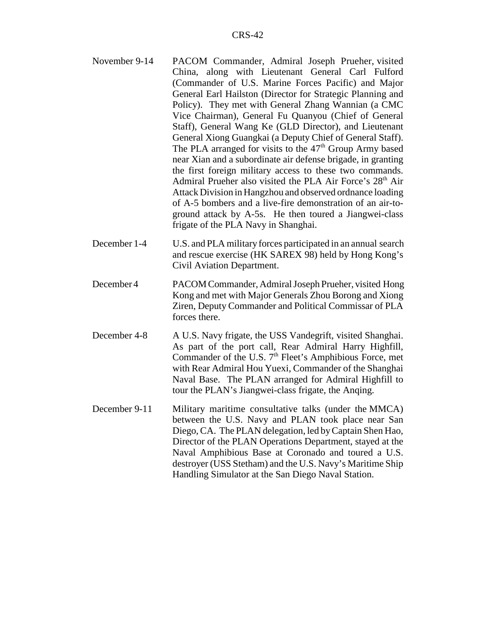- November 9-14 PACOM Commander, Admiral Joseph Prueher, visited China, along with Lieutenant General Carl Fulford (Commander of U.S. Marine Forces Pacific) and Major General Earl Hailston (Director for Strategic Planning and Policy). They met with General Zhang Wannian (a CMC Vice Chairman), General Fu Quanyou (Chief of General Staff), General Wang Ke (GLD Director), and Lieutenant General Xiong Guangkai (a Deputy Chief of General Staff). The PLA arranged for visits to the  $47<sup>th</sup>$  Group Army based near Xian and a subordinate air defense brigade, in granting the first foreign military access to these two commands. Admiral Prueher also visited the PLA Air Force's 28<sup>th</sup> Air Attack Division in Hangzhou and observed ordnance loading of A-5 bombers and a live-fire demonstration of an air-toground attack by A-5s. He then toured a Jiangwei-class frigate of the PLA Navy in Shanghai.
- December 1-4 U.S. and PLA military forces participated in an annual search and rescue exercise (HK SAREX 98) held by Hong Kong's Civil Aviation Department.
- December 4 PACOM Commander, Admiral Joseph Prueher, visited Hong Kong and met with Major Generals Zhou Borong and Xiong Ziren, Deputy Commander and Political Commissar of PLA forces there.
- December 4-8 A U.S. Navy frigate, the USS Vandegrift, visited Shanghai. As part of the port call, Rear Admiral Harry Highfill, Commander of the U.S.  $7<sup>th</sup>$  Fleet's Amphibious Force, met with Rear Admiral Hou Yuexi, Commander of the Shanghai Naval Base. The PLAN arranged for Admiral Highfill to tour the PLAN's Jiangwei-class frigate, the Anqing.
- December 9-11 Military maritime consultative talks (under the MMCA) between the U.S. Navy and PLAN took place near San Diego, CA. The PLAN delegation, led by Captain Shen Hao, Director of the PLAN Operations Department, stayed at the Naval Amphibious Base at Coronado and toured a U.S. destroyer (USS Stetham) and the U.S. Navy's Maritime Ship Handling Simulator at the San Diego Naval Station.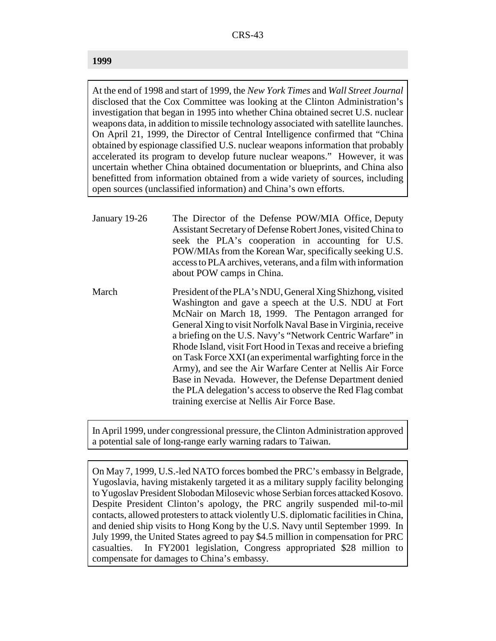#### **1999**

At the end of 1998 and start of 1999, the *New York Times* and *Wall Street Journal* disclosed that the Cox Committee was looking at the Clinton Administration's investigation that began in 1995 into whether China obtained secret U.S. nuclear weapons data, in addition to missile technology associated with satellite launches. On April 21, 1999, the Director of Central Intelligence confirmed that "China obtained by espionage classified U.S. nuclear weapons information that probably accelerated its program to develop future nuclear weapons." However, it was uncertain whether China obtained documentation or blueprints, and China also benefitted from information obtained from a wide variety of sources, including open sources (unclassified information) and China's own efforts.

- January 19-26 The Director of the Defense POW/MIA Office, Deputy Assistant Secretary of Defense Robert Jones, visited China to seek the PLA's cooperation in accounting for U.S. POW/MIAs from the Korean War, specifically seeking U.S. access to PLA archives, veterans, and a film with information about POW camps in China.
- March President of the PLA's NDU, General Xing Shizhong, visited Washington and gave a speech at the U.S. NDU at Fort McNair on March 18, 1999. The Pentagon arranged for General Xing to visit Norfolk Naval Base in Virginia, receive a briefing on the U.S. Navy's "Network Centric Warfare" in Rhode Island, visit Fort Hood in Texas and receive a briefing on Task Force XXI (an experimental warfighting force in the Army), and see the Air Warfare Center at Nellis Air Force Base in Nevada. However, the Defense Department denied the PLA delegation's access to observe the Red Flag combat training exercise at Nellis Air Force Base.

In April 1999, under congressional pressure, the Clinton Administration approved a potential sale of long-range early warning radars to Taiwan.

On May 7, 1999, U.S.-led NATO forces bombed the PRC's embassy in Belgrade, Yugoslavia, having mistakenly targeted it as a military supply facility belonging to Yugoslav President Slobodan Milosevic whose Serbian forces attacked Kosovo. Despite President Clinton's apology, the PRC angrily suspended mil-to-mil contacts, allowed protesters to attack violently U.S. diplomatic facilities in China, and denied ship visits to Hong Kong by the U.S. Navy until September 1999. In July 1999, the United States agreed to pay \$4.5 million in compensation for PRC casualties. In FY2001 legislation, Congress appropriated \$28 million to compensate for damages to China's embassy.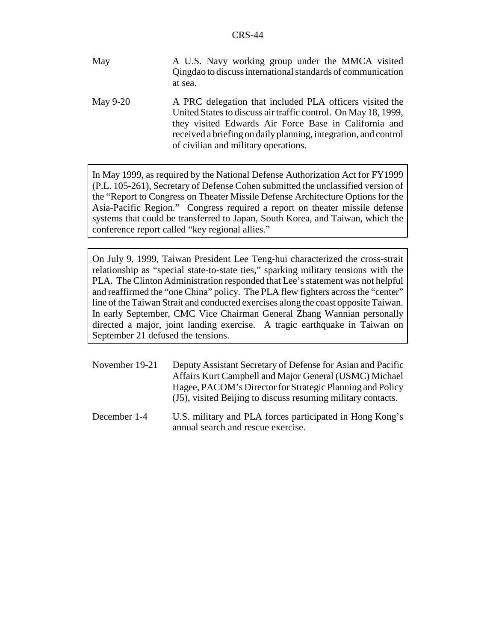May A U.S. Navy working group under the MMCA visited Qingdao to discuss international standards of communication at sea.

May 9-20 A PRC delegation that included PLA officers visited the United States to discuss air traffic control. On May 18, 1999, they visited Edwards Air Force Base in California and received a briefing on daily planning, integration, and control of civilian and military operations.

In May 1999, as required by the National Defense Authorization Act for FY1999 (P.L. 105-261), Secretary of Defense Cohen submitted the unclassified version of the "Report to Congress on Theater Missile Defense Architecture Options for the Asia-Pacific Region." Congress required a report on theater missile defense systems that could be transferred to Japan, South Korea, and Taiwan, which the conference report called "key regional allies."

On July 9, 1999, Taiwan President Lee Teng-hui characterized the cross-strait relationship as "special state-to-state ties," sparking military tensions with the PLA. The Clinton Administration responded that Lee's statement was not helpful and reaffirmed the "one China" policy. The PLA flew fighters across the "center" line of the Taiwan Strait and conducted exercises along the coast opposite Taiwan. In early September, CMC Vice Chairman General Zhang Wannian personally directed a major, joint landing exercise. A tragic earthquake in Taiwan on September 21 defused the tensions.

- November 19-21 Deputy Assistant Secretary of Defense for Asian and Pacific Affairs Kurt Campbell and Major General (USMC) Michael Hagee, PACOM's Director for Strategic Planning and Policy (J5), visited Beijing to discuss resuming military contacts.
- December 1-4 U.S. military and PLA forces participated in Hong Kong's annual search and rescue exercise.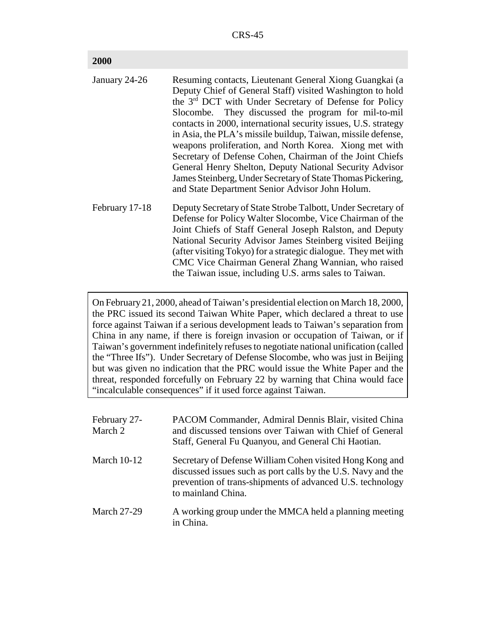| 2000           |                                                                                                                                                                                                                                                                                                                                                                                                                                                                                                                                                                                                                                                                                        |
|----------------|----------------------------------------------------------------------------------------------------------------------------------------------------------------------------------------------------------------------------------------------------------------------------------------------------------------------------------------------------------------------------------------------------------------------------------------------------------------------------------------------------------------------------------------------------------------------------------------------------------------------------------------------------------------------------------------|
| January 24-26  | Resuming contacts, Lieutenant General Xiong Guangkai (a<br>Deputy Chief of General Staff) visited Washington to hold<br>the 3 <sup>rd</sup> DCT with Under Secretary of Defense for Policy<br>Slocombe. They discussed the program for mil-to-mil<br>contacts in 2000, international security issues, U.S. strategy<br>in Asia, the PLA's missile buildup, Taiwan, missile defense,<br>weapons proliferation, and North Korea. Xiong met with<br>Secretary of Defense Cohen, Chairman of the Joint Chiefs<br>General Henry Shelton, Deputy National Security Advisor<br>James Steinberg, Under Secretary of State Thomas Pickering,<br>and State Department Senior Advisor John Holum. |
| February 17-18 | Deputy Secretary of State Strobe Talbott, Under Secretary of<br>Defense for Policy Walter Slocombe, Vice Chairman of the<br>Joint Chiefs of Staff General Joseph Ralston, and Deputy<br>National Security Advisor James Steinberg visited Beijing<br>(after visiting Tokyo) for a strategic dialogue. They met with<br>CMC Vice Chairman General Zhang Wannian, who raised<br>the Taiwan issue, including U.S. arms sales to Taiwan.                                                                                                                                                                                                                                                   |
|                | On February 21, 2000, ahead of Taiwan's presidential election on March 18, 2000,<br>the PRC issued its second Taiwan White Paper, which declared a threat to use<br>force against Taiwan if a serious development leads to Taiwan's separation from<br>China in any name, if there is foreign invasion or occupation of Taiwan, or if<br>Taiwan's government indefinitely refuses to negotiate national unification (called<br>the "Three Ifs"). Under Secretary of Defense Slocombe, who was just in Beijing                                                                                                                                                                          |

but was given no indication that the PRC would issue the White Paper and the threat, responded forcefully on February 22 by warning that China would face "incalculable consequences" if it used force against Taiwan.

| February 27-<br>March 2 | PACOM Commander, Admiral Dennis Blair, visited China<br>and discussed tensions over Taiwan with Chief of General<br>Staff, General Fu Quanyou, and General Chi Haotian.                                     |
|-------------------------|-------------------------------------------------------------------------------------------------------------------------------------------------------------------------------------------------------------|
| <b>March 10-12</b>      | Secretary of Defense William Cohen visited Hong Kong and<br>discussed issues such as port calls by the U.S. Navy and the<br>prevention of trans-shipments of advanced U.S. technology<br>to mainland China. |
| <b>March 27-29</b>      | A working group under the MMCA held a planning meeting<br>in China.                                                                                                                                         |

## **2000**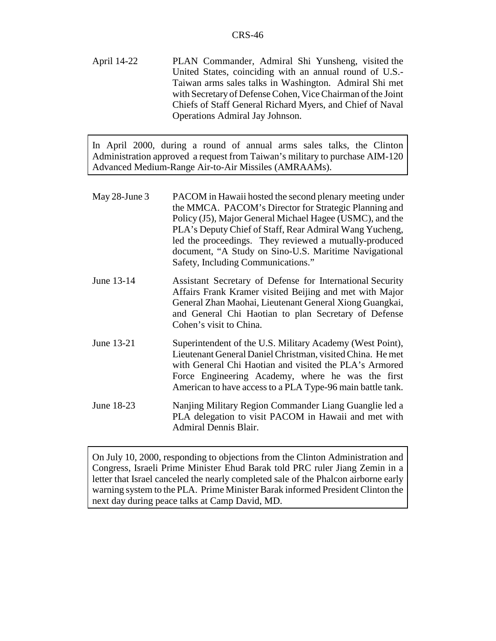April 14-22 PLAN Commander, Admiral Shi Yunsheng, visited the United States, coinciding with an annual round of U.S.- Taiwan arms sales talks in Washington. Admiral Shi met with Secretary of Defense Cohen, Vice Chairman of the Joint Chiefs of Staff General Richard Myers, and Chief of Naval Operations Admiral Jay Johnson.

In April 2000, during a round of annual arms sales talks, the Clinton Administration approved a request from Taiwan's military to purchase AIM-120 Advanced Medium-Range Air-to-Air Missiles (AMRAAMs).

| May 28-June 3 | PACOM in Hawaii hosted the second plenary meeting under<br>the MMCA. PACOM's Director for Strategic Planning and<br>Policy (J5), Major General Michael Hagee (USMC), and the<br>PLA's Deputy Chief of Staff, Rear Admiral Wang Yucheng,<br>led the proceedings. They reviewed a mutually-produced<br>document, "A Study on Sino-U.S. Maritime Navigational<br>Safety, Including Communications." |
|---------------|--------------------------------------------------------------------------------------------------------------------------------------------------------------------------------------------------------------------------------------------------------------------------------------------------------------------------------------------------------------------------------------------------|
| June 13-14    | Assistant Secretary of Defense for International Security<br>Affairs Frank Kramer visited Beijing and met with Major<br>General Zhan Maohai, Lieutenant General Xiong Guangkai,<br>and General Chi Haotian to plan Secretary of Defense<br>Cohen's visit to China.                                                                                                                               |
| June 13-21    | Superintendent of the U.S. Military Academy (West Point),<br>Lieutenant General Daniel Christman, visited China. He met<br>with General Chi Haotian and visited the PLA's Armored<br>Force Engineering Academy, where he was the first<br>American to have access to a PLA Type-96 main battle tank.                                                                                             |
| June 18-23    | Nanjing Military Region Commander Liang Guanglie led a<br>PLA delegation to visit PACOM in Hawaii and met with<br><b>Admiral Dennis Blair.</b>                                                                                                                                                                                                                                                   |

On July 10, 2000, responding to objections from the Clinton Administration and Congress, Israeli Prime Minister Ehud Barak told PRC ruler Jiang Zemin in a letter that Israel canceled the nearly completed sale of the Phalcon airborne early warning system to the PLA. Prime Minister Barak informed President Clinton the next day during peace talks at Camp David, MD.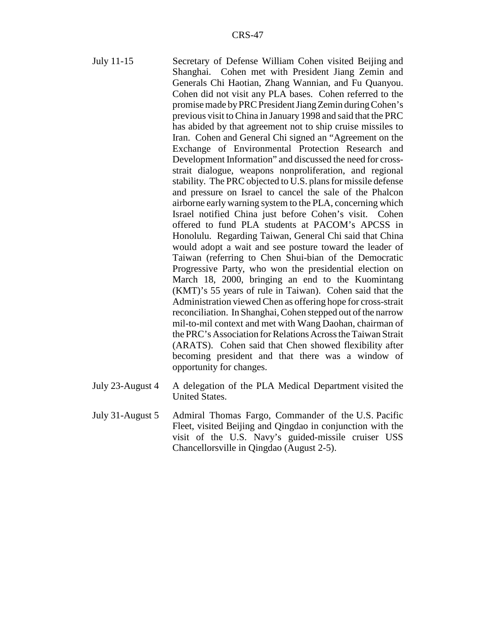- July 11-15 Secretary of Defense William Cohen visited Beijing and Shanghai. Cohen met with President Jiang Zemin and Generals Chi Haotian, Zhang Wannian, and Fu Quanyou. Cohen did not visit any PLA bases. Cohen referred to the promise made by PRC President Jiang Zemin during Cohen's previous visit to China in January 1998 and said that the PRC has abided by that agreement not to ship cruise missiles to Iran. Cohen and General Chi signed an "Agreement on the Exchange of Environmental Protection Research and Development Information" and discussed the need for crossstrait dialogue, weapons nonproliferation, and regional stability. The PRC objected to U.S. plans for missile defense and pressure on Israel to cancel the sale of the Phalcon airborne early warning system to the PLA, concerning which Israel notified China just before Cohen's visit. Cohen offered to fund PLA students at PACOM's APCSS in Honolulu. Regarding Taiwan, General Chi said that China would adopt a wait and see posture toward the leader of Taiwan (referring to Chen Shui-bian of the Democratic Progressive Party, who won the presidential election on March 18, 2000, bringing an end to the Kuomintang (KMT)'s 55 years of rule in Taiwan). Cohen said that the Administration viewed Chen as offering hope for cross-strait reconciliation. In Shanghai, Cohen stepped out of the narrow mil-to-mil context and met with Wang Daohan, chairman of the PRC's Association for Relations Across the Taiwan Strait (ARATS). Cohen said that Chen showed flexibility after becoming president and that there was a window of opportunity for changes.
- July 23-August 4 A delegation of the PLA Medical Department visited the United States.
- July 31-August 5 Admiral Thomas Fargo, Commander of the U.S. Pacific Fleet, visited Beijing and Qingdao in conjunction with the visit of the U.S. Navy's guided-missile cruiser USS Chancellorsville in Qingdao (August 2-5).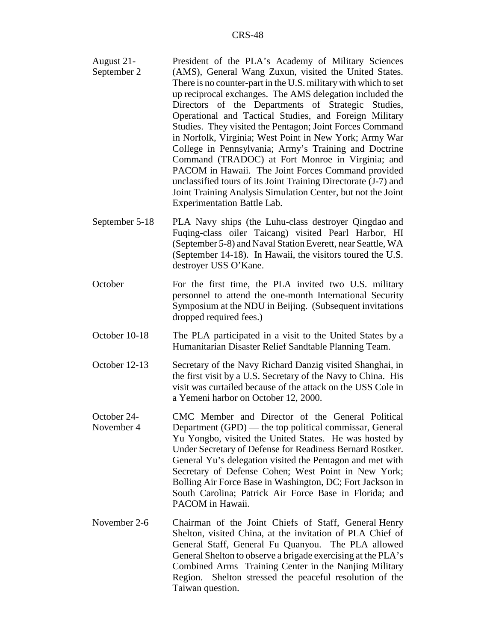- August 21- September 2 President of the PLA's Academy of Military Sciences (AMS), General Wang Zuxun, visited the United States. There is no counter-part in the U.S. military with which to set up reciprocal exchanges. The AMS delegation included the Directors of the Departments of Strategic Studies, Operational and Tactical Studies, and Foreign Military Studies. They visited the Pentagon; Joint Forces Command in Norfolk, Virginia; West Point in New York; Army War College in Pennsylvania; Army's Training and Doctrine Command (TRADOC) at Fort Monroe in Virginia; and PACOM in Hawaii. The Joint Forces Command provided unclassified tours of its Joint Training Directorate (J-7) and Joint Training Analysis Simulation Center, but not the Joint Experimentation Battle Lab.
- September 5-18 PLA Navy ships (the Luhu-class destroyer Qingdao and Fuqing-class oiler Taicang) visited Pearl Harbor, HI (September 5-8) and Naval Station Everett, near Seattle, WA (September 14-18). In Hawaii, the visitors toured the U.S. destroyer USS O'Kane.
- October For the first time, the PLA invited two U.S. military personnel to attend the one-month International Security Symposium at the NDU in Beijing. (Subsequent invitations dropped required fees.)
- October 10-18 The PLA participated in a visit to the United States by a Humanitarian Disaster Relief Sandtable Planning Team.
- October 12-13 Secretary of the Navy Richard Danzig visited Shanghai, in the first visit by a U.S. Secretary of the Navy to China. His visit was curtailed because of the attack on the USS Cole in a Yemeni harbor on October 12, 2000.
- October 24- November 4 CMC Member and Director of the General Political Department (GPD) — the top political commissar, General Yu Yongbo, visited the United States. He was hosted by Under Secretary of Defense for Readiness Bernard Rostker. General Yu's delegation visited the Pentagon and met with Secretary of Defense Cohen; West Point in New York; Bolling Air Force Base in Washington, DC; Fort Jackson in South Carolina; Patrick Air Force Base in Florida; and PACOM in Hawaii.
- November 2-6 Chairman of the Joint Chiefs of Staff, General Henry Shelton, visited China, at the invitation of PLA Chief of General Staff, General Fu Quanyou. The PLA allowed General Shelton to observe a brigade exercising at the PLA's Combined Arms Training Center in the Nanjing Military Region. Shelton stressed the peaceful resolution of the Taiwan question.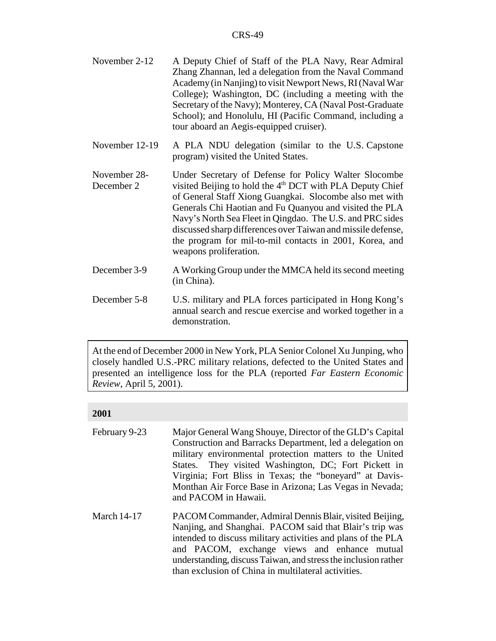- November 2-12 A Deputy Chief of Staff of the PLA Navy, Rear Admiral Zhang Zhannan, led a delegation from the Naval Command Academy (in Nanjing) to visit Newport News, RI (Naval War College); Washington, DC (including a meeting with the Secretary of the Navy); Monterey, CA (Naval Post-Graduate School); and Honolulu, HI (Pacific Command, including a tour aboard an Aegis-equipped cruiser).
- November 12-19 A PLA NDU delegation (similar to the U.S. Capstone program) visited the United States.
- November 28- December 2 Under Secretary of Defense for Policy Walter Slocombe visited Beijing to hold the  $4<sup>th</sup>$  DCT with PLA Deputy Chief of General Staff Xiong Guangkai. Slocombe also met with Generals Chi Haotian and Fu Quanyou and visited the PLA Navy's North Sea Fleet in Qingdao. The U.S. and PRC sides discussed sharp differences over Taiwan and missile defense, the program for mil-to-mil contacts in 2001, Korea, and weapons proliferation.
- December 3-9 A Working Group under the MMCA held its second meeting (in China).
- December 5-8 U.S. military and PLA forces participated in Hong Kong's annual search and rescue exercise and worked together in a demonstration.

At the end of December 2000 in New York, PLA Senior Colonel Xu Junping, who closely handled U.S.-PRC military relations, defected to the United States and presented an intelligence loss for the PLA (reported *Far Eastern Economic Review*, April 5, 2001).

#### **2001**

- February 9-23 Major General Wang Shouye, Director of the GLD's Capital Construction and Barracks Department, led a delegation on military environmental protection matters to the United States. They visited Washington, DC; Fort Pickett in Virginia; Fort Bliss in Texas; the "boneyard" at Davis-Monthan Air Force Base in Arizona; Las Vegas in Nevada; and PACOM in Hawaii. March 14-17 PACOM Commander, Admiral Dennis Blair, visited Beijing,
- Nanjing, and Shanghai. PACOM said that Blair's trip was intended to discuss military activities and plans of the PLA and PACOM, exchange views and enhance mutual understanding, discuss Taiwan, and stress the inclusion rather than exclusion of China in multilateral activities.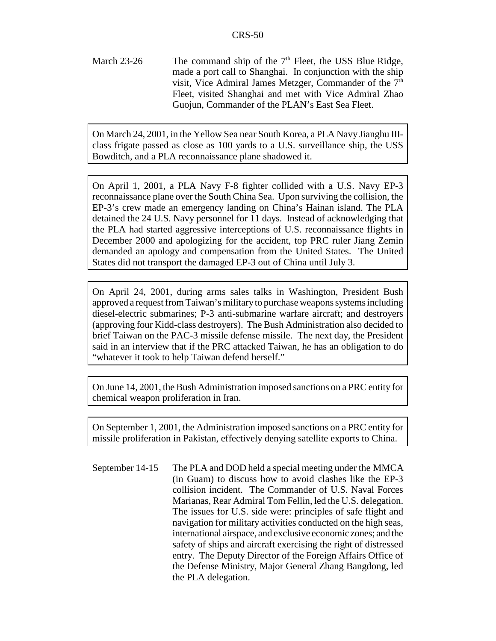March 23-26 The command ship of the  $7<sup>th</sup>$  Fleet, the USS Blue Ridge, made a port call to Shanghai. In conjunction with the ship visit, Vice Admiral James Metzger, Commander of the  $7<sup>th</sup>$ Fleet, visited Shanghai and met with Vice Admiral Zhao Guojun, Commander of the PLAN's East Sea Fleet.

On March 24, 2001, in the Yellow Sea near South Korea, a PLA Navy Jianghu IIIclass frigate passed as close as 100 yards to a U.S. surveillance ship, the USS Bowditch, and a PLA reconnaissance plane shadowed it.

On April 1, 2001, a PLA Navy F-8 fighter collided with a U.S. Navy EP-3 reconnaissance plane over the South China Sea. Upon surviving the collision, the EP-3's crew made an emergency landing on China's Hainan island. The PLA detained the 24 U.S. Navy personnel for 11 days. Instead of acknowledging that the PLA had started aggressive interceptions of U.S. reconnaissance flights in December 2000 and apologizing for the accident, top PRC ruler Jiang Zemin demanded an apology and compensation from the United States. The United States did not transport the damaged EP-3 out of China until July 3.

On April 24, 2001, during arms sales talks in Washington, President Bush approved a request from Taiwan's military to purchase weapons systems including diesel-electric submarines; P-3 anti-submarine warfare aircraft; and destroyers (approving four Kidd-class destroyers). The Bush Administration also decided to brief Taiwan on the PAC-3 missile defense missile. The next day, the President said in an interview that if the PRC attacked Taiwan, he has an obligation to do "whatever it took to help Taiwan defend herself."

On June 14, 2001, the Bush Administration imposed sanctions on a PRC entity for chemical weapon proliferation in Iran.

On September 1, 2001, the Administration imposed sanctions on a PRC entity for missile proliferation in Pakistan, effectively denying satellite exports to China.

September 14-15 The PLA and DOD held a special meeting under the MMCA (in Guam) to discuss how to avoid clashes like the EP-3 collision incident. The Commander of U.S. Naval Forces Marianas, Rear Admiral Tom Fellin, led the U.S. delegation. The issues for U.S. side were: principles of safe flight and navigation for military activities conducted on the high seas, international airspace, and exclusive economic zones; and the safety of ships and aircraft exercising the right of distressed entry. The Deputy Director of the Foreign Affairs Office of the Defense Ministry, Major General Zhang Bangdong, led the PLA delegation.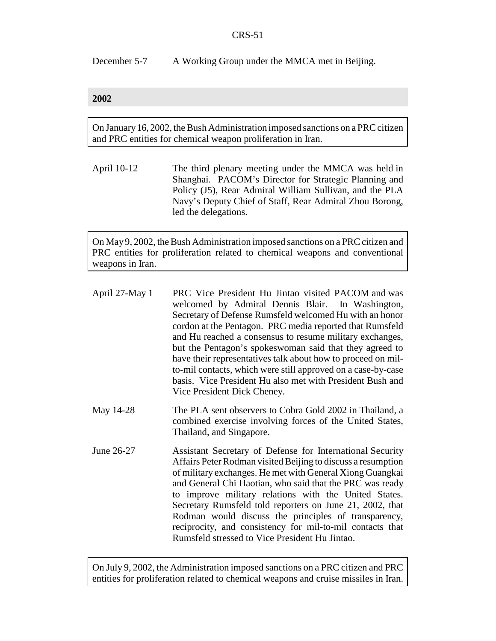December 5-7 A Working Group under the MMCA met in Beijing.

#### **2002**

On January 16, 2002, the Bush Administration imposed sanctions on a PRC citizen and PRC entities for chemical weapon proliferation in Iran.

April 10-12 The third plenary meeting under the MMCA was held in Shanghai. PACOM's Director for Strategic Planning and Policy (J5), Rear Admiral William Sullivan, and the PLA Navy's Deputy Chief of Staff, Rear Admiral Zhou Borong, led the delegations.

On May 9, 2002, the Bush Administration imposed sanctions on a PRC citizen and PRC entities for proliferation related to chemical weapons and conventional weapons in Iran.

- April 27-May 1 PRC Vice President Hu Jintao visited PACOM and was welcomed by Admiral Dennis Blair. In Washington, Secretary of Defense Rumsfeld welcomed Hu with an honor cordon at the Pentagon. PRC media reported that Rumsfeld and Hu reached a consensus to resume military exchanges, but the Pentagon's spokeswoman said that they agreed to have their representatives talk about how to proceed on milto-mil contacts, which were still approved on a case-by-case basis. Vice President Hu also met with President Bush and Vice President Dick Cheney.
- May 14-28 The PLA sent observers to Cobra Gold 2002 in Thailand, a combined exercise involving forces of the United States, Thailand, and Singapore.
- June 26-27 Assistant Secretary of Defense for International Security Affairs Peter Rodman visited Beijing to discuss a resumption of military exchanges. He met with General Xiong Guangkai and General Chi Haotian, who said that the PRC was ready to improve military relations with the United States. Secretary Rumsfeld told reporters on June 21, 2002, that Rodman would discuss the principles of transparency, reciprocity, and consistency for mil-to-mil contacts that Rumsfeld stressed to Vice President Hu Jintao.

On July 9, 2002, the Administration imposed sanctions on a PRC citizen and PRC entities for proliferation related to chemical weapons and cruise missiles in Iran.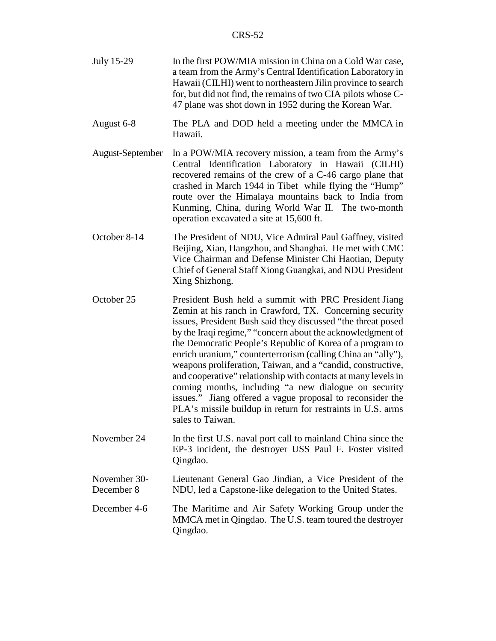| July 15-29 | In the first POW/MIA mission in China on a Cold War case,     |
|------------|---------------------------------------------------------------|
|            | a team from the Army's Central Identification Laboratory in   |
|            | Hawaii (CILHI) went to northeastern Jilin province to search  |
|            | for, but did not find, the remains of two CIA pilots whose C- |
|            | 47 plane was shot down in 1952 during the Korean War.         |

- August 6-8 The PLA and DOD held a meeting under the MMCA in Hawaii.
- August-September In a POW/MIA recovery mission, a team from the Army's Central Identification Laboratory in Hawaii (CILHI) recovered remains of the crew of a C-46 cargo plane that crashed in March 1944 in Tibet while flying the "Hump" route over the Himalaya mountains back to India from Kunming, China, during World War II. The two-month operation excavated a site at 15,600 ft.
- October 8-14 The President of NDU, Vice Admiral Paul Gaffney, visited Beijing, Xian, Hangzhou, and Shanghai. He met with CMC Vice Chairman and Defense Minister Chi Haotian, Deputy Chief of General Staff Xiong Guangkai, and NDU President Xing Shizhong.
- October 25 President Bush held a summit with PRC President Jiang Zemin at his ranch in Crawford, TX. Concerning security issues, President Bush said they discussed "the threat posed by the Iraqi regime," "concern about the acknowledgment of the Democratic People's Republic of Korea of a program to enrich uranium," counterterrorism (calling China an "ally"), weapons proliferation, Taiwan, and a "candid, constructive, and cooperative" relationship with contacts at many levels in coming months, including "a new dialogue on security issues." Jiang offered a vague proposal to reconsider the PLA's missile buildup in return for restraints in U.S. arms sales to Taiwan.
- November 24 In the first U.S. naval port call to mainland China since the EP-3 incident, the destroyer USS Paul F. Foster visited Qingdao.
- November 30- December 8 Lieutenant General Gao Jindian, a Vice President of the NDU, led a Capstone-like delegation to the United States.
- December 4-6 The Maritime and Air Safety Working Group under the MMCA met in Qingdao. The U.S. team toured the destroyer Qingdao.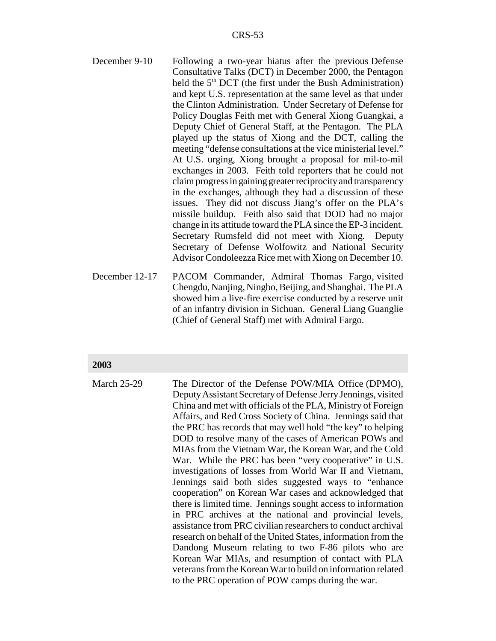- December 9-10 Following a two-year hiatus after the previous Defense Consultative Talks (DCT) in December 2000, the Pentagon held the  $5<sup>th</sup>$  DCT (the first under the Bush Administration) and kept U.S. representation at the same level as that under the Clinton Administration. Under Secretary of Defense for Policy Douglas Feith met with General Xiong Guangkai, a Deputy Chief of General Staff, at the Pentagon. The PLA played up the status of Xiong and the DCT, calling the meeting "defense consultations at the vice ministerial level." At U.S. urging, Xiong brought a proposal for mil-to-mil exchanges in 2003. Feith told reporters that he could not claim progress in gaining greater reciprocity and transparency in the exchanges, although they had a discussion of these issues. They did not discuss Jiang's offer on the PLA's missile buildup. Feith also said that DOD had no major change in its attitude toward the PLA since the EP-3 incident. Secretary Rumsfeld did not meet with Xiong. Deputy Secretary of Defense Wolfowitz and National Security Advisor Condoleezza Rice met with Xiong on December 10.
- December 12-17 PACOM Commander, Admiral Thomas Fargo, visited Chengdu, Nanjing, Ningbo, Beijing, and Shanghai. The PLA showed him a live-fire exercise conducted by a reserve unit of an infantry division in Sichuan. General Liang Guanglie (Chief of General Staff) met with Admiral Fargo.

#### **2003**

March 25-29 The Director of the Defense POW/MIA Office (DPMO), Deputy Assistant Secretary of Defense Jerry Jennings, visited China and met with officials of the PLA, Ministry of Foreign Affairs, and Red Cross Society of China. Jennings said that the PRC has records that may well hold "the key" to helping DOD to resolve many of the cases of American POWs and MIAs from the Vietnam War, the Korean War, and the Cold War. While the PRC has been "very cooperative" in U.S. investigations of losses from World War II and Vietnam, Jennings said both sides suggested ways to "enhance cooperation" on Korean War cases and acknowledged that there is limited time. Jennings sought access to information in PRC archives at the national and provincial levels, assistance from PRC civilian researchers to conduct archival research on behalf of the United States, information from the Dandong Museum relating to two F-86 pilots who are Korean War MIAs, and resumption of contact with PLA veterans from the Korean War to build on information related to the PRC operation of POW camps during the war.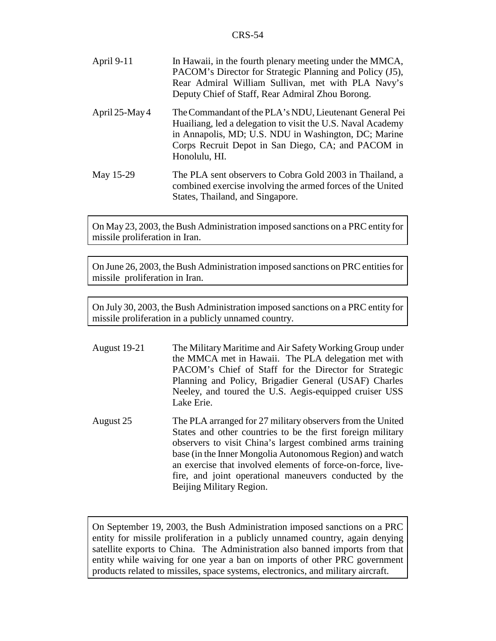| April 9-11     | In Hawaii, in the fourth plenary meeting under the MMCA,<br>PACOM's Director for Strategic Planning and Policy (J5),<br>Rear Admiral William Sullivan, met with PLA Navy's<br>Deputy Chief of Staff, Rear Admiral Zhou Borong.                        |
|----------------|-------------------------------------------------------------------------------------------------------------------------------------------------------------------------------------------------------------------------------------------------------|
| April 25-May 4 | The Commandant of the PLA's NDU, Lieutenant General Pei<br>Huailiang, led a delegation to visit the U.S. Naval Academy<br>in Annapolis, MD; U.S. NDU in Washington, DC; Marine<br>Corps Recruit Depot in San Diego, CA; and PACOM in<br>Honolulu, HI. |
| May 15-29      | The PLA sent observers to Cobra Gold 2003 in Thailand, a<br>combined exercise involving the armed forces of the United<br>States, Thailand, and Singapore.                                                                                            |

On May 23, 2003, the Bush Administration imposed sanctions on a PRC entity for missile proliferation in Iran.

On June 26, 2003, the Bush Administration imposed sanctions on PRC entities for missile proliferation in Iran.

On July 30, 2003, the Bush Administration imposed sanctions on a PRC entity for missile proliferation in a publicly unnamed country.

August 19-21 The Military Maritime and Air Safety Working Group under the MMCA met in Hawaii. The PLA delegation met with PACOM's Chief of Staff for the Director for Strategic Planning and Policy, Brigadier General (USAF) Charles Neeley, and toured the U.S. Aegis-equipped cruiser USS Lake Erie.

August 25 The PLA arranged for 27 military observers from the United States and other countries to be the first foreign military observers to visit China's largest combined arms training base (in the Inner Mongolia Autonomous Region) and watch an exercise that involved elements of force-on-force, livefire, and joint operational maneuvers conducted by the Beijing Military Region.

On September 19, 2003, the Bush Administration imposed sanctions on a PRC entity for missile proliferation in a publicly unnamed country, again denying satellite exports to China. The Administration also banned imports from that entity while waiving for one year a ban on imports of other PRC government products related to missiles, space systems, electronics, and military aircraft.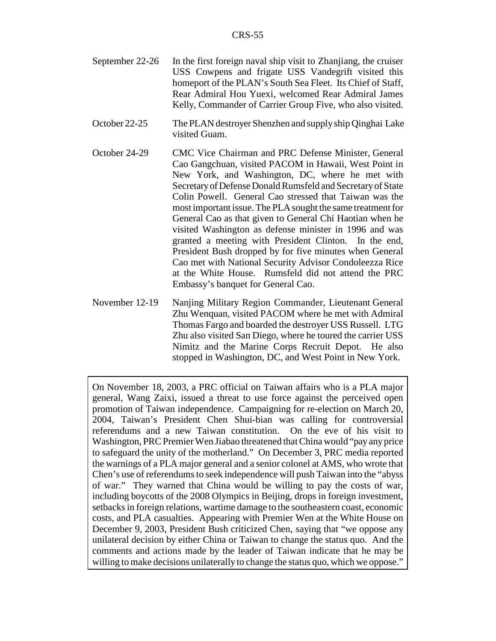- September 22-26 In the first foreign naval ship visit to Zhanjiang, the cruiser USS Cowpens and frigate USS Vandegrift visited this homeport of the PLAN's South Sea Fleet. Its Chief of Staff, Rear Admiral Hou Yuexi, welcomed Rear Admiral James Kelly, Commander of Carrier Group Five, who also visited.
- October 22-25 The PLAN destroyer Shenzhen and supply ship Qinghai Lake visited Guam.
- October 24-29 CMC Vice Chairman and PRC Defense Minister, General Cao Gangchuan, visited PACOM in Hawaii, West Point in New York, and Washington, DC, where he met with Secretary of Defense Donald Rumsfeld and Secretary of State Colin Powell. General Cao stressed that Taiwan was the most important issue. The PLA sought the same treatment for General Cao as that given to General Chi Haotian when he visited Washington as defense minister in 1996 and was granted a meeting with President Clinton. In the end, President Bush dropped by for five minutes when General Cao met with National Security Advisor Condoleezza Rice at the White House. Rumsfeld did not attend the PRC Embassy's banquet for General Cao.
- November 12-19 Nanjing Military Region Commander, Lieutenant General Zhu Wenquan, visited PACOM where he met with Admiral Thomas Fargo and boarded the destroyer USS Russell. LTG Zhu also visited San Diego, where he toured the carrier USS Nimitz and the Marine Corps Recruit Depot. He also stopped in Washington, DC, and West Point in New York.

On November 18, 2003, a PRC official on Taiwan affairs who is a PLA major general, Wang Zaixi, issued a threat to use force against the perceived open promotion of Taiwan independence. Campaigning for re-election on March 20, 2004, Taiwan's President Chen Shui-bian was calling for controversial referendums and a new Taiwan constitution. On the eve of his visit to Washington, PRC Premier Wen Jiabao threatened that China would "pay any price to safeguard the unity of the motherland." On December 3, PRC media reported the warnings of a PLA major general and a senior colonel at AMS, who wrote that Chen's use of referendums to seek independence will push Taiwan into the "abyss of war." They warned that China would be willing to pay the costs of war, including boycotts of the 2008 Olympics in Beijing, drops in foreign investment, setbacks in foreign relations, wartime damage to the southeastern coast, economic costs, and PLA casualties. Appearing with Premier Wen at the White House on December 9, 2003, President Bush criticized Chen, saying that "we oppose any unilateral decision by either China or Taiwan to change the status quo. And the comments and actions made by the leader of Taiwan indicate that he may be willing to make decisions unilaterally to change the status quo, which we oppose."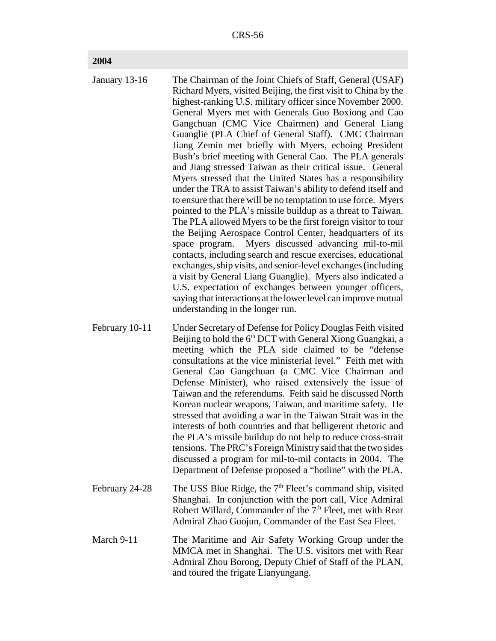#### **2004**

| January 13-16  | The Chairman of the Joint Chiefs of Staff, General (USAF)<br>Richard Myers, visited Beijing, the first visit to China by the<br>highest-ranking U.S. military officer since November 2000.<br>General Myers met with Generals Guo Boxiong and Cao<br>Gangchuan (CMC Vice Chairmen) and General Liang<br>Guanglie (PLA Chief of General Staff). CMC Chairman<br>Jiang Zemin met briefly with Myers, echoing President<br>Bush's brief meeting with General Cao. The PLA generals<br>and Jiang stressed Taiwan as their critical issue. General<br>Myers stressed that the United States has a responsibility<br>under the TRA to assist Taiwan's ability to defend itself and<br>to ensure that there will be no temptation to use force. Myers<br>pointed to the PLA's missile buildup as a threat to Taiwan.<br>The PLA allowed Myers to be the first foreign visitor to tour<br>the Beijing Aerospace Control Center, headquarters of its<br>space program. Myers discussed advancing mil-to-mil<br>contacts, including search and rescue exercises, educational<br>exchanges, ship visits, and senior-level exchanges (including<br>a visit by General Liang Guanglie). Myers also indicated a<br>U.S. expectation of exchanges between younger officers,<br>saying that interactions at the lower level can improve mutual |
|----------------|--------------------------------------------------------------------------------------------------------------------------------------------------------------------------------------------------------------------------------------------------------------------------------------------------------------------------------------------------------------------------------------------------------------------------------------------------------------------------------------------------------------------------------------------------------------------------------------------------------------------------------------------------------------------------------------------------------------------------------------------------------------------------------------------------------------------------------------------------------------------------------------------------------------------------------------------------------------------------------------------------------------------------------------------------------------------------------------------------------------------------------------------------------------------------------------------------------------------------------------------------------------------------------------------------------------------------------|
|                | understanding in the longer run.                                                                                                                                                                                                                                                                                                                                                                                                                                                                                                                                                                                                                                                                                                                                                                                                                                                                                                                                                                                                                                                                                                                                                                                                                                                                                               |
| February 10-11 | Under Secretary of Defense for Policy Douglas Feith visited<br>Beijing to hold the $6th$ DCT with General Xiong Guangkai, a<br>meeting which the PLA side claimed to be "defense<br>consultations at the vice ministerial level." Feith met with<br>General Cao Gangchuan (a CMC Vice Chairman and<br>Defense Minister), who raised extensively the issue of<br>Taiwan and the referendums. Feith said he discussed North                                                                                                                                                                                                                                                                                                                                                                                                                                                                                                                                                                                                                                                                                                                                                                                                                                                                                                      |

Department of Defense proposed a "hotline" with the PLA. February 24-28 The USS Blue Ridge, the  $7<sup>th</sup>$  Fleet's command ship, visited Shanghai. In conjunction with the port call, Vice Admiral Robert Willard, Commander of the  $7<sup>th</sup>$  Fleet, met with Rear Admiral Zhao Guojun, Commander of the East Sea Fleet.

Korean nuclear weapons, Taiwan, and maritime safety. He stressed that avoiding a war in the Taiwan Strait was in the interests of both countries and that belligerent rhetoric and the PLA's missile buildup do not help to reduce cross-strait tensions. The PRC's Foreign Ministry said that the two sides discussed a program for mil-to-mil contacts in 2004. The

March 9-11 The Maritime and Air Safety Working Group under the MMCA met in Shanghai. The U.S. visitors met with Rear Admiral Zhou Borong, Deputy Chief of Staff of the PLAN, and toured the frigate Lianyungang.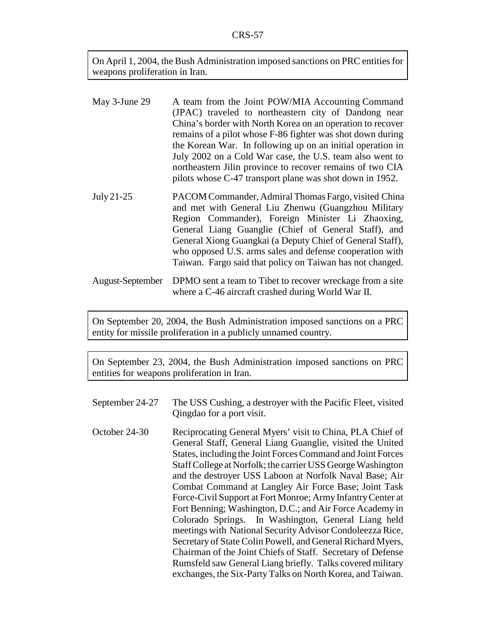On April 1, 2004, the Bush Administration imposed sanctions on PRC entities for weapons proliferation in Iran.

| May 3-June 29 | A team from the Joint POW/MIA Accounting Command<br>(JPAC) traveled to northeastern city of Dandong near<br>China's border with North Korea on an operation to recover<br>remains of a pilot whose F-86 fighter was shot down during<br>the Korean War. In following up on an initial operation in<br>July 2002 on a Cold War case, the U.S. team also went to<br>northeastern Jilin province to recover remains of two CIA<br>pilots whose C-47 transport plane was shot down in 1952. |
|---------------|-----------------------------------------------------------------------------------------------------------------------------------------------------------------------------------------------------------------------------------------------------------------------------------------------------------------------------------------------------------------------------------------------------------------------------------------------------------------------------------------|
|               |                                                                                                                                                                                                                                                                                                                                                                                                                                                                                         |

- July 21-25 PACOM Commander, Admiral Thomas Fargo, visited China and met with General Liu Zhenwu (Guangzhou Military Region Commander), Foreign Minister Li Zhaoxing, General Liang Guanglie (Chief of General Staff), and General Xiong Guangkai (a Deputy Chief of General Staff), who opposed U.S. arms sales and defense cooperation with Taiwan. Fargo said that policy on Taiwan has not changed.
- August-September DPMO sent a team to Tibet to recover wreckage from a site where a C-46 aircraft crashed during World War II.

On September 20, 2004, the Bush Administration imposed sanctions on a PRC entity for missile proliferation in a publicly unnamed country.

On September 23, 2004, the Bush Administration imposed sanctions on PRC entities for weapons proliferation in Iran.

- September 24-27 The USS Cushing, a destroyer with the Pacific Fleet, visited Qingdao for a port visit.
- October 24-30 Reciprocating General Myers' visit to China, PLA Chief of General Staff, General Liang Guanglie, visited the United States, including the Joint Forces Command and Joint Forces Staff College at Norfolk; the carrier USS George Washington and the destroyer USS Laboon at Norfolk Naval Base; Air Combat Command at Langley Air Force Base; Joint Task Force-Civil Support at Fort Monroe; Army Infantry Center at Fort Benning; Washington, D.C.; and Air Force Academy in Colorado Springs. In Washington, General Liang held meetings with National Security Advisor Condoleezza Rice, Secretary of State Colin Powell, and General Richard Myers, Chairman of the Joint Chiefs of Staff. Secretary of Defense Rumsfeld saw General Liang briefly. Talks covered military exchanges, the Six-Party Talks on North Korea, and Taiwan.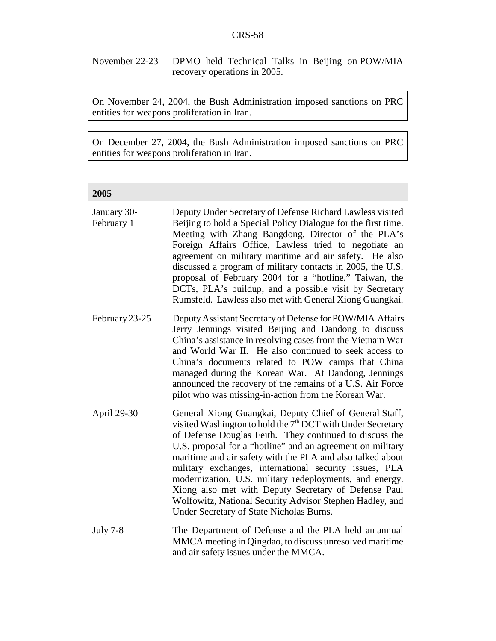November 22-23 DPMO held Technical Talks in Beijing on POW/MIA recovery operations in 2005.

On November 24, 2004, the Bush Administration imposed sanctions on PRC entities for weapons proliferation in Iran.

On December 27, 2004, the Bush Administration imposed sanctions on PRC entities for weapons proliferation in Iran.

#### **2005**

| January 30-<br>February 1 | Deputy Under Secretary of Defense Richard Lawless visited<br>Beijing to hold a Special Policy Dialogue for the first time.<br>Meeting with Zhang Bangdong, Director of the PLA's<br>Foreign Affairs Office, Lawless tried to negotiate an<br>agreement on military maritime and air safety. He also<br>discussed a program of military contacts in 2005, the U.S.<br>proposal of February 2004 for a "hotline," Taiwan, the<br>DCTs, PLA's buildup, and a possible visit by Secretary<br>Rumsfeld. Lawless also met with General Xiong Guangkai.                                                              |
|---------------------------|---------------------------------------------------------------------------------------------------------------------------------------------------------------------------------------------------------------------------------------------------------------------------------------------------------------------------------------------------------------------------------------------------------------------------------------------------------------------------------------------------------------------------------------------------------------------------------------------------------------|
| February 23-25            | Deputy Assistant Secretary of Defense for POW/MIA Affairs<br>Jerry Jennings visited Beijing and Dandong to discuss<br>China's assistance in resolving cases from the Vietnam War<br>and World War II. He also continued to seek access to<br>China's documents related to POW camps that China<br>managed during the Korean War. At Dandong, Jennings<br>announced the recovery of the remains of a U.S. Air Force<br>pilot who was missing-in-action from the Korean War.                                                                                                                                    |
| April 29-30               | General Xiong Guangkai, Deputy Chief of General Staff,<br>visited Washington to hold the 7 <sup>th</sup> DCT with Under Secretary<br>of Defense Douglas Feith. They continued to discuss the<br>U.S. proposal for a "hotline" and an agreement on military<br>maritime and air safety with the PLA and also talked about<br>military exchanges, international security issues, PLA<br>modernization, U.S. military redeployments, and energy.<br>Xiong also met with Deputy Secretary of Defense Paul<br>Wolfowitz, National Security Advisor Stephen Hadley, and<br>Under Secretary of State Nicholas Burns. |
| <b>July 7-8</b>           | The Department of Defense and the PLA held an annual<br>MMCA meeting in Qingdao, to discuss unresolved maritime<br>and air safety issues under the MMCA.                                                                                                                                                                                                                                                                                                                                                                                                                                                      |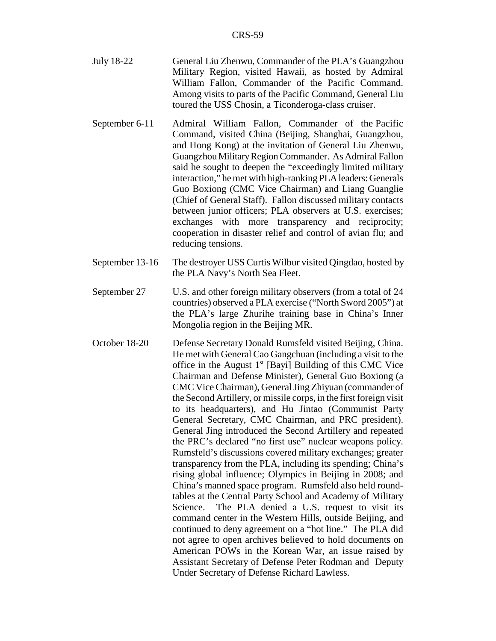- July 18-22 General Liu Zhenwu, Commander of the PLA's Guangzhou Military Region, visited Hawaii, as hosted by Admiral William Fallon, Commander of the Pacific Command. Among visits to parts of the Pacific Command, General Liu toured the USS Chosin, a Ticonderoga-class cruiser.
- September 6-11 Admiral William Fallon, Commander of the Pacific Command, visited China (Beijing, Shanghai, Guangzhou, and Hong Kong) at the invitation of General Liu Zhenwu, Guangzhou Military Region Commander. As Admiral Fallon said he sought to deepen the "exceedingly limited military interaction," he met with high-ranking PLA leaders: Generals Guo Boxiong (CMC Vice Chairman) and Liang Guanglie (Chief of General Staff). Fallon discussed military contacts between junior officers; PLA observers at U.S. exercises; exchanges with more transparency and reciprocity; cooperation in disaster relief and control of avian flu; and reducing tensions.
- September 13-16 The destroyer USS Curtis Wilbur visited Qingdao, hosted by the PLA Navy's North Sea Fleet.
- September 27 U.S. and other foreign military observers (from a total of 24 countries) observed a PLA exercise ("North Sword 2005") at the PLA's large Zhurihe training base in China's Inner Mongolia region in the Beijing MR.
- October 18-20 Defense Secretary Donald Rumsfeld visited Beijing, China. He met with General Cao Gangchuan (including a visit to the office in the August  $1<sup>st</sup>$  [Bayi] Building of this CMC Vice Chairman and Defense Minister), General Guo Boxiong (a CMC Vice Chairman), General Jing Zhiyuan (commander of the Second Artillery, or missile corps, in the first foreign visit to its headquarters), and Hu Jintao (Communist Party General Secretary, CMC Chairman, and PRC president). General Jing introduced the Second Artillery and repeated the PRC's declared "no first use" nuclear weapons policy. Rumsfeld's discussions covered military exchanges; greater transparency from the PLA, including its spending; China's rising global influence; Olympics in Beijing in 2008; and China's manned space program. Rumsfeld also held roundtables at the Central Party School and Academy of Military Science. The PLA denied a U.S. request to visit its command center in the Western Hills, outside Beijing, and continued to deny agreement on a "hot line." The PLA did not agree to open archives believed to hold documents on American POWs in the Korean War, an issue raised by Assistant Secretary of Defense Peter Rodman and Deputy Under Secretary of Defense Richard Lawless.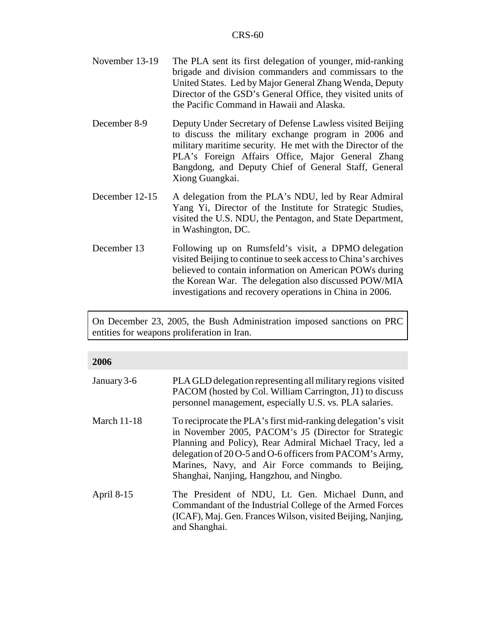- November 13-19 The PLA sent its first delegation of younger, mid-ranking brigade and division commanders and commissars to the United States. Led by Major General Zhang Wenda, Deputy Director of the GSD's General Office, they visited units of the Pacific Command in Hawaii and Alaska.
- December 8-9 Deputy Under Secretary of Defense Lawless visited Beijing to discuss the military exchange program in 2006 and military maritime security. He met with the Director of the PLA's Foreign Affairs Office, Major General Zhang Bangdong, and Deputy Chief of General Staff, General Xiong Guangkai.
- December 12-15 A delegation from the PLA's NDU, led by Rear Admiral Yang Yi, Director of the Institute for Strategic Studies, visited the U.S. NDU, the Pentagon, and State Department, in Washington, DC.
- December 13 Following up on Rumsfeld's visit, a DPMO delegation visited Beijing to continue to seek access to China's archives believed to contain information on American POWs during the Korean War. The delegation also discussed POW/MIA investigations and recovery operations in China in 2006.

On December 23, 2005, the Bush Administration imposed sanctions on PRC entities for weapons proliferation in Iran.

#### **2006**

| January 3-6        | PLA GLD delegation representing all military regions visited<br>PACOM (hosted by Col. William Carrington, J1) to discuss<br>personnel management, especially U.S. vs. PLA salaries.                                                                                                                                                          |
|--------------------|----------------------------------------------------------------------------------------------------------------------------------------------------------------------------------------------------------------------------------------------------------------------------------------------------------------------------------------------|
| <b>March 11-18</b> | To reciprocate the PLA's first mid-ranking delegation's visit<br>in November 2005, PACOM's J5 (Director for Strategic<br>Planning and Policy), Rear Admiral Michael Tracy, led a<br>delegation of 200-5 and 0-6 officers from PACOM's Army,<br>Marines, Navy, and Air Force commands to Beijing,<br>Shanghai, Nanjing, Hangzhou, and Ningbo. |
| April 8-15         | The President of NDU, Lt. Gen. Michael Dunn, and<br>Commandant of the Industrial College of the Armed Forces<br>(ICAF), Maj. Gen. Frances Wilson, visited Beijing, Nanjing,<br>and Shanghai.                                                                                                                                                 |